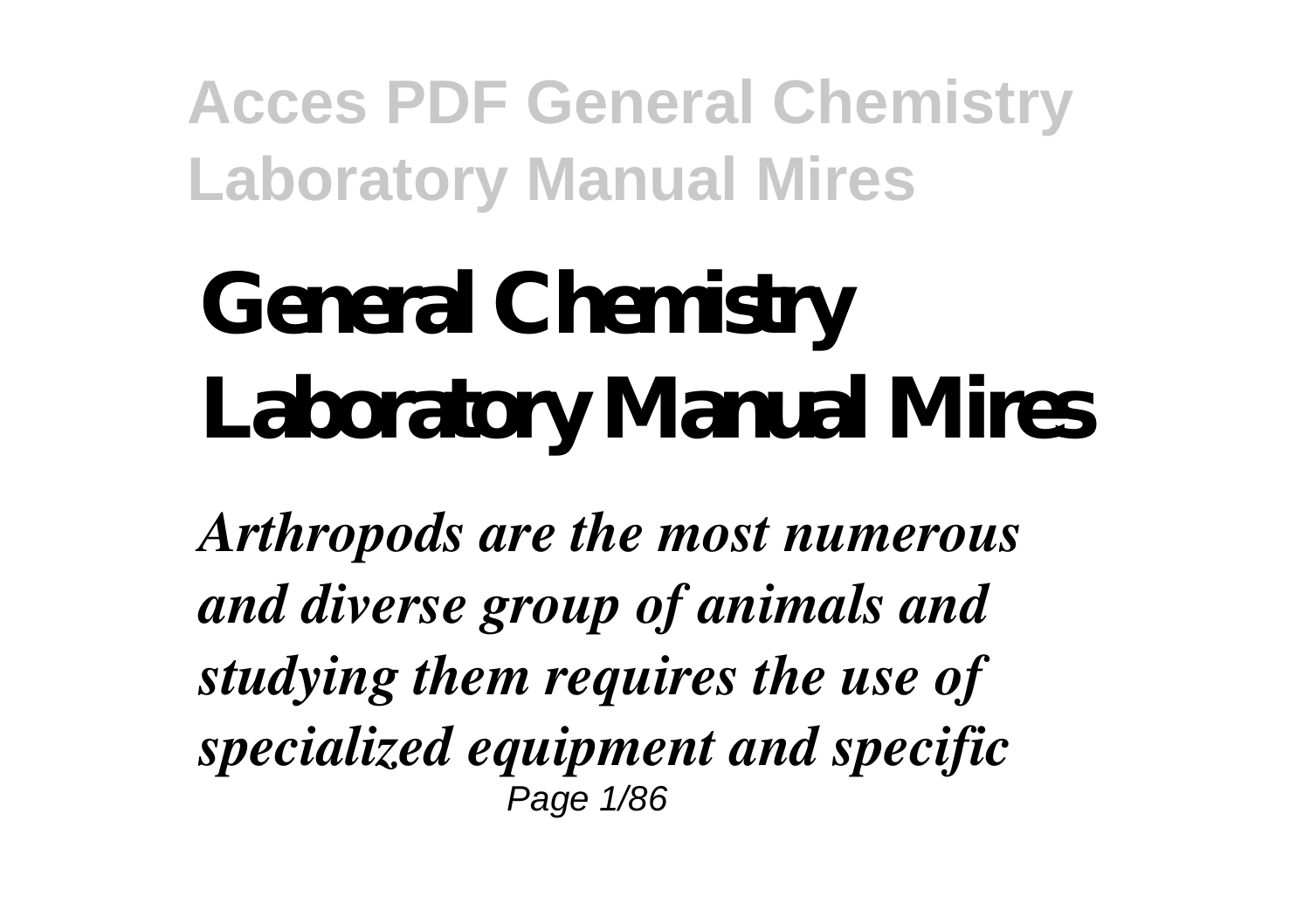# **General Chemistry Laboratory Manual Mires**

*Arthropods are the most numerous and diverse group of animals and studying them requires the use of specialized equipment and specific* Page 1/86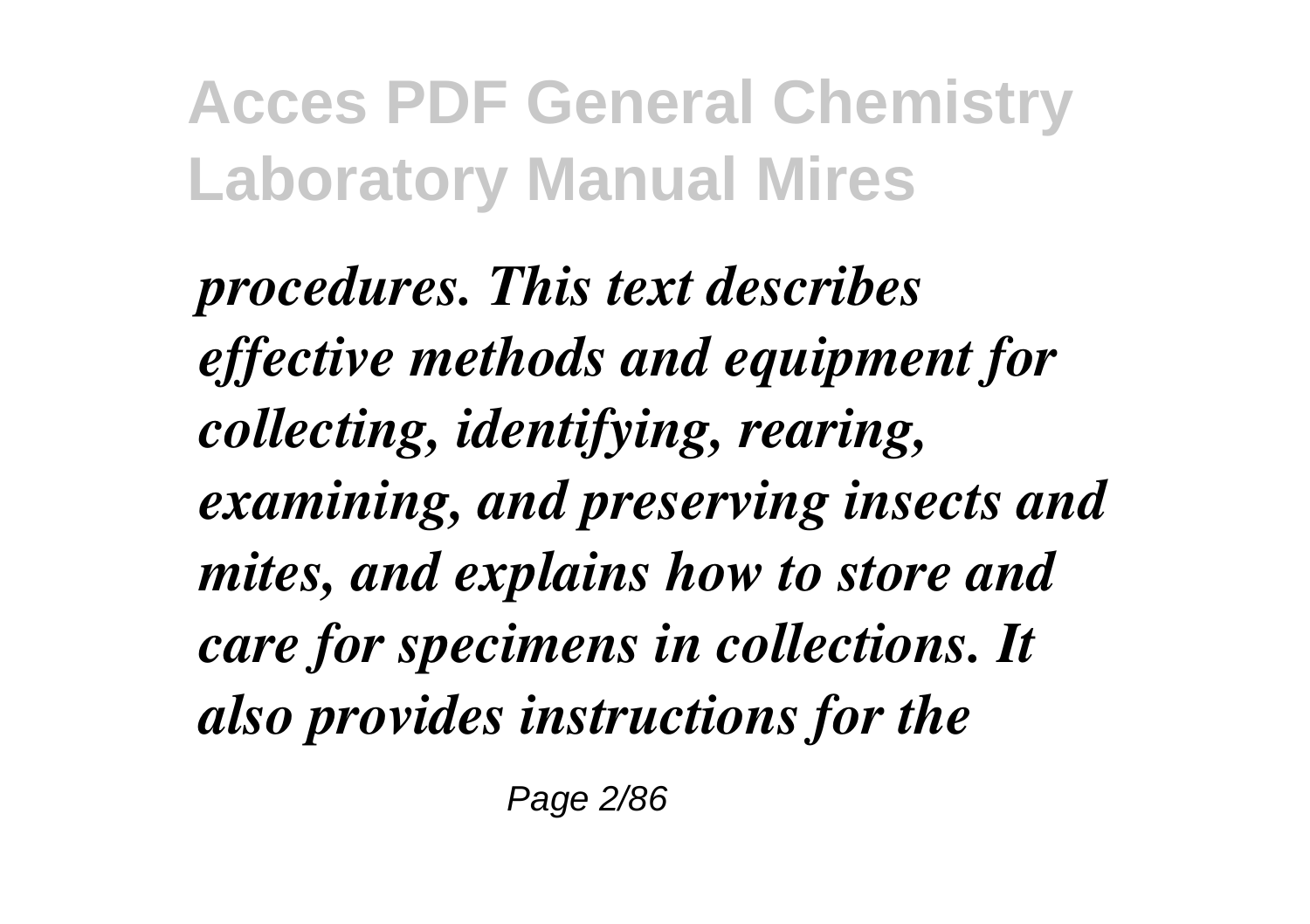*procedures. This text describes effective methods and equipment for collecting, identifying, rearing, examining, and preserving insects and mites, and explains how to store and care for specimens in collections. It also provides instructions for the*

Page 2/86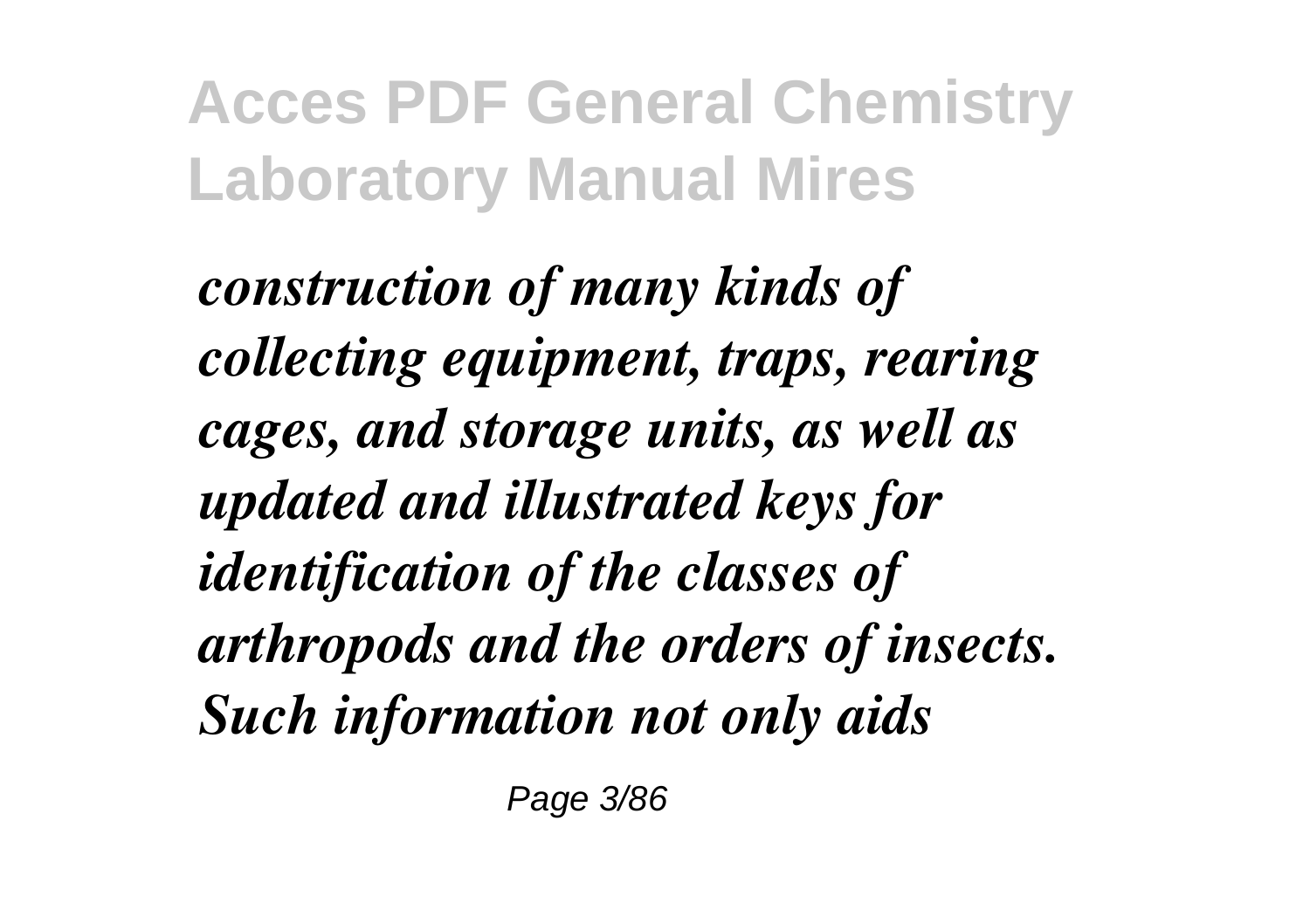*construction of many kinds of collecting equipment, traps, rearing cages, and storage units, as well as updated and illustrated keys for identification of the classes of arthropods and the orders of insects. Such information not only aids*

Page 3/86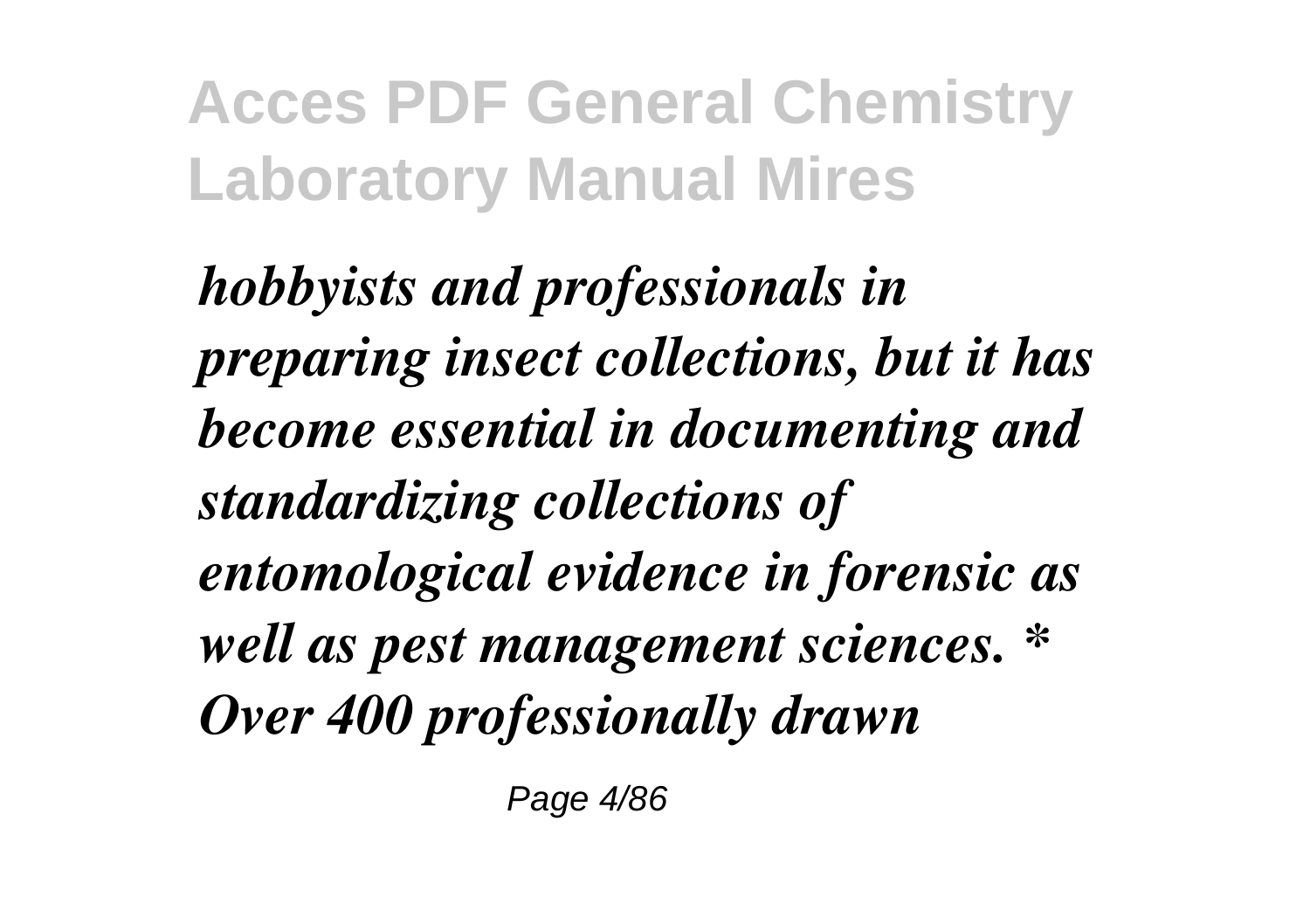*hobbyists and professionals in preparing insect collections, but it has become essential in documenting and standardizing collections of entomological evidence in forensic as well as pest management sciences. \* Over 400 professionally drawn*

Page 4/86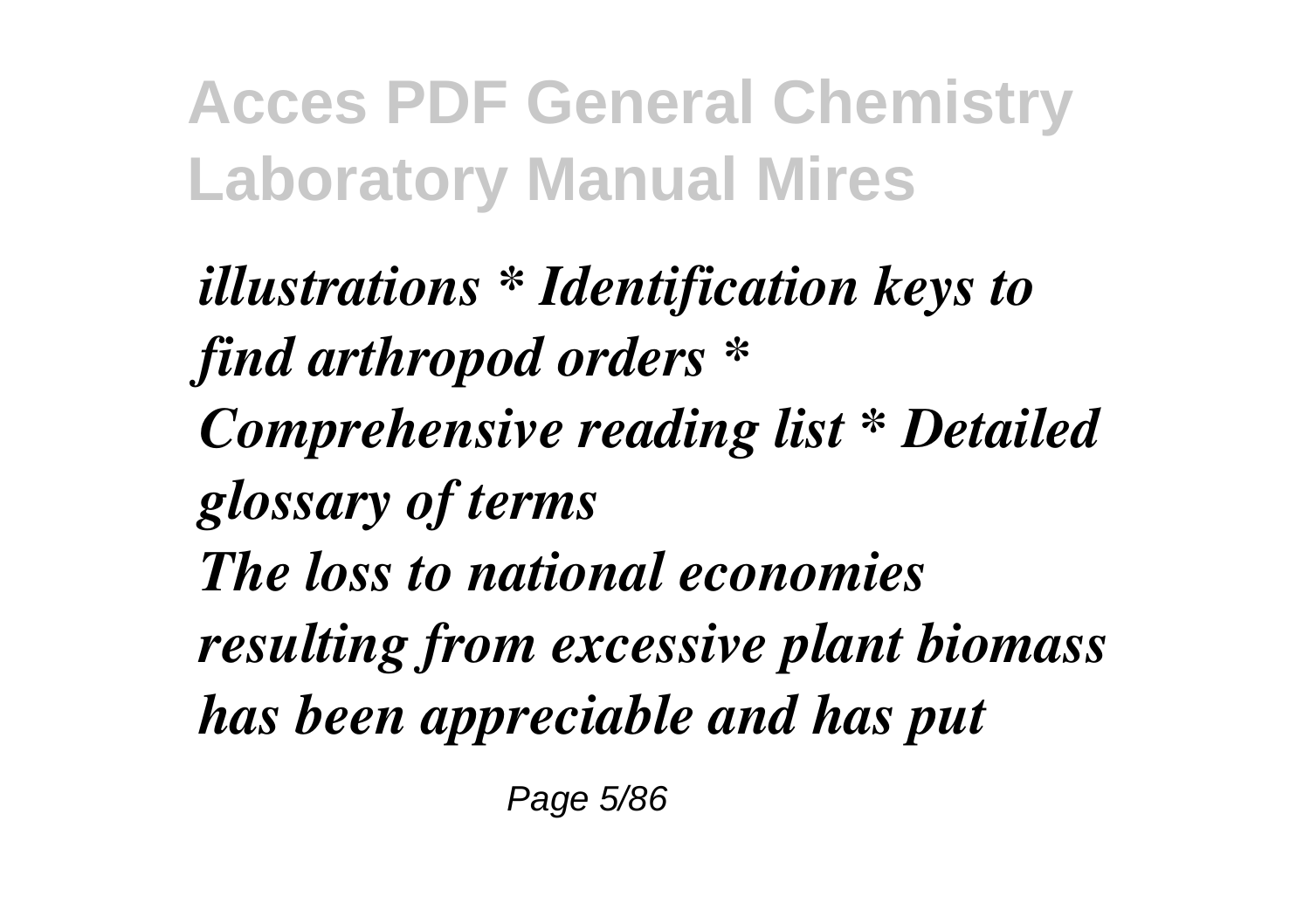*illustrations \* Identification keys to find arthropod orders \* Comprehensive reading list \* Detailed glossary of terms The loss to national economies resulting from excessive plant biomass has been appreciable and has put*

Page 5/86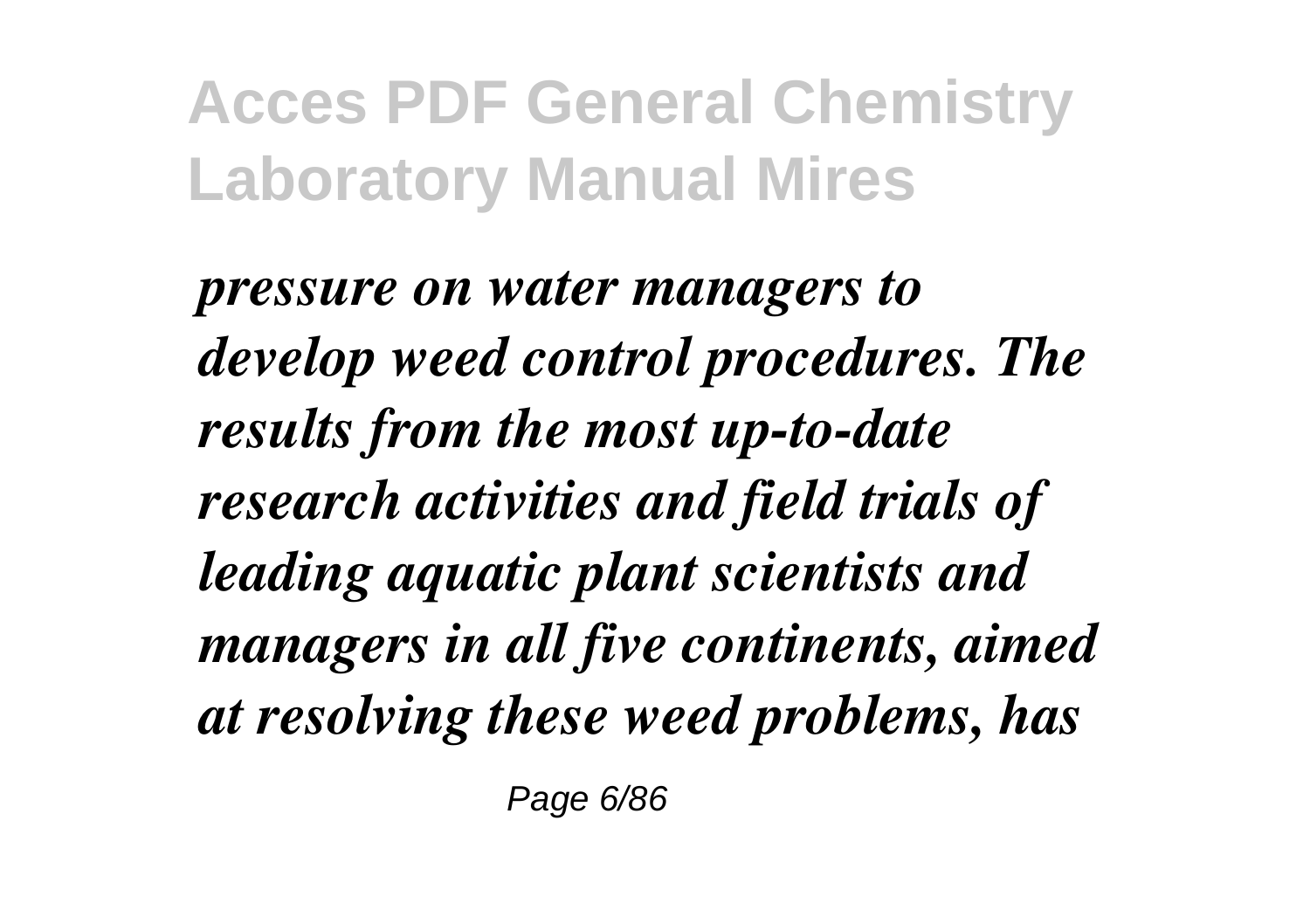*pressure on water managers to develop weed control procedures. The results from the most up-to-date research activities and field trials of leading aquatic plant scientists and managers in all five continents, aimed at resolving these weed problems, has*

Page 6/86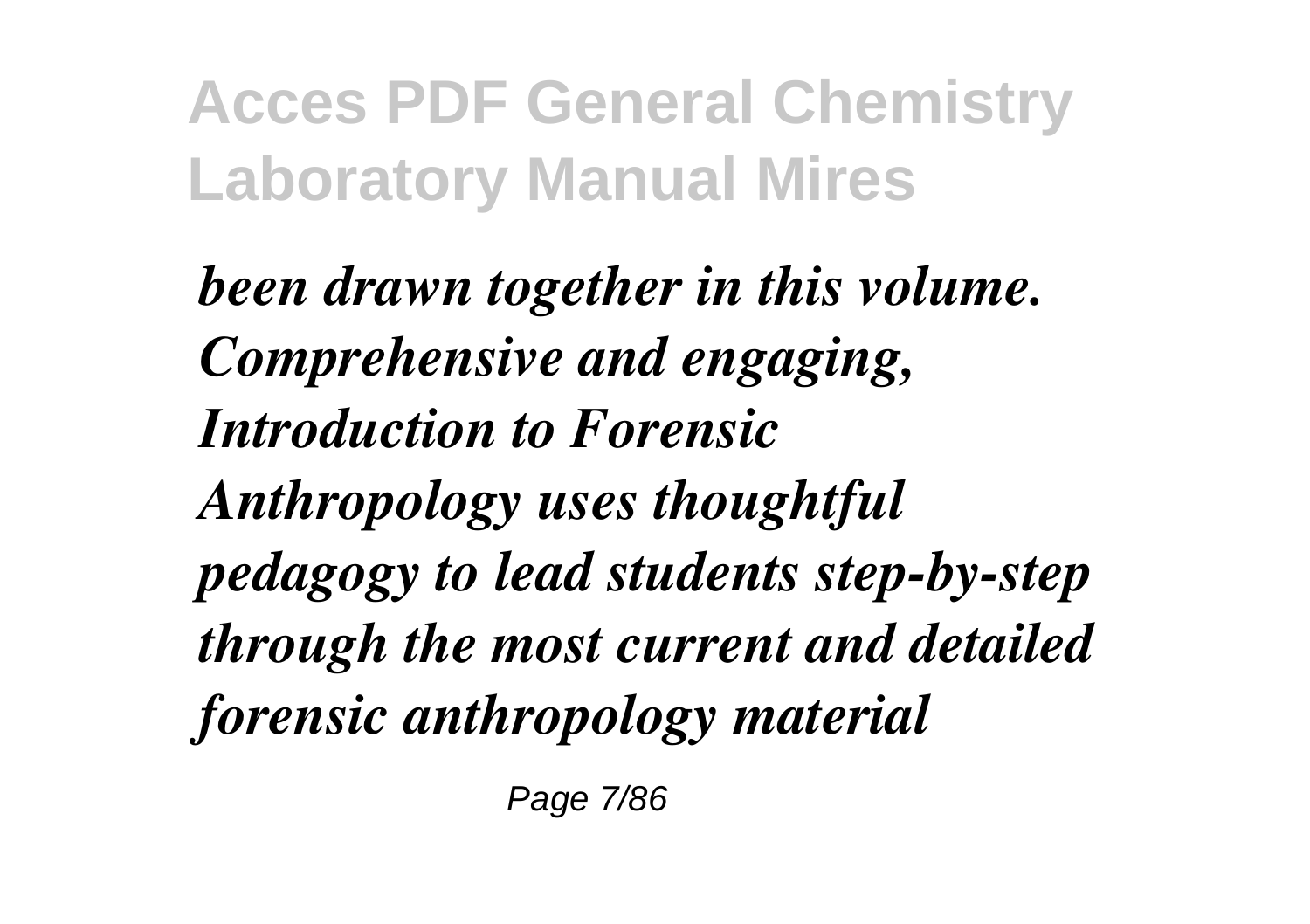*been drawn together in this volume. Comprehensive and engaging, Introduction to Forensic Anthropology uses thoughtful pedagogy to lead students step-by-step through the most current and detailed forensic anthropology material*

Page 7/86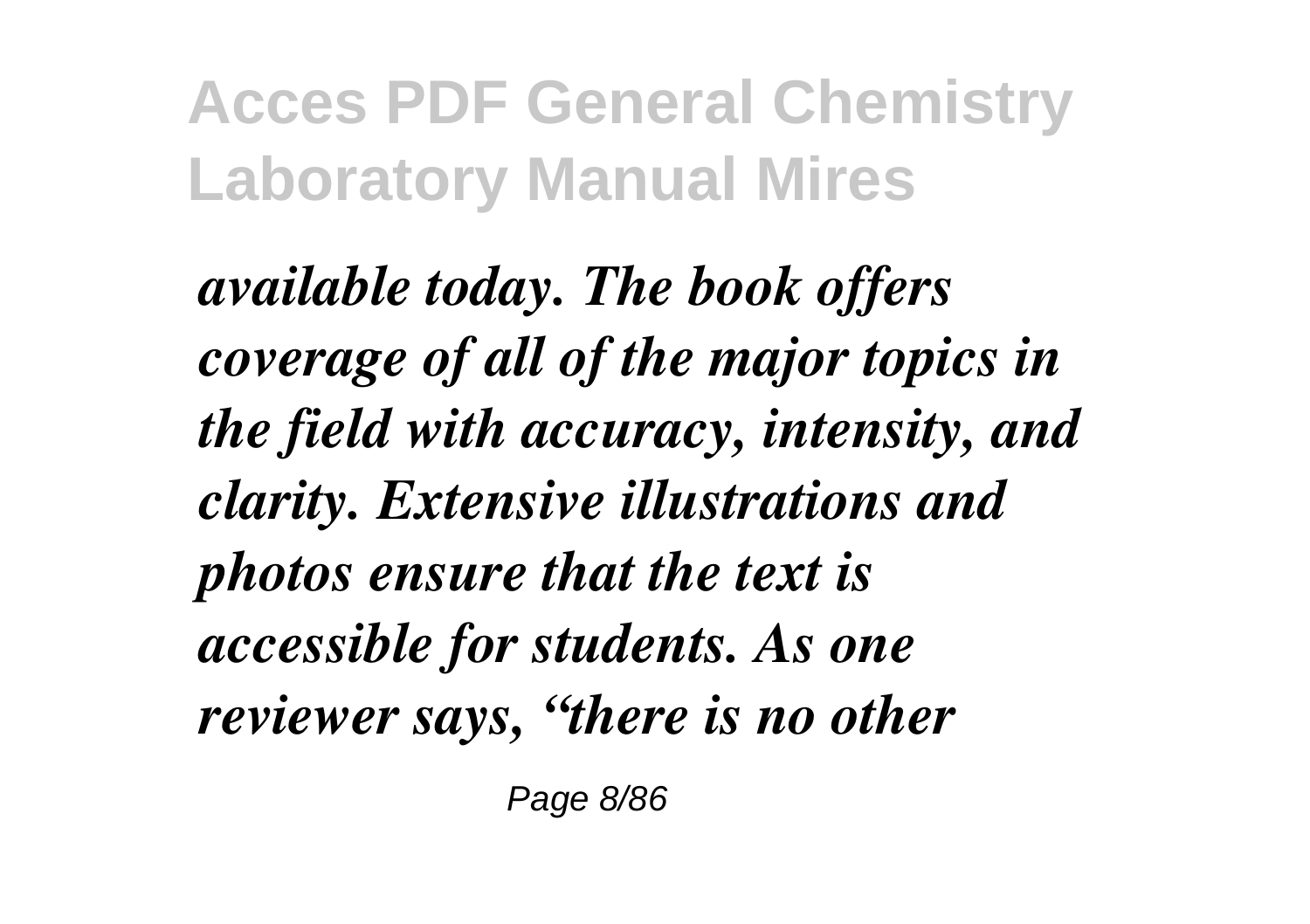*available today. The book offers coverage of all of the major topics in the field with accuracy, intensity, and clarity. Extensive illustrations and photos ensure that the text is accessible for students. As one reviewer says, "there is no other*

Page 8/86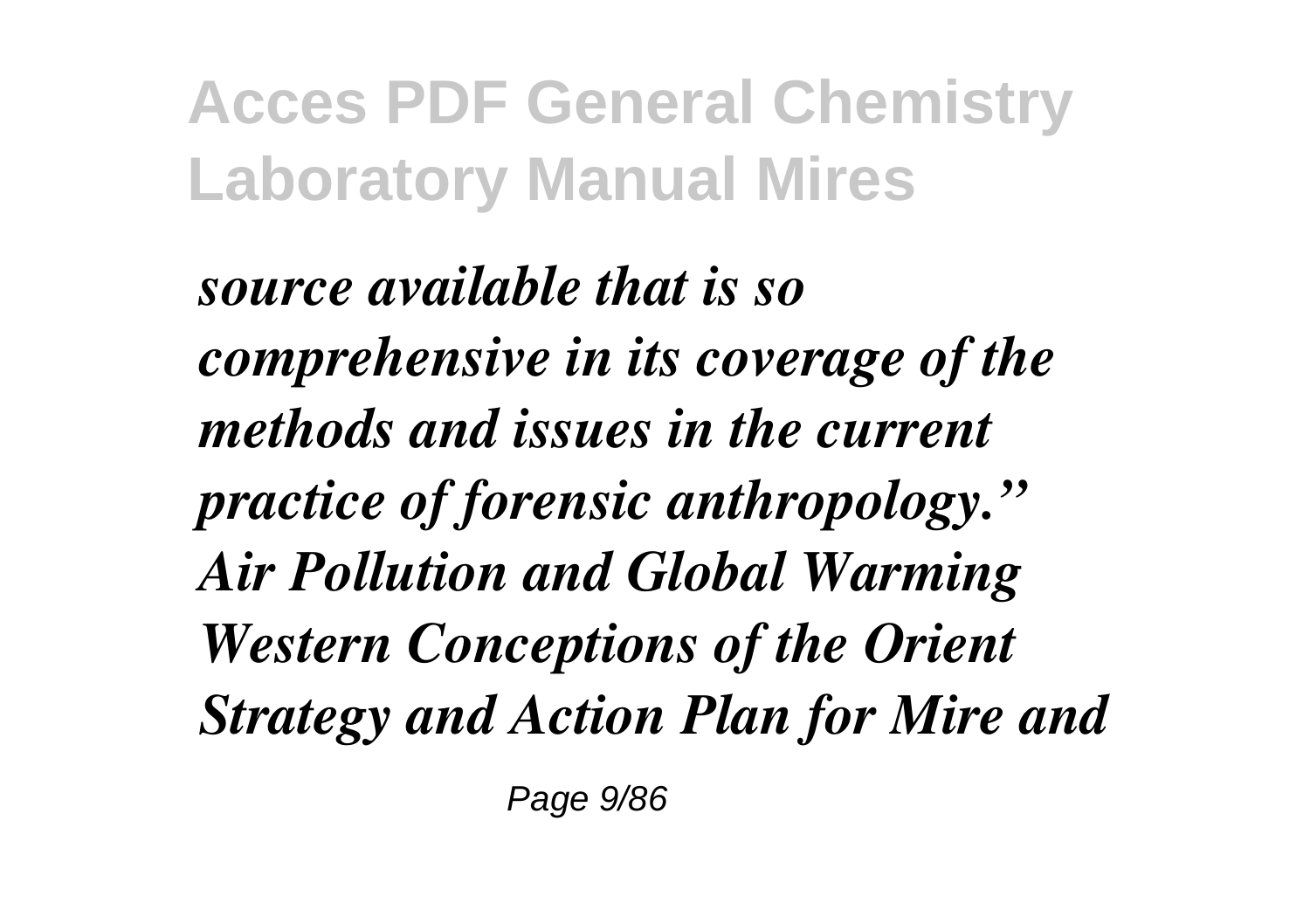*source available that is so comprehensive in its coverage of the methods and issues in the current practice of forensic anthropology." Air Pollution and Global Warming Western Conceptions of the Orient Strategy and Action Plan for Mire and*

Page 9/86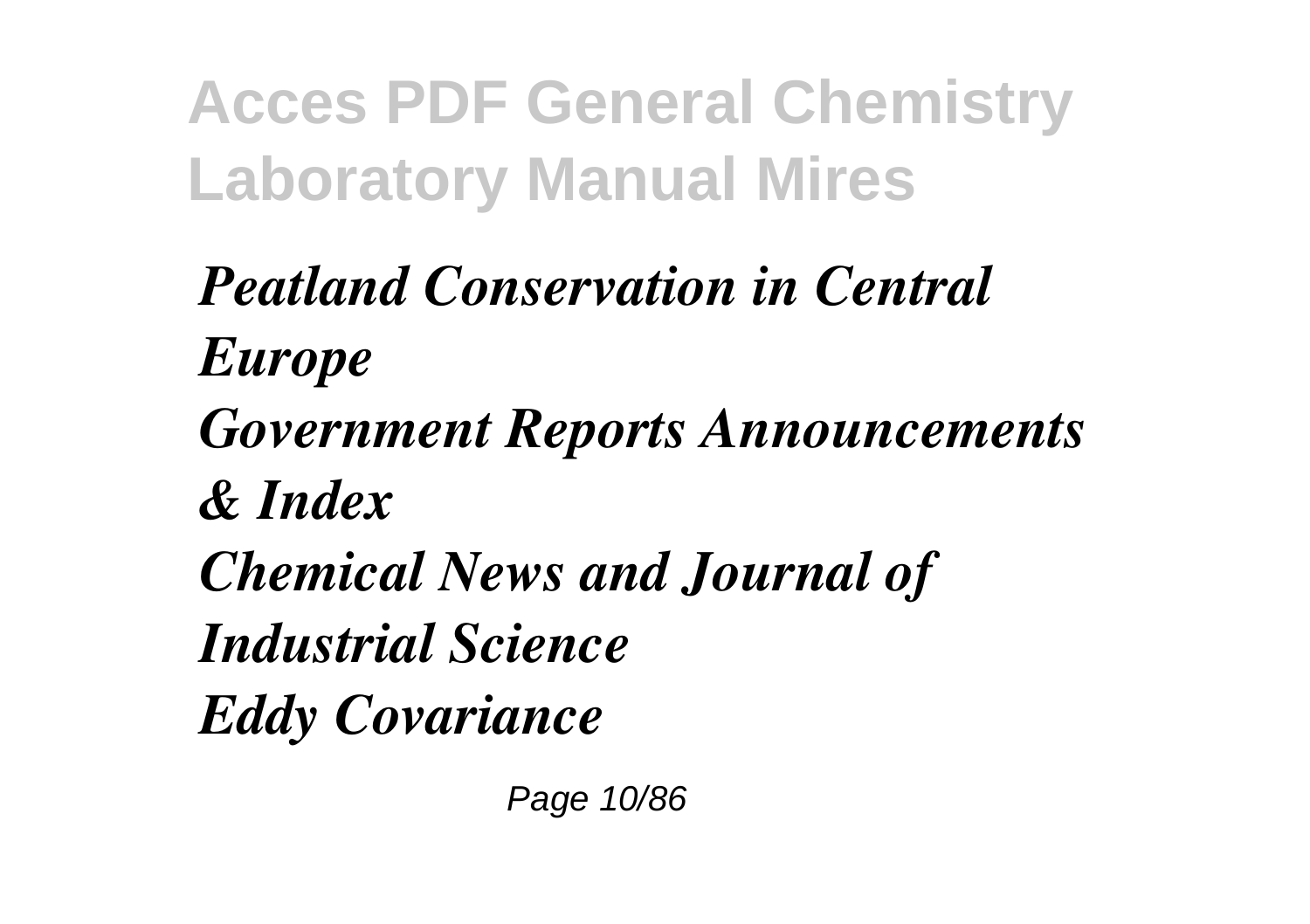*Peatland Conservation in Central Europe*

*Government Reports Announcements*

*& Index*

*Chemical News and Journal of Industrial Science*

*Eddy Covariance*

Page 10/86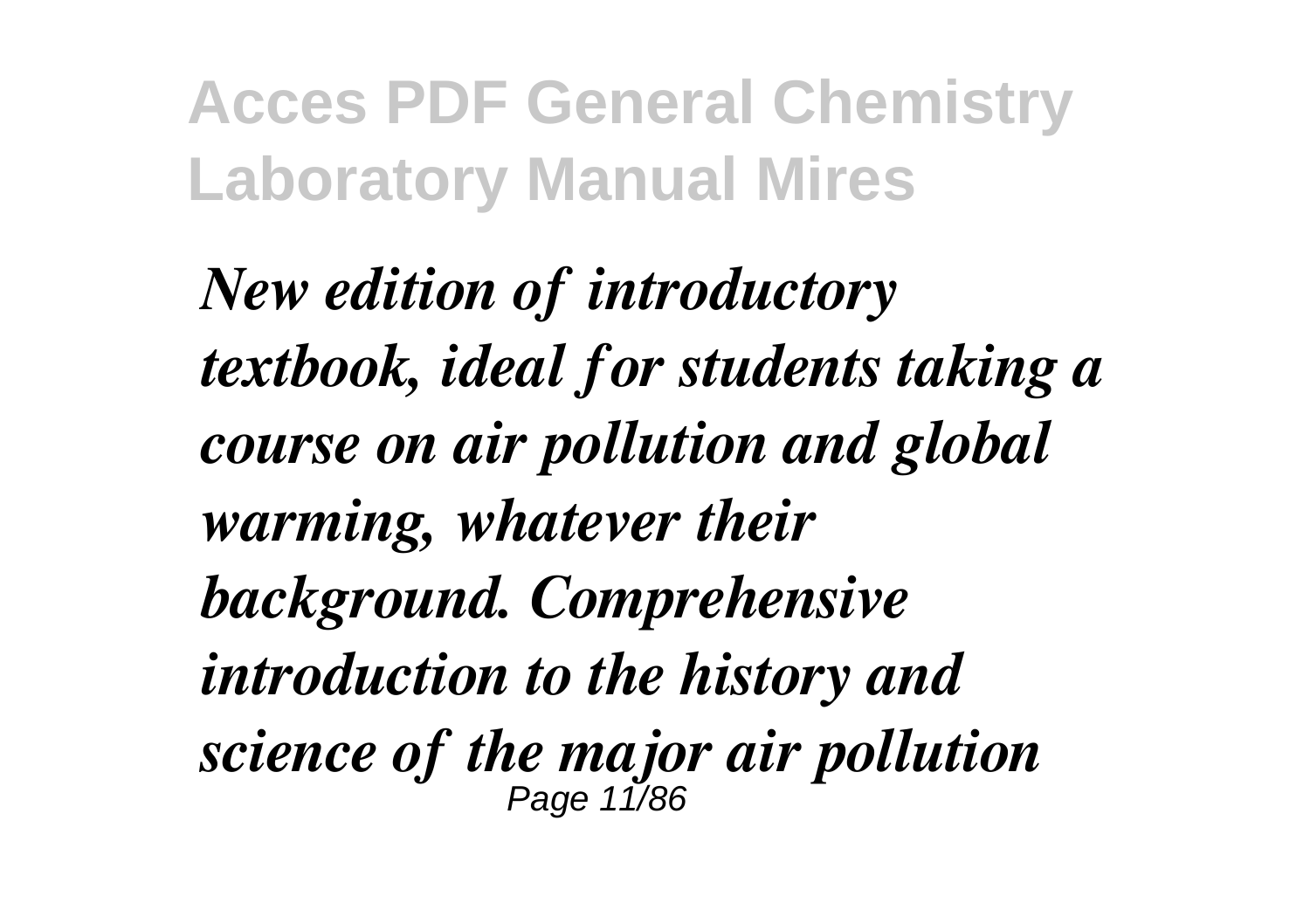*New edition of introductory textbook, ideal for students taking a course on air pollution and global warming, whatever their background. Comprehensive introduction to the history and science of the major air pollution* Page 11/86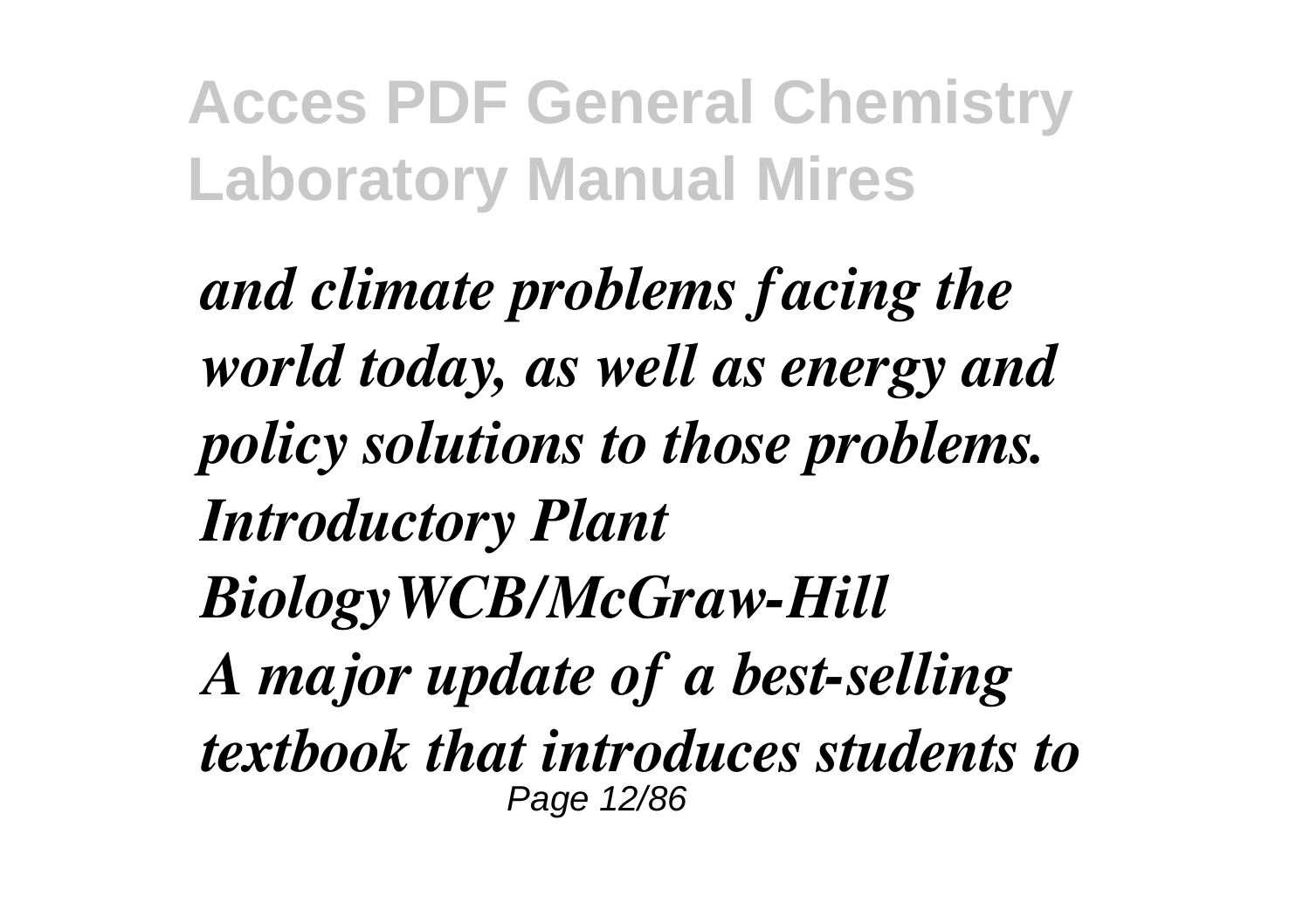*and climate problems facing the world today, as well as energy and policy solutions to those problems. Introductory Plant BiologyWCB/McGraw-Hill A major update of a best-selling textbook that introduces students to* Page 12/86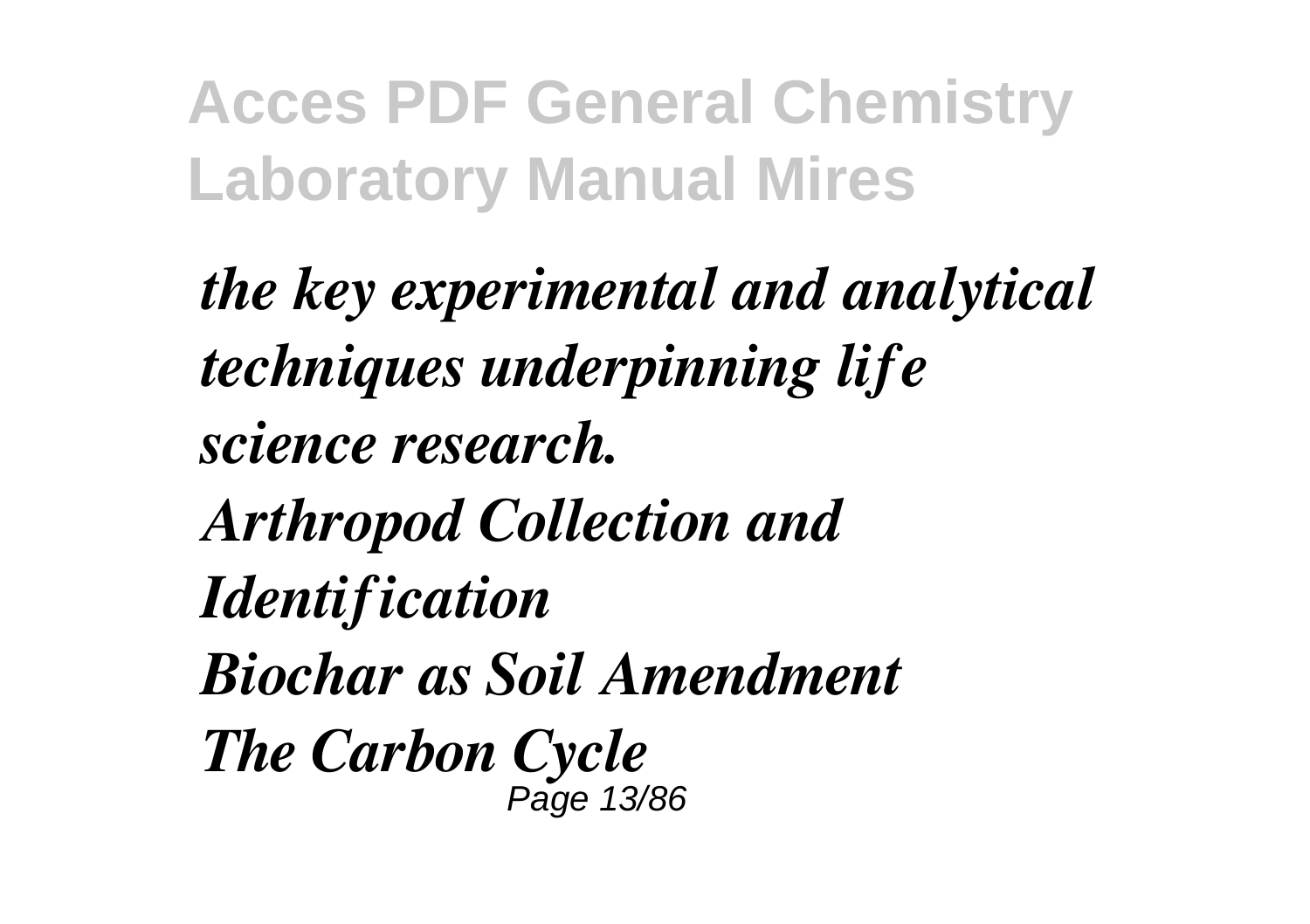*the key experimental and analytical techniques underpinning life science research. Arthropod Collection and Identification Biochar as Soil Amendment The Carbon Cycle* Page 13/86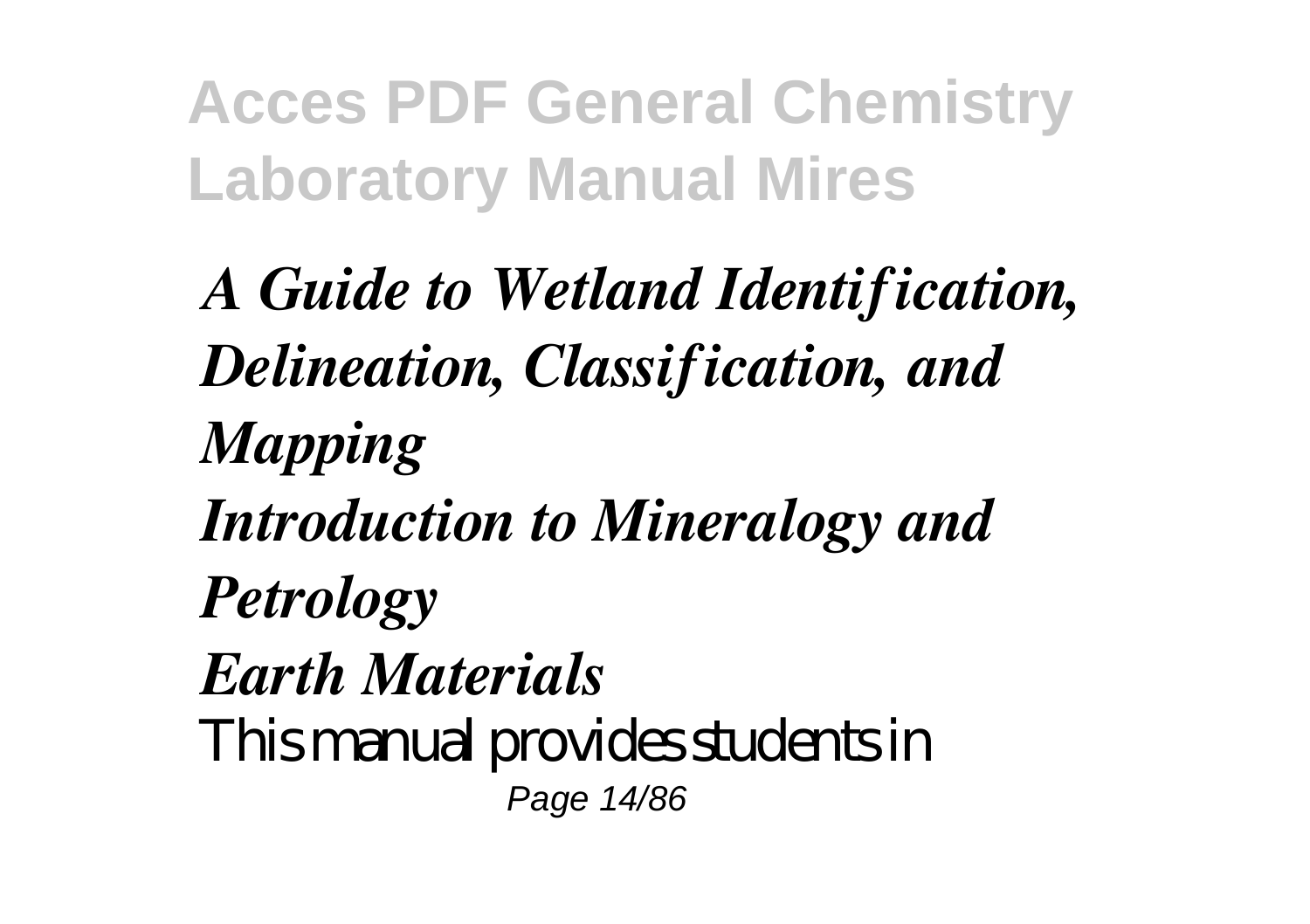*A Guide to Wetland Identification, Delineation, Classification, and Mapping Introduction to Mineralogy and Petrology Earth Materials* This manual provides students in Page 14/86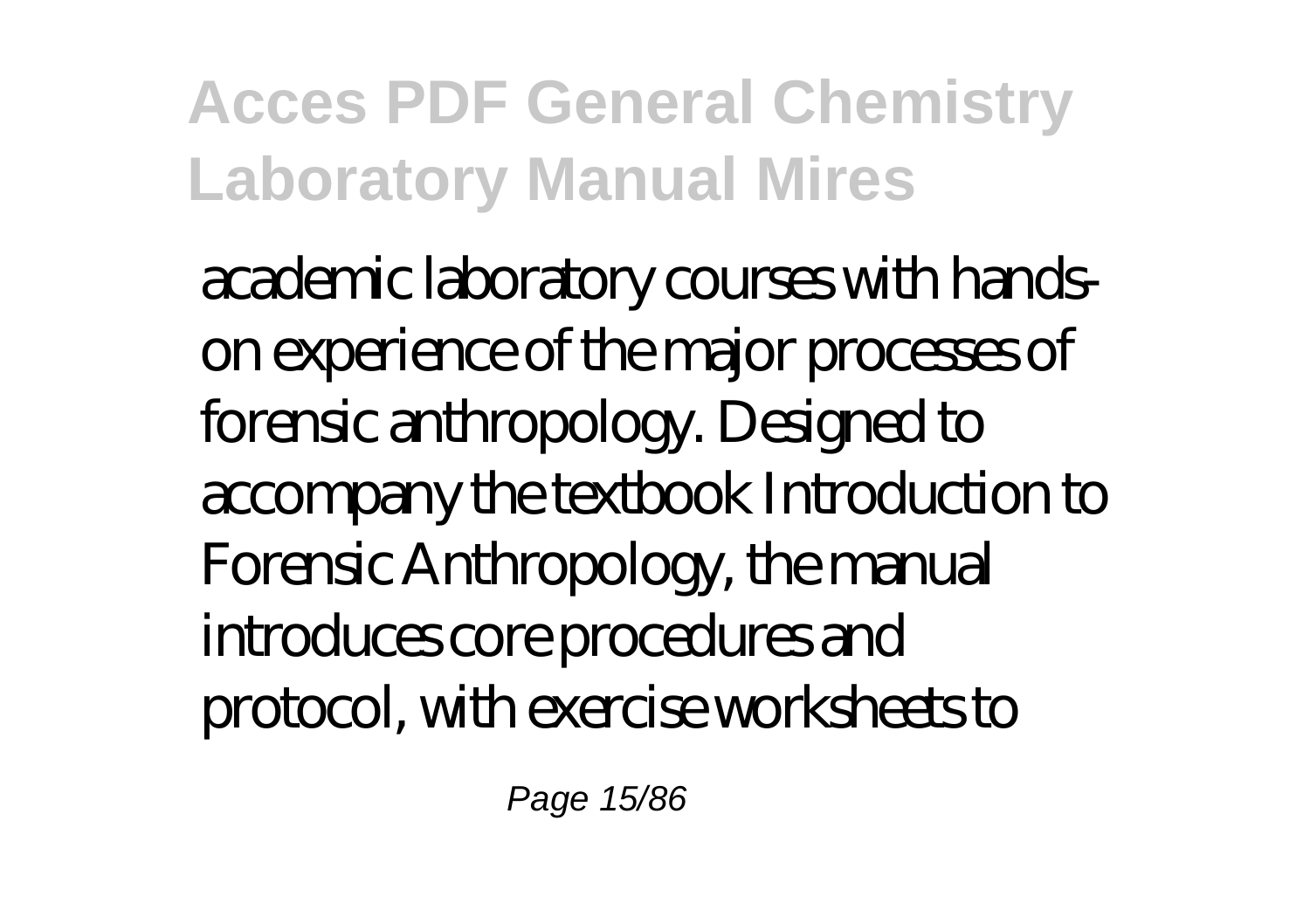academic laboratory courses with handson experience of the major processes of forensic anthropology. Designed to accompany the textbook Introduction to Forensic Anthropology, the manual introduces core procedures and protocol, with exercise worksheets to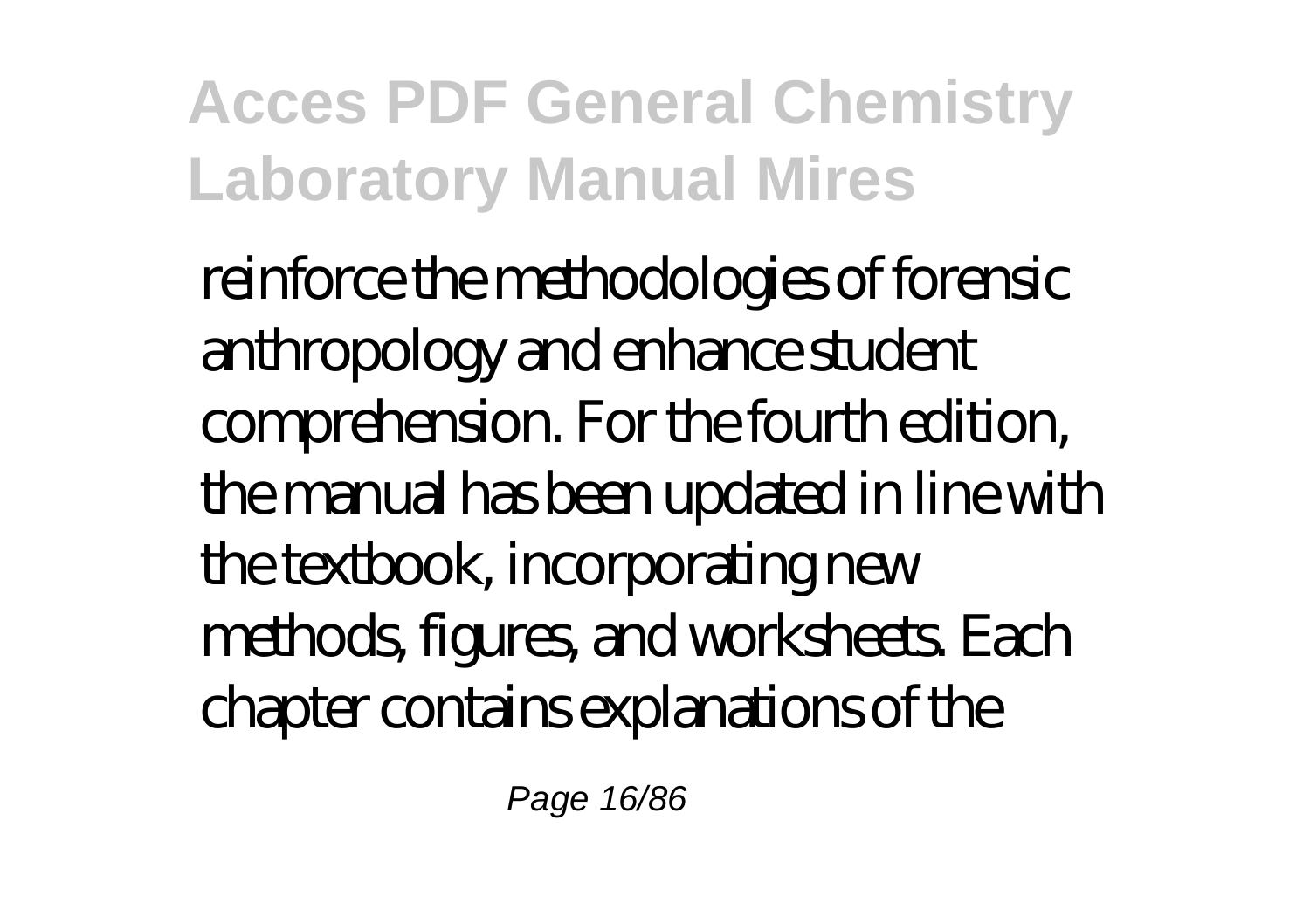reinforce the methodologies of forensic anthropology and enhance student comprehension. For the fourth edition, the manual has been updated in line with the textbook, incorporating new methods, figures, and worksheets. Each chapter contains explanations of the

Page 16/86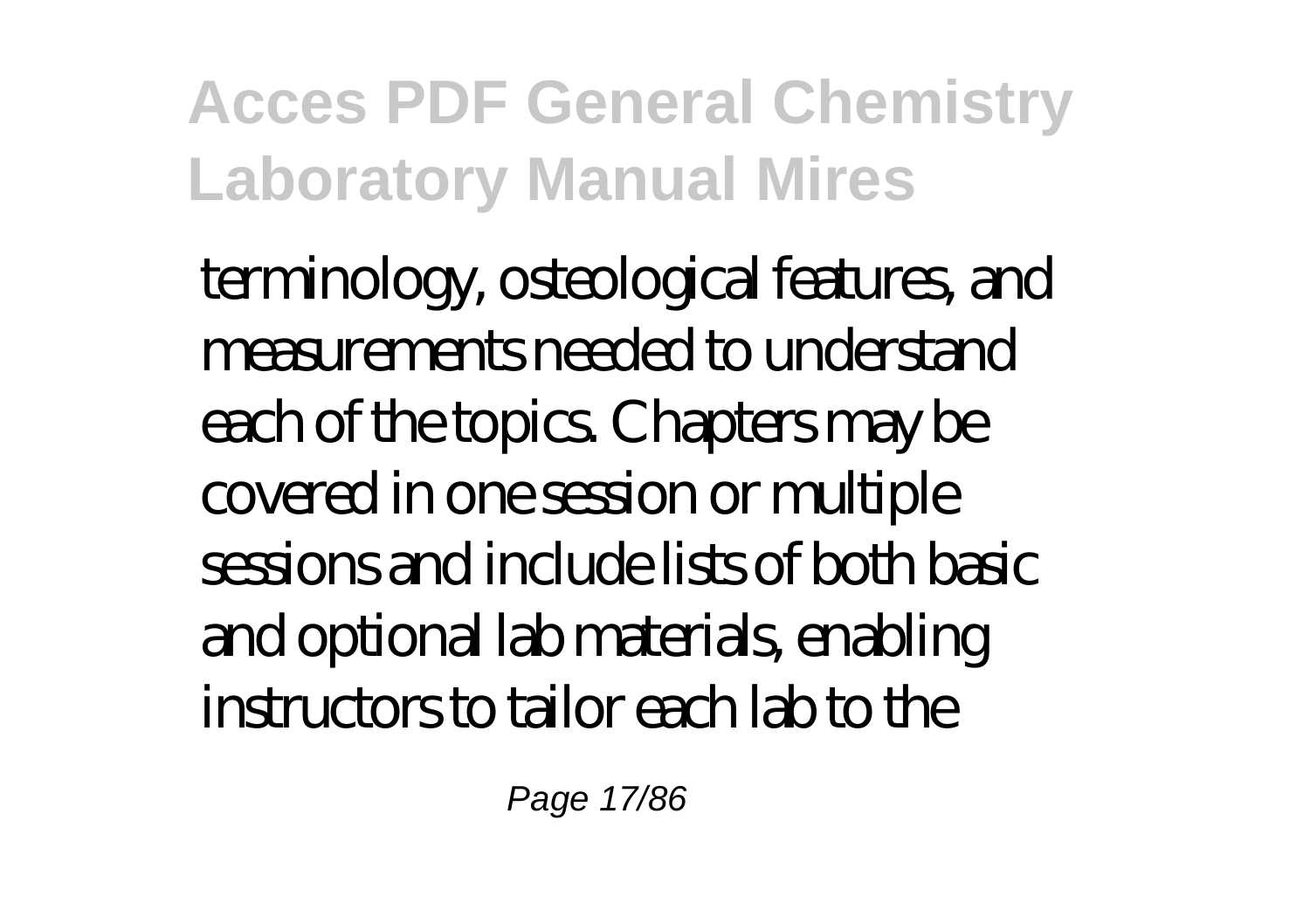terminology, osteological features, and measurements needed to understand each of the topics. Chapters may be covered in one session or multiple sessions and include lists of both basic and optional lab materials, enabling instructors to tailor each lab to the

Page 17/86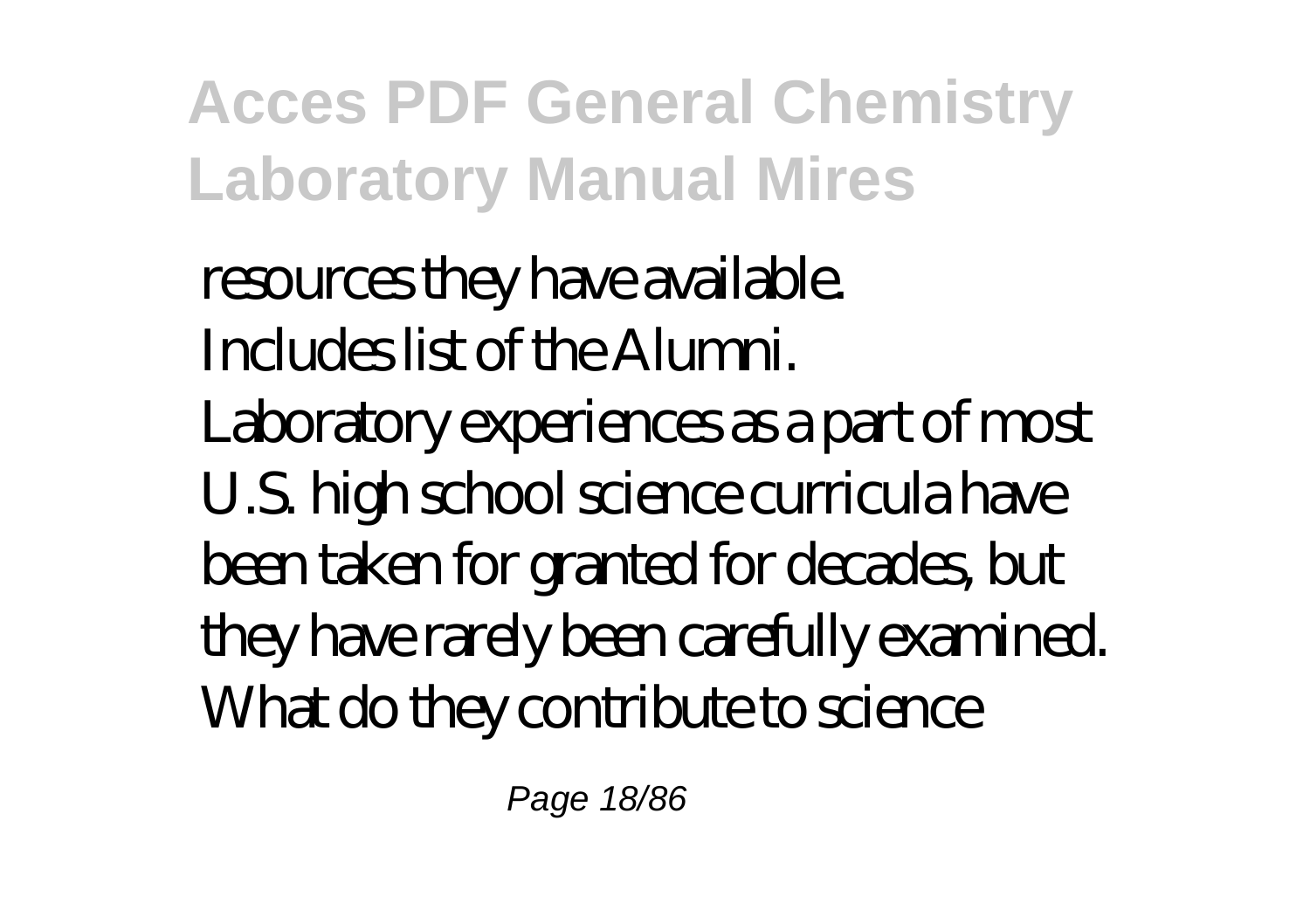resources they have available. Includes list of the Alumni.

Laboratory experiences as a part of most U.S. high school science curricula have been taken for granted for decades, but they have rarely been carefully examined. What do they contribute to science

Page 18/86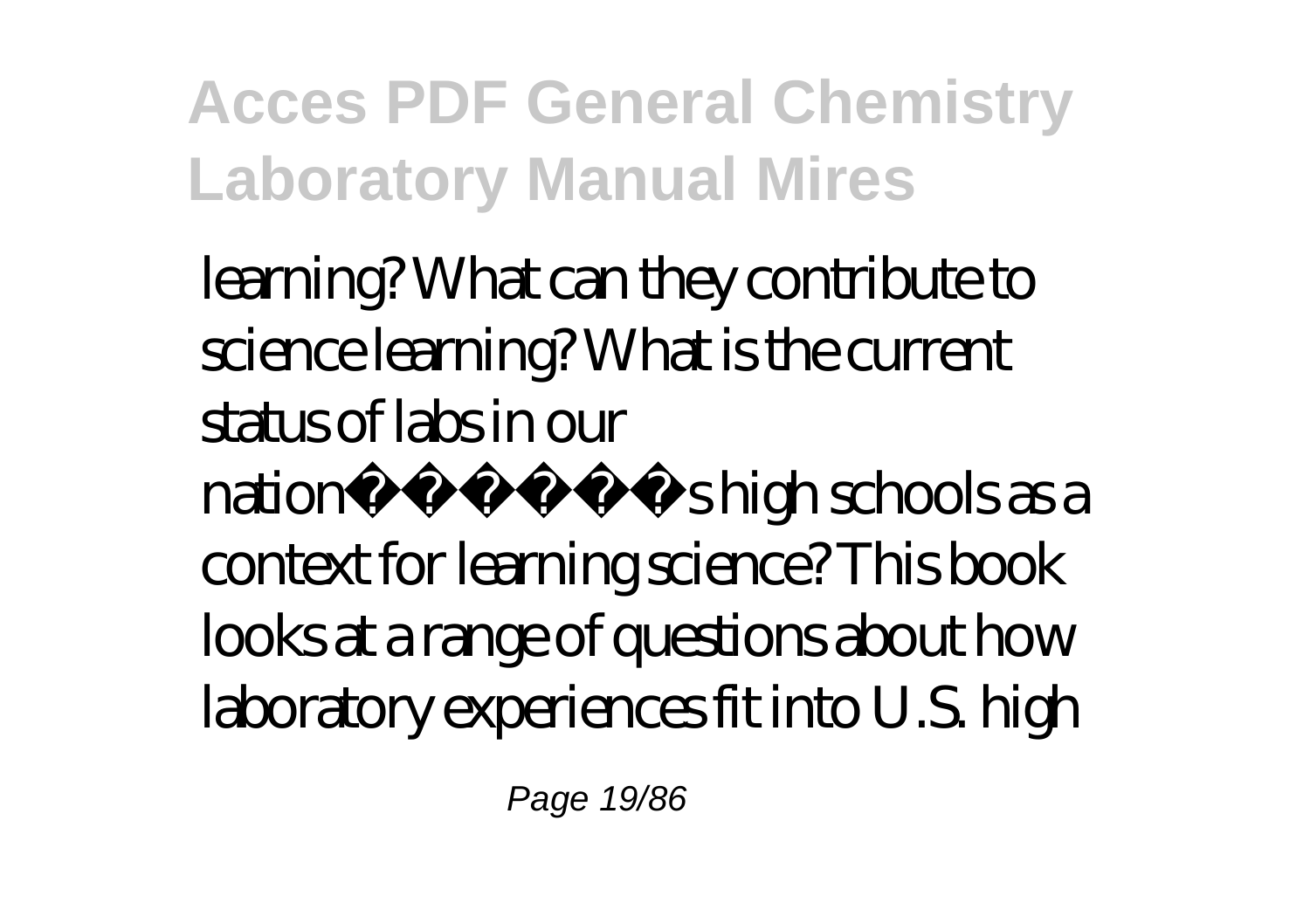learning? What can they contribute to science learning? What is the current status of labs in our nation $\tilde{A}$   $\tilde{A}$   $\tilde{A}$   $\tilde{A}$   $\tilde{B}$  high schools as a context for learning science? This book looks at a range of questions about how laboratory experiences fit into U.S. high

Page 19/86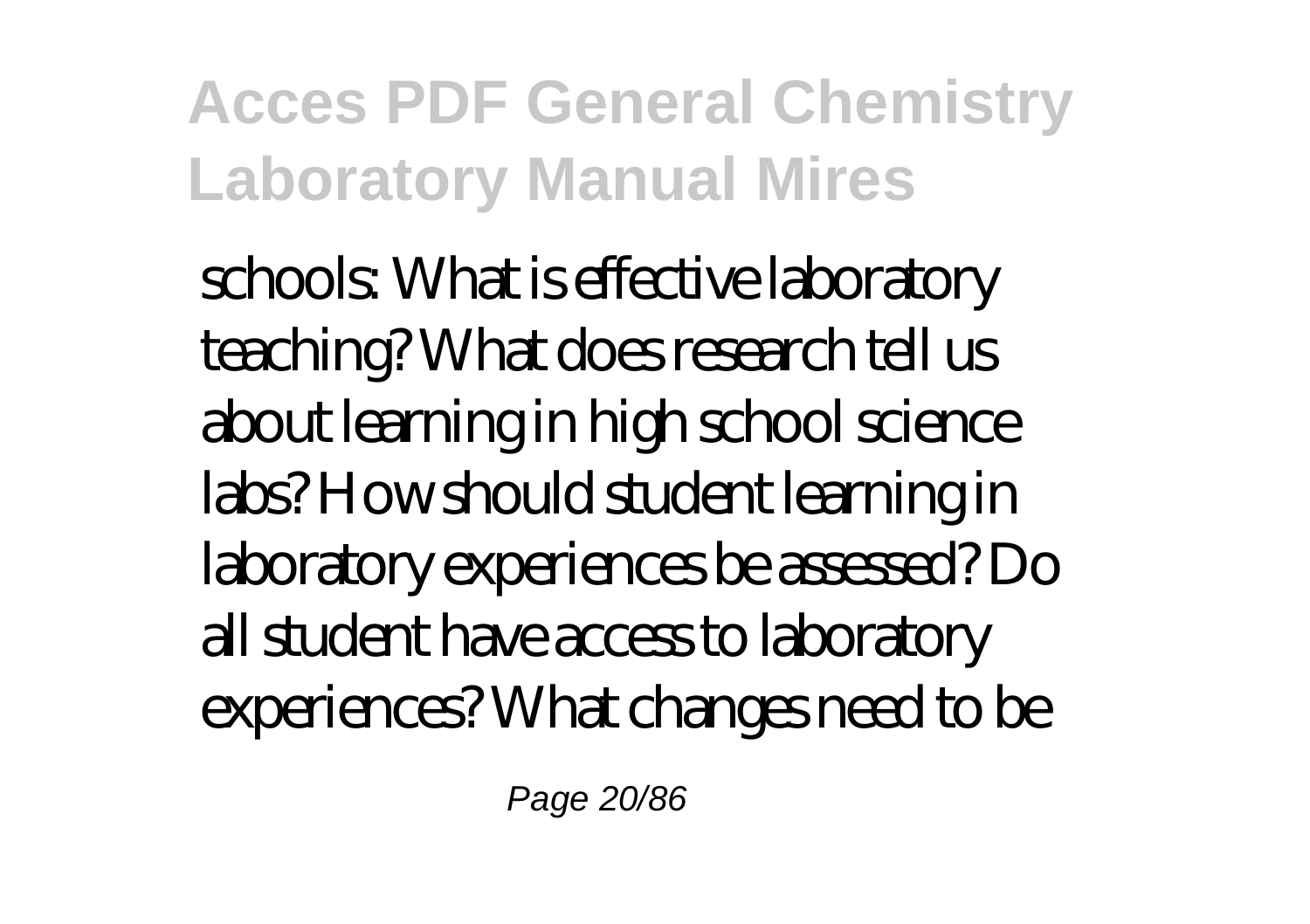schools: What is effective laboratory teaching? What does research tell us about learning in high school science labs? How should student learning in laboratory experiences be assessed? Do all student have access to laboratory experiences? What changes need to be

Page 20/86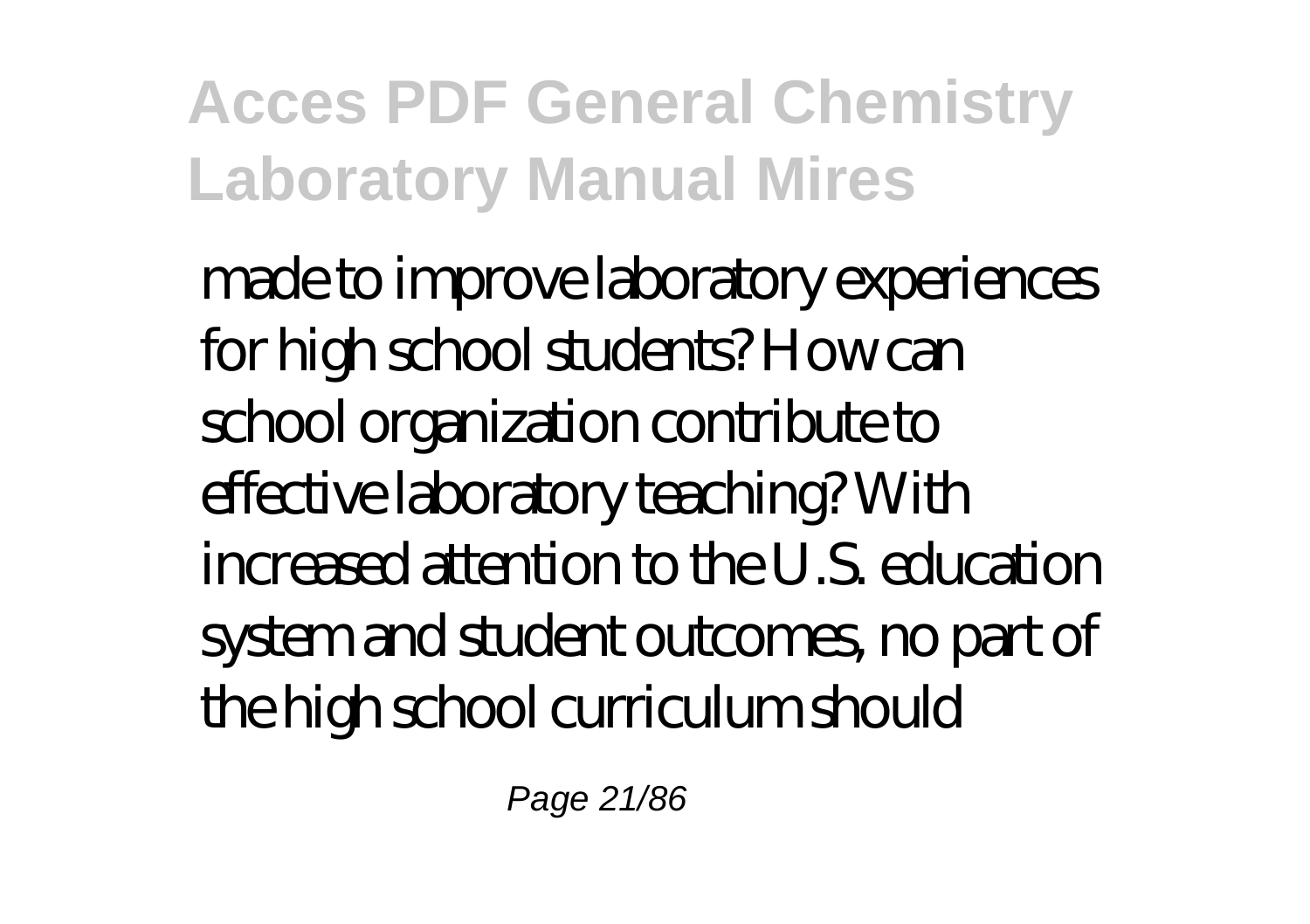made to improve laboratory experiences for high school students? How can school organization contribute to effective laboratory teaching? With increased attention to the U.S. education system and student outcomes, no part of the high school curriculum should

Page 21/86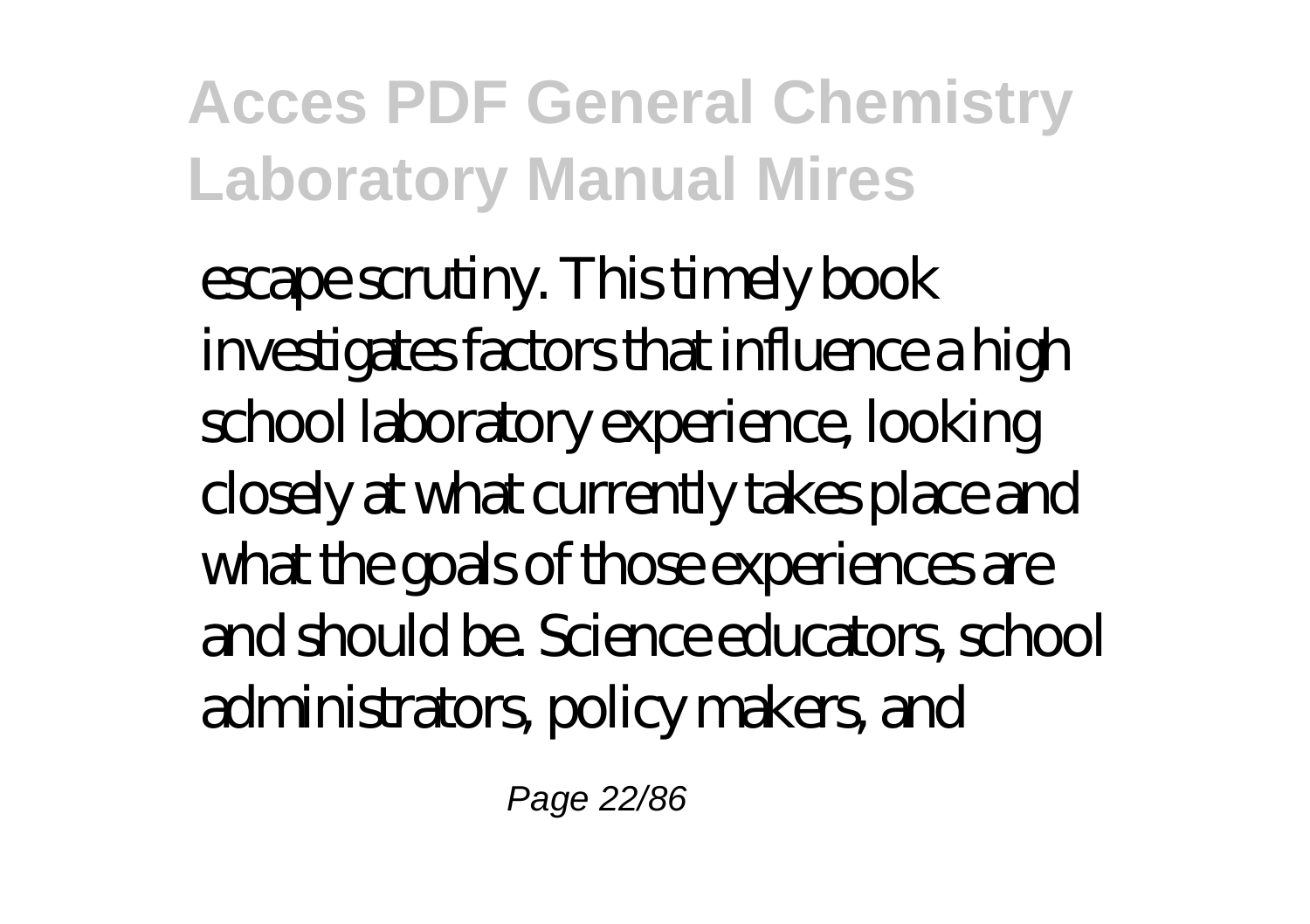escape scrutiny. This timely book investigates factors that influence a high school laboratory experience, looking closely at what currently takes place and what the goals of those experiences are and should be. Science educators, school administrators, policy makers, and

Page 22/86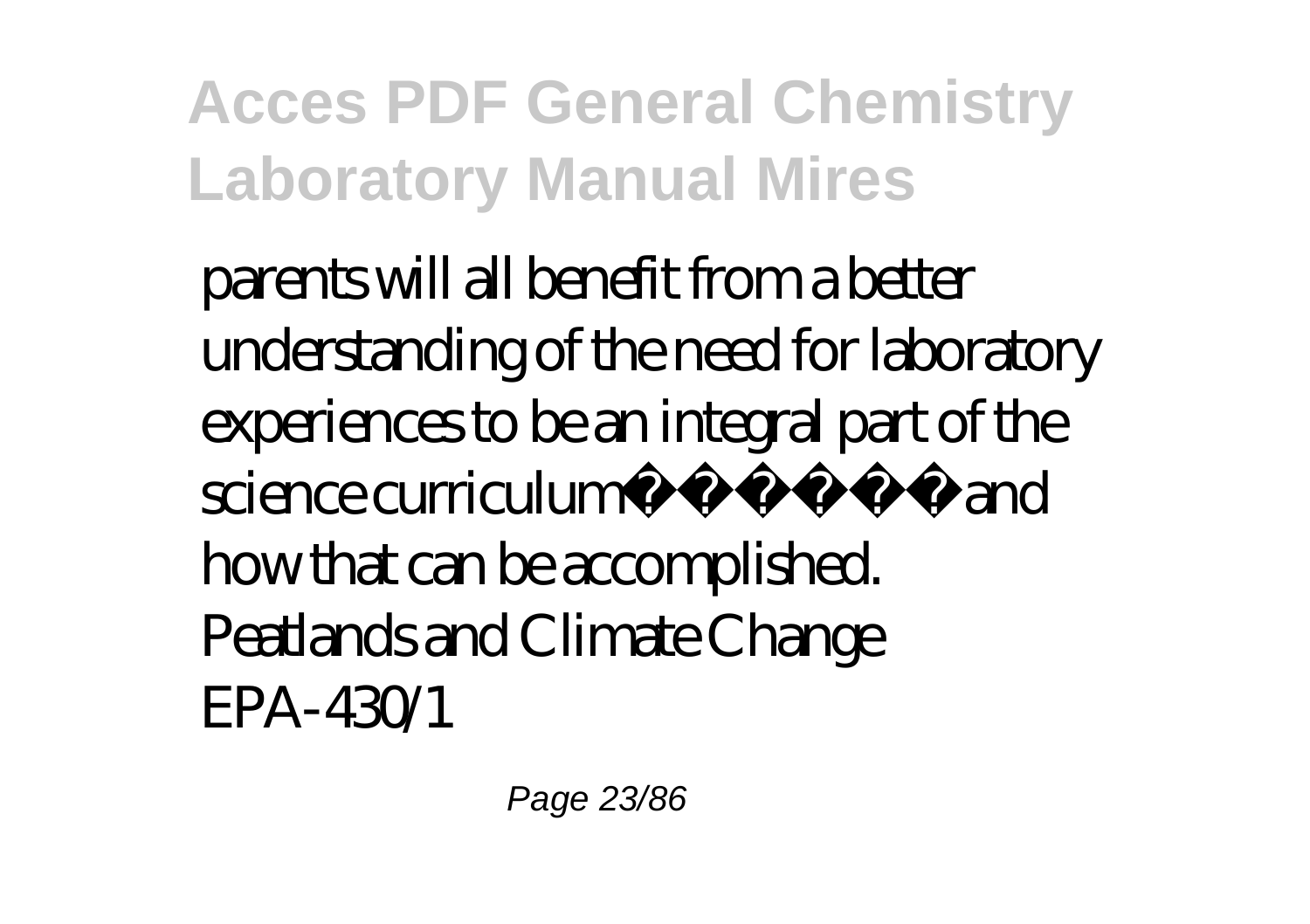parents will all benefit from a better understanding of the need for laboratory experiences to be an integral part of the science curriculum $\tilde{A}$   $\tilde{A}$   $\tilde{A}$   $\tilde{A}$   $\tilde{B}$  and how that can be accomplished. Peatlands and Climate Change EPA-430/1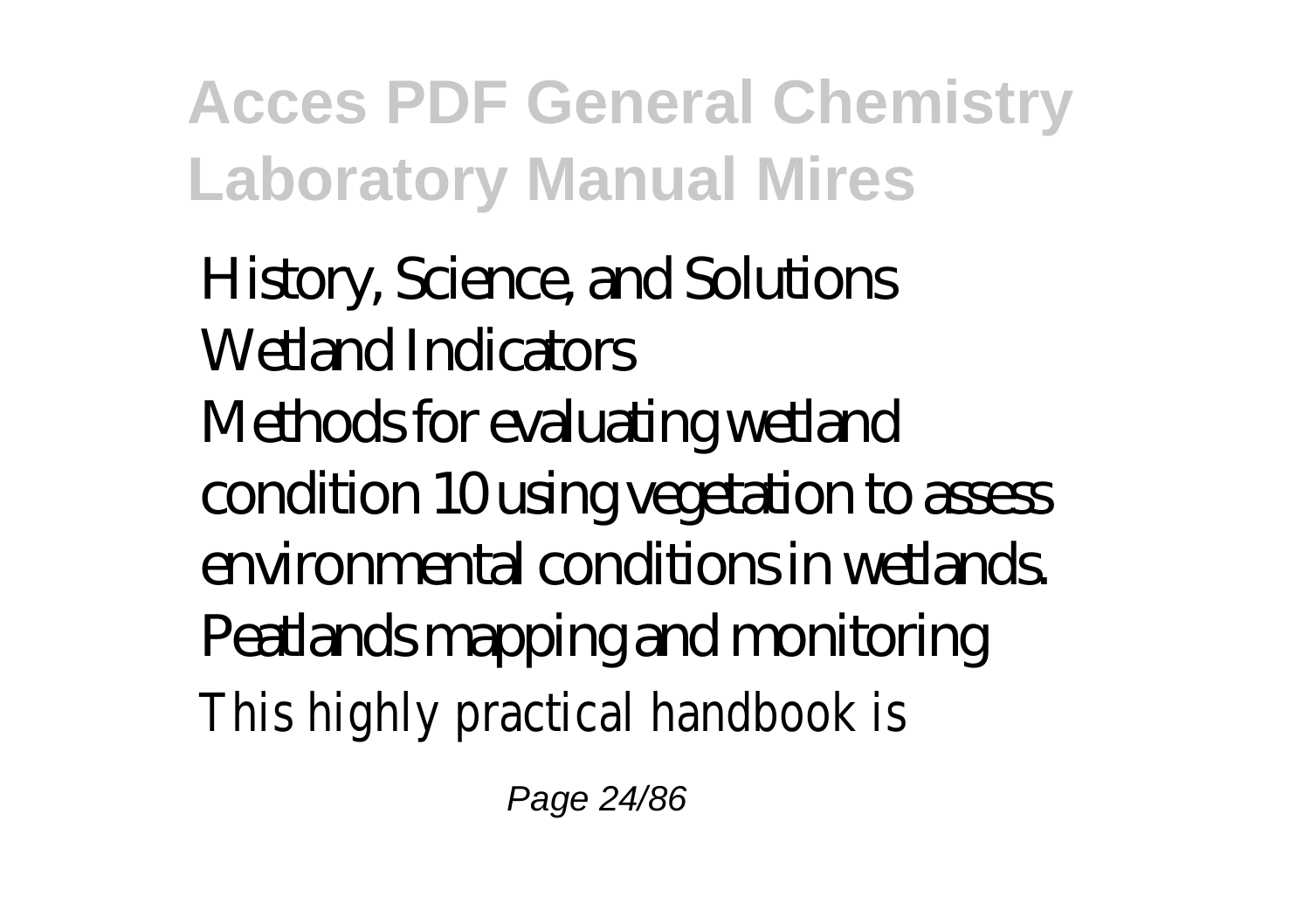History, Science, and Solutions Wetland Indicators Methods for evaluating wetland condition 10 using vegetation to assess environmental conditions in wetlands. Peatlands mapping and monitoring This highly practical handbook is

Page 24/86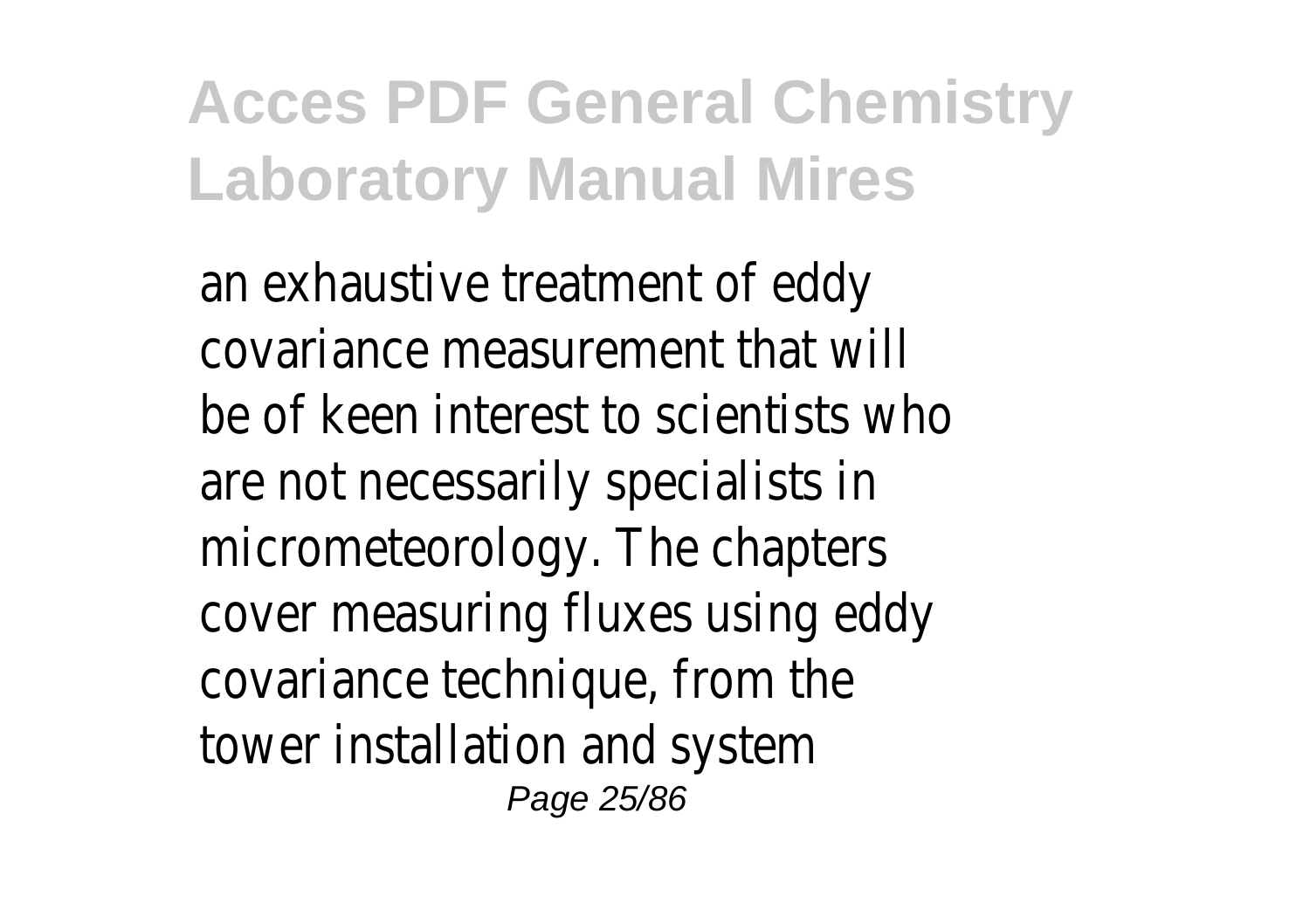an exhaustive treatment of eddy covariance measurement that will be of keen interest to scientists who are not necessarily specialists in micrometeorology. The chapters cover measuring fluxes using eddy covariance technique, from the tower installation and system Page 25/86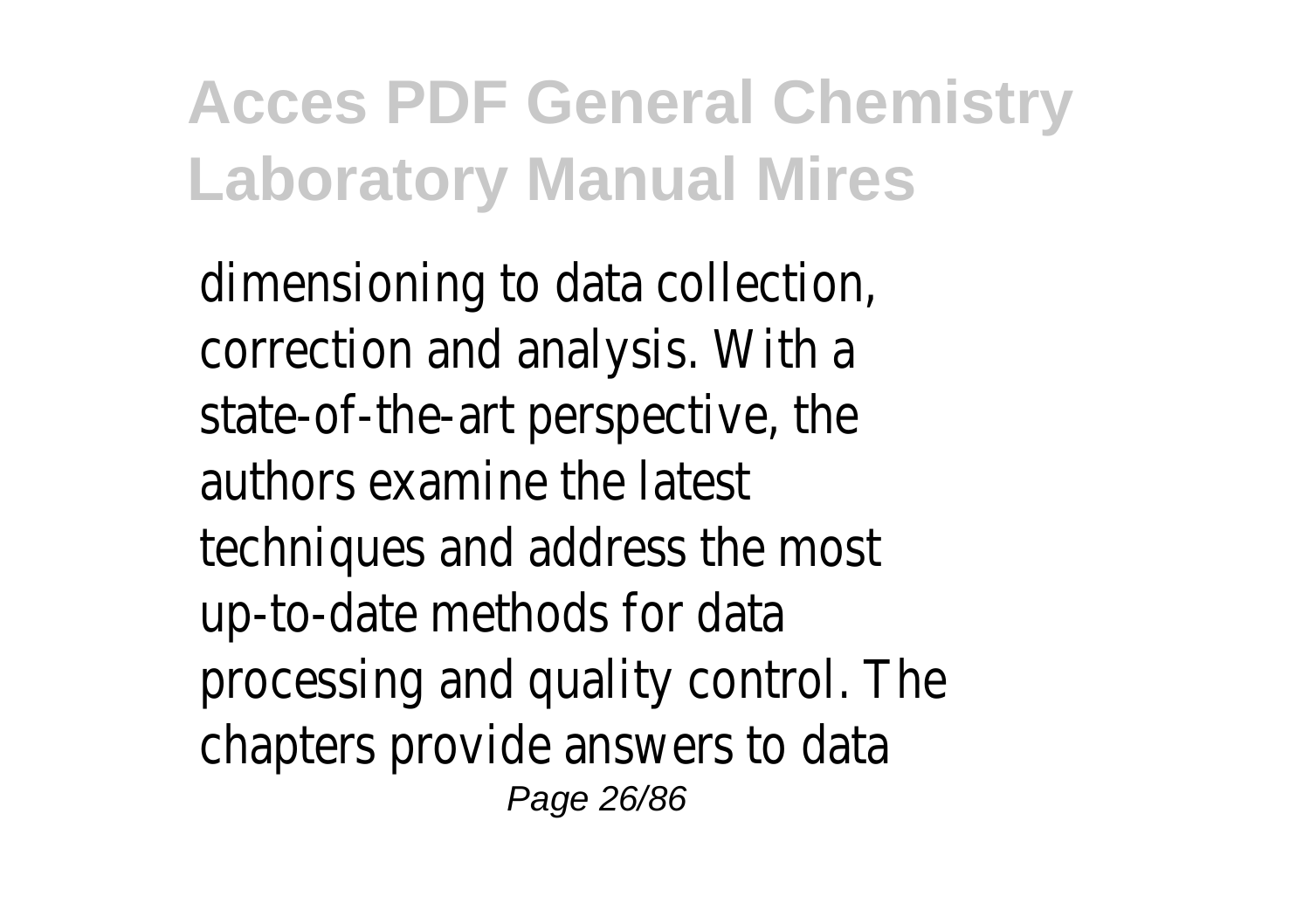dimensioning to data collection, correction and analysis. With a state-of-the-art perspective, the authors examine the latest techniques and address the most up-to-date methods for data processing and quality control. The chapters provide answers to data Page 26/86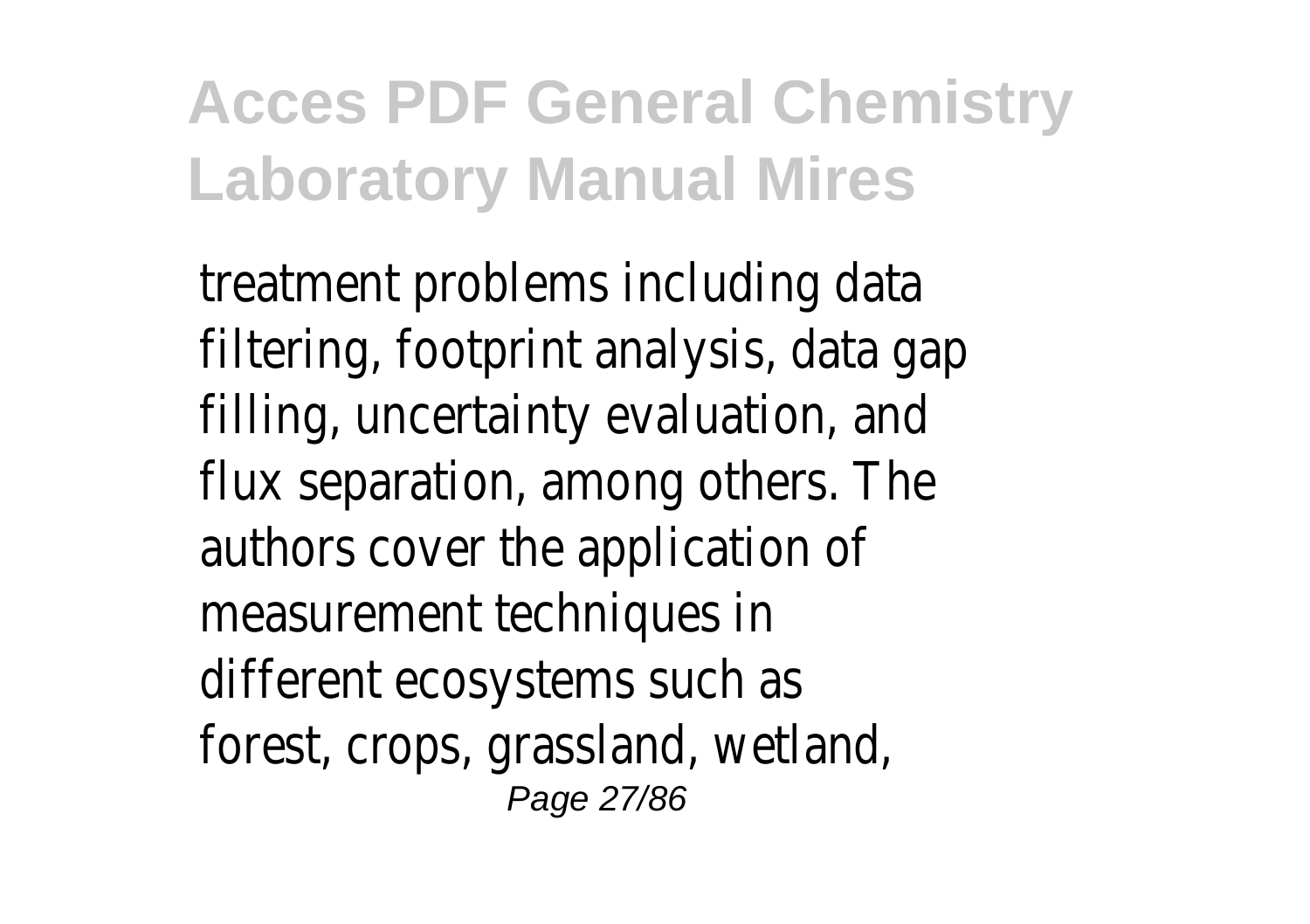treatment problems including data filtering, footprint analysis, data gap filling, uncertainty evaluation, and flux separation, among others. The authors cover the application of measurement techniques in different ecosystems such as forest, crops, grassland, wetland, Page 27/86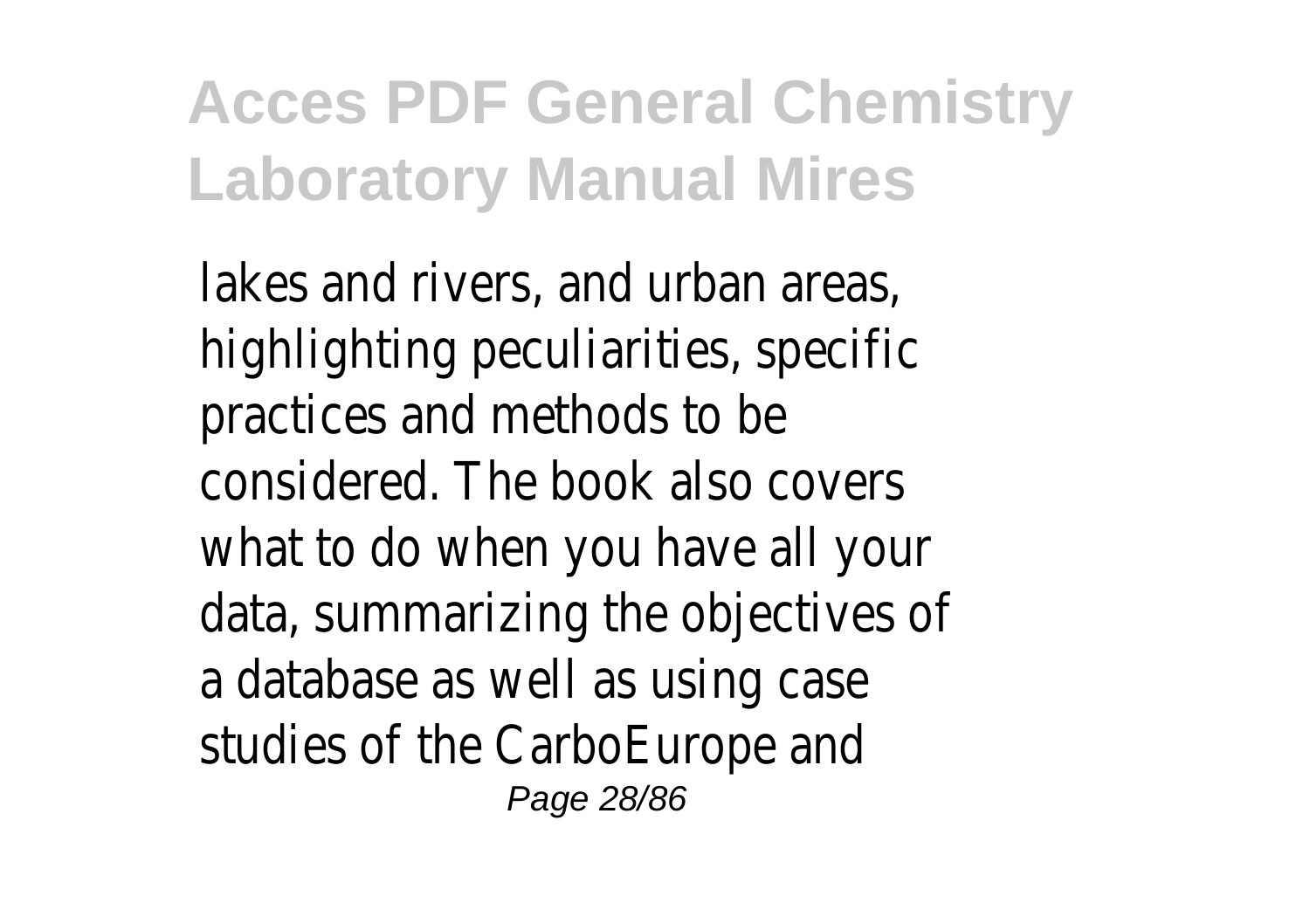lakes and rivers, and urban areas, highlighting peculiarities, specific practices and methods to be considered. The book also covers what to do when you have all your data, summarizing the objectives of a database as well as using case studies of the CarboEurope and Page 28/86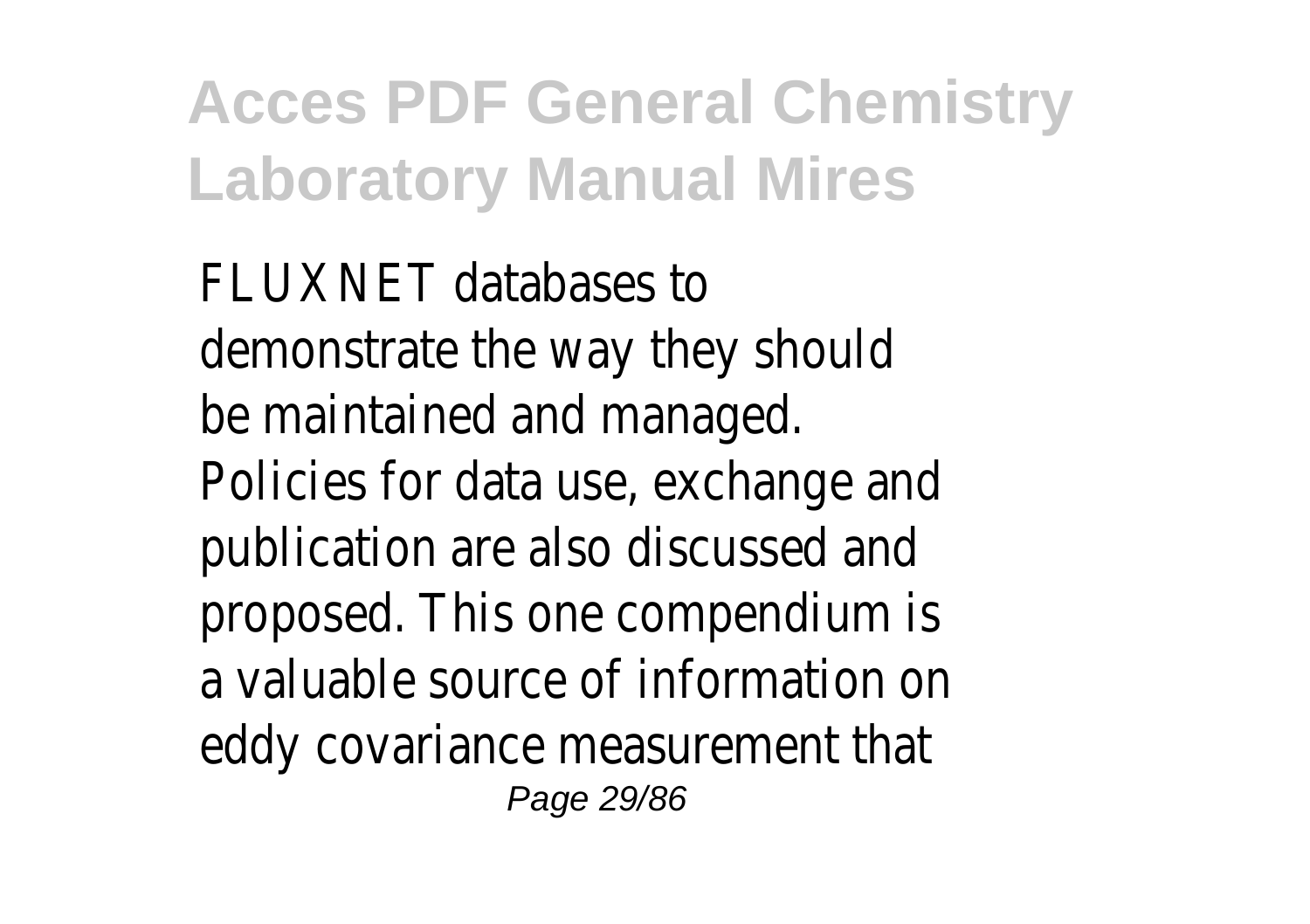FLUXNET databases to demonstrate the way they should be maintained and managed. Policies for data use, exchange and publication are also discussed and proposed. This one compendium is a valuable source of information on eddy covariance measurement that Page 29/86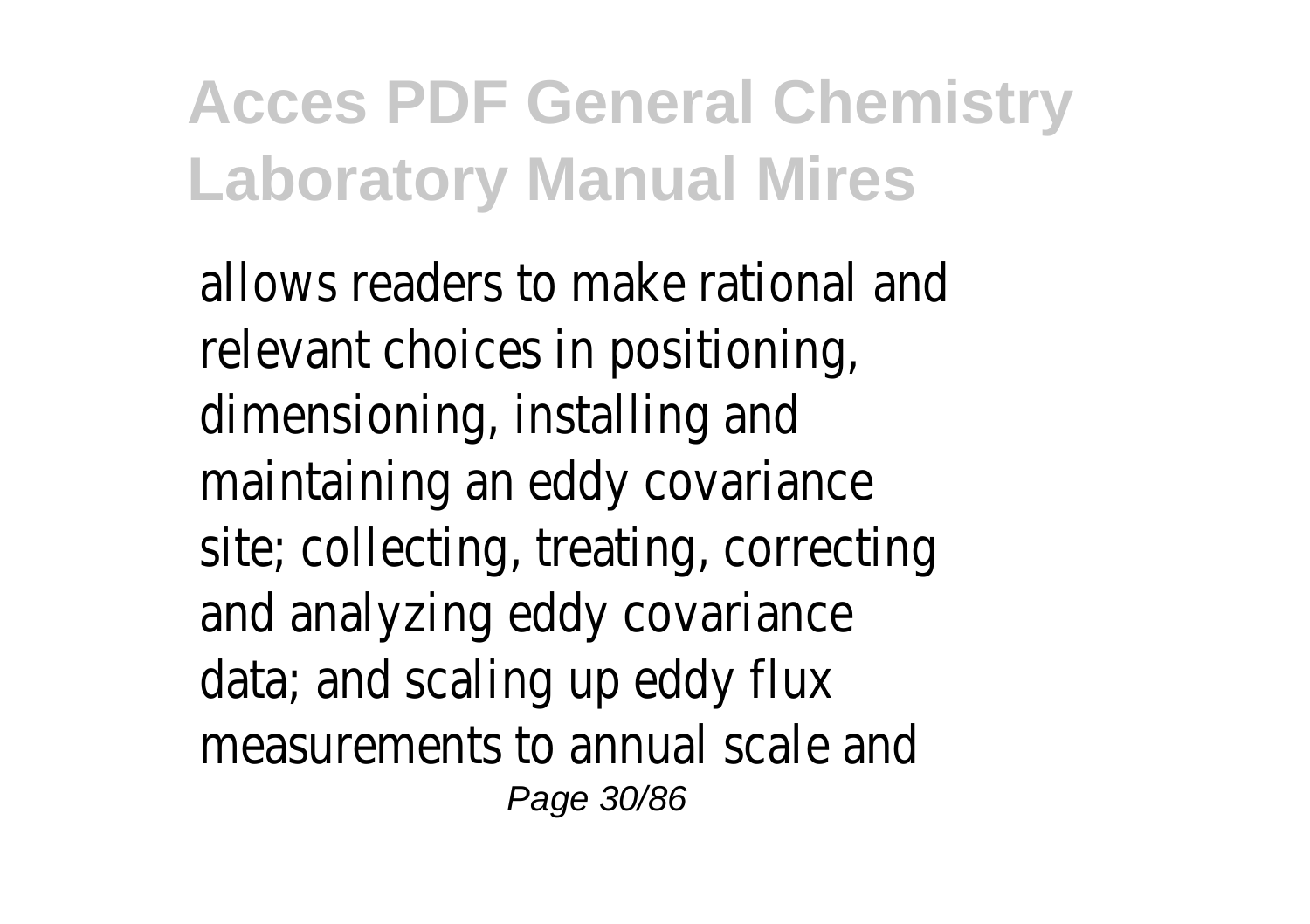allows readers to make rational and relevant choices in positioning, dimensioning, installing and maintaining an eddy covariance site; collecting, treating, correcting and analyzing eddy covariance data; and scaling up eddy flux measurements to annual scale and Page 30/86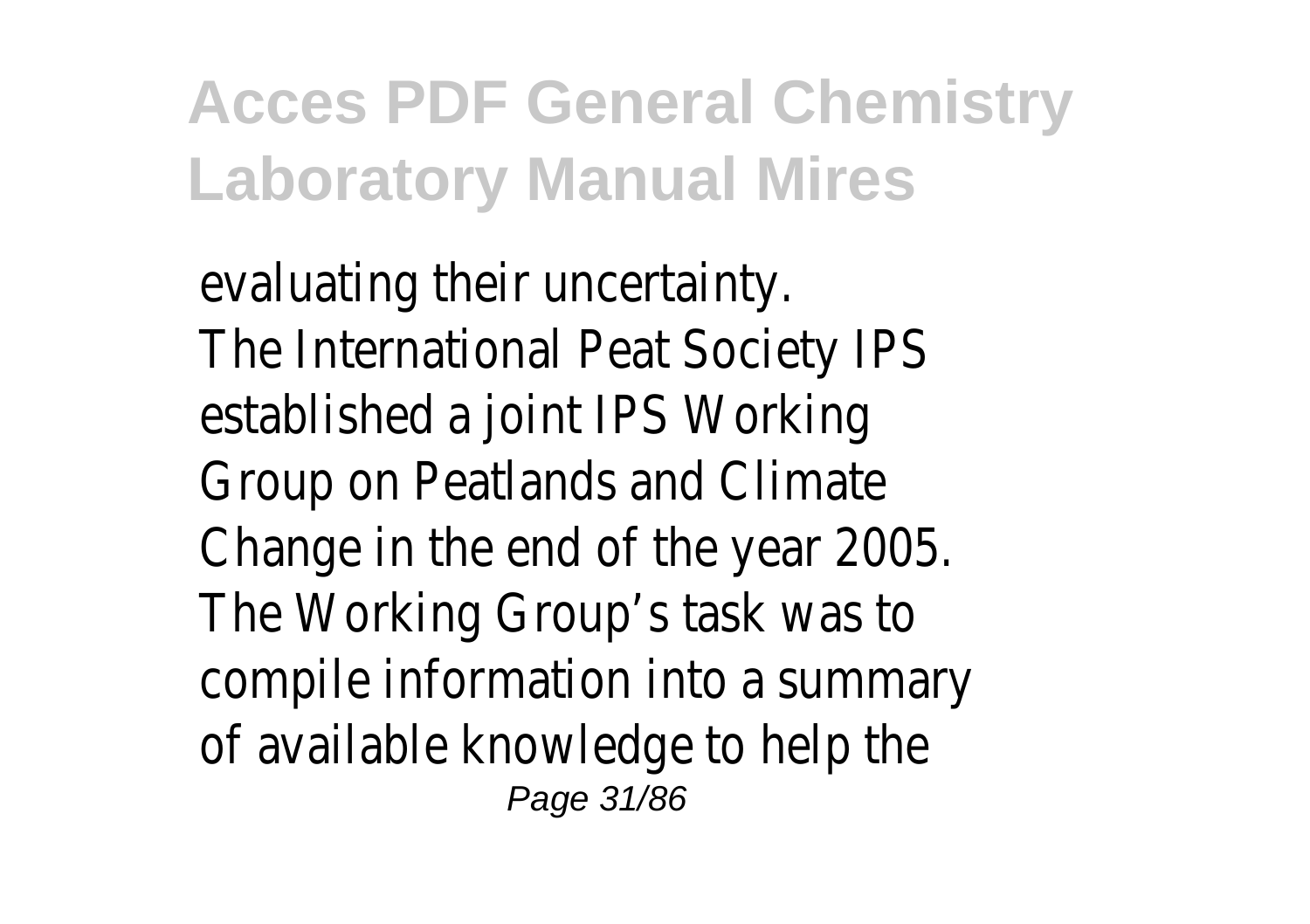evaluating their uncertainty. The International Peat Society IPS established a joint IPS Working Group on Peatlands and Climate Change in the end of the year 2005. The Working Group's task was to compile information into a summary of available knowledge to help the Page 31/86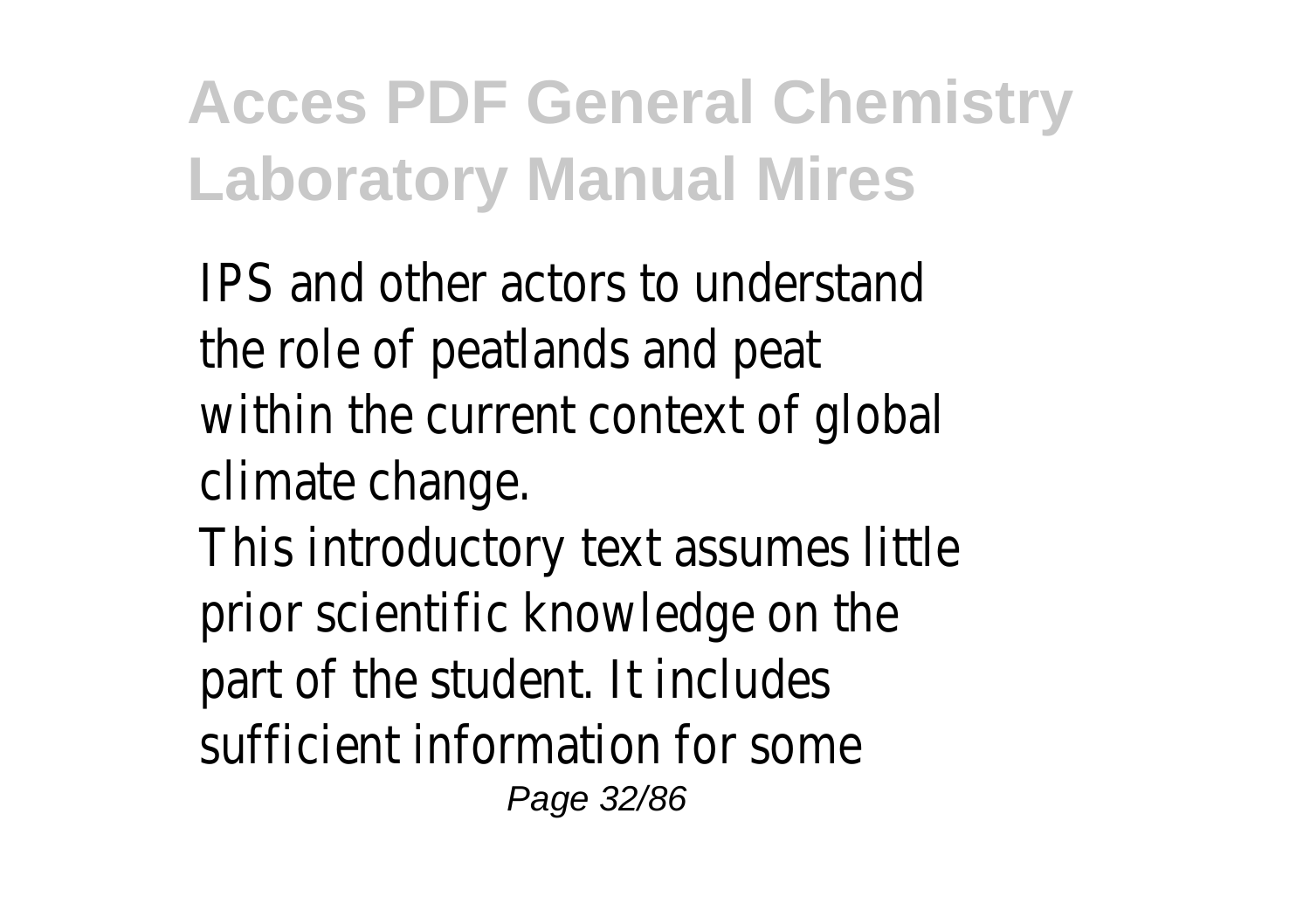IPS and other actors to understand the role of peatlands and peat within the current context of global climate change.

This introductory text assumes little prior scientific knowledge on the part of the student. It includes sufficient information for some Page 32/86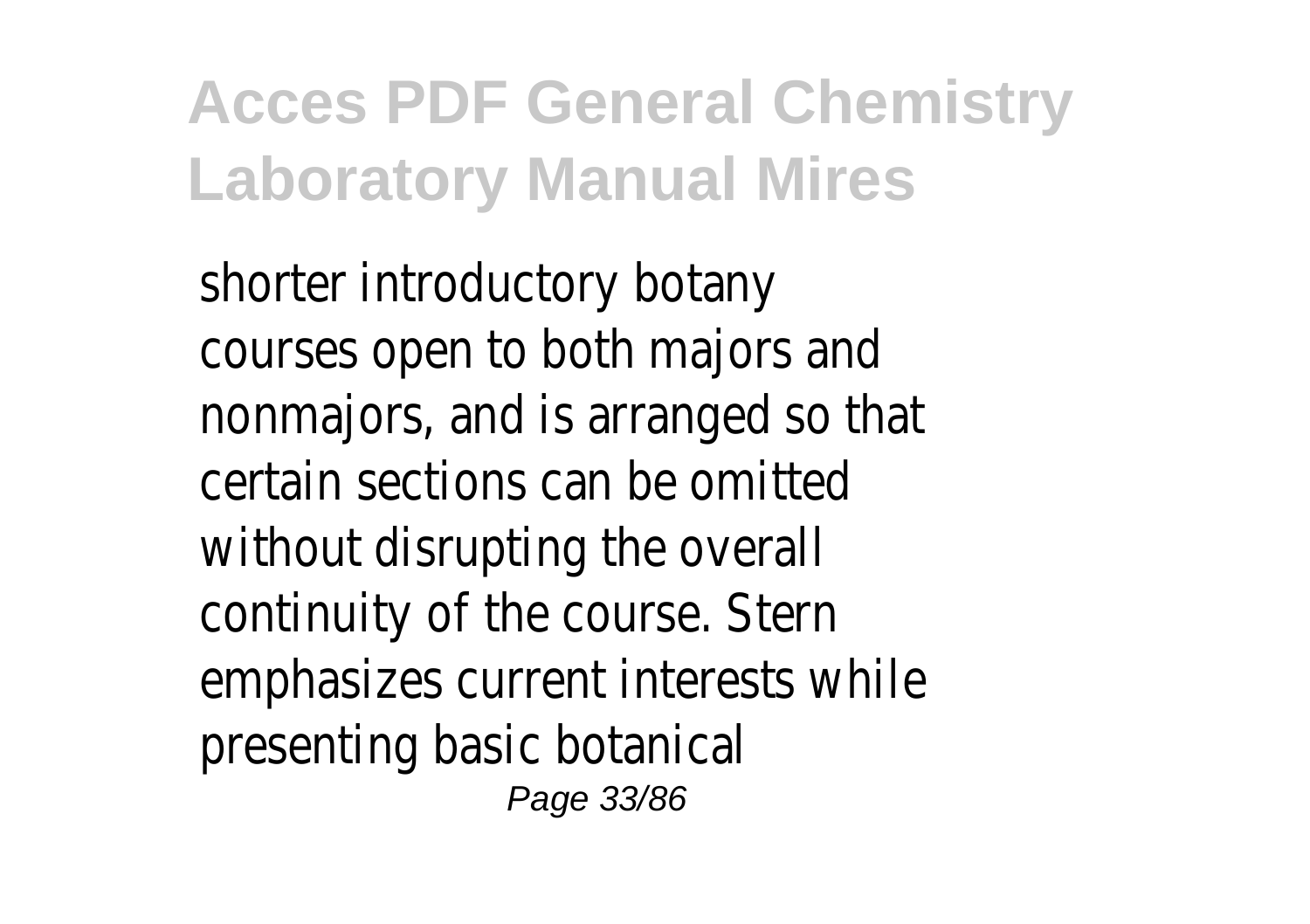shorter introductory botany courses open to both majors and nonmajors, and is arranged so that certain sections can be omitted without disrupting the overall continuity of the course. Stern emphasizes current interests while presenting basic botanical Page 33/86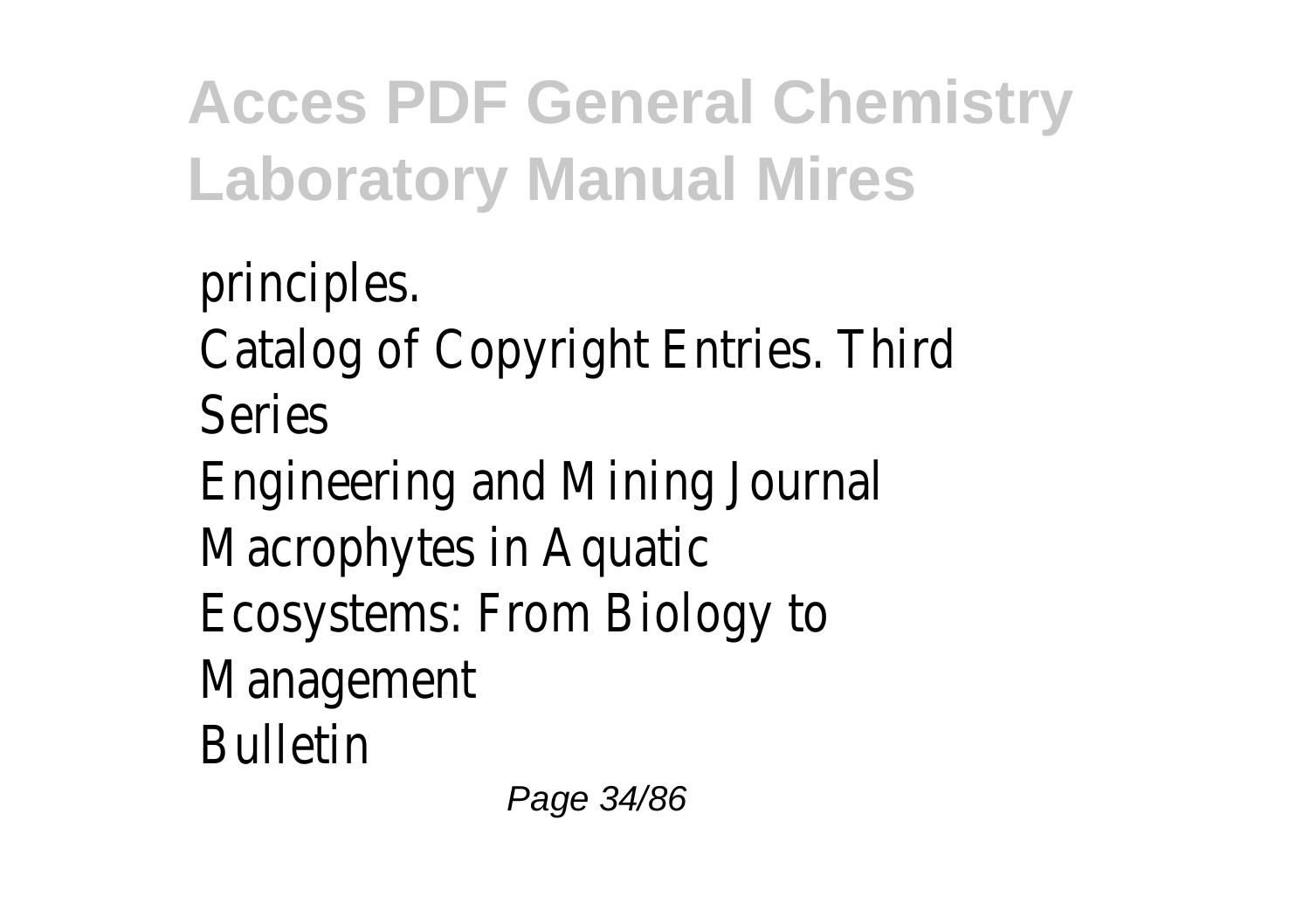principles. Catalog of Copyright Entries. Third Series Engineering and Mining Journal Macrophytes in Aquatic Ecosystems: From Biology to Management Bulletin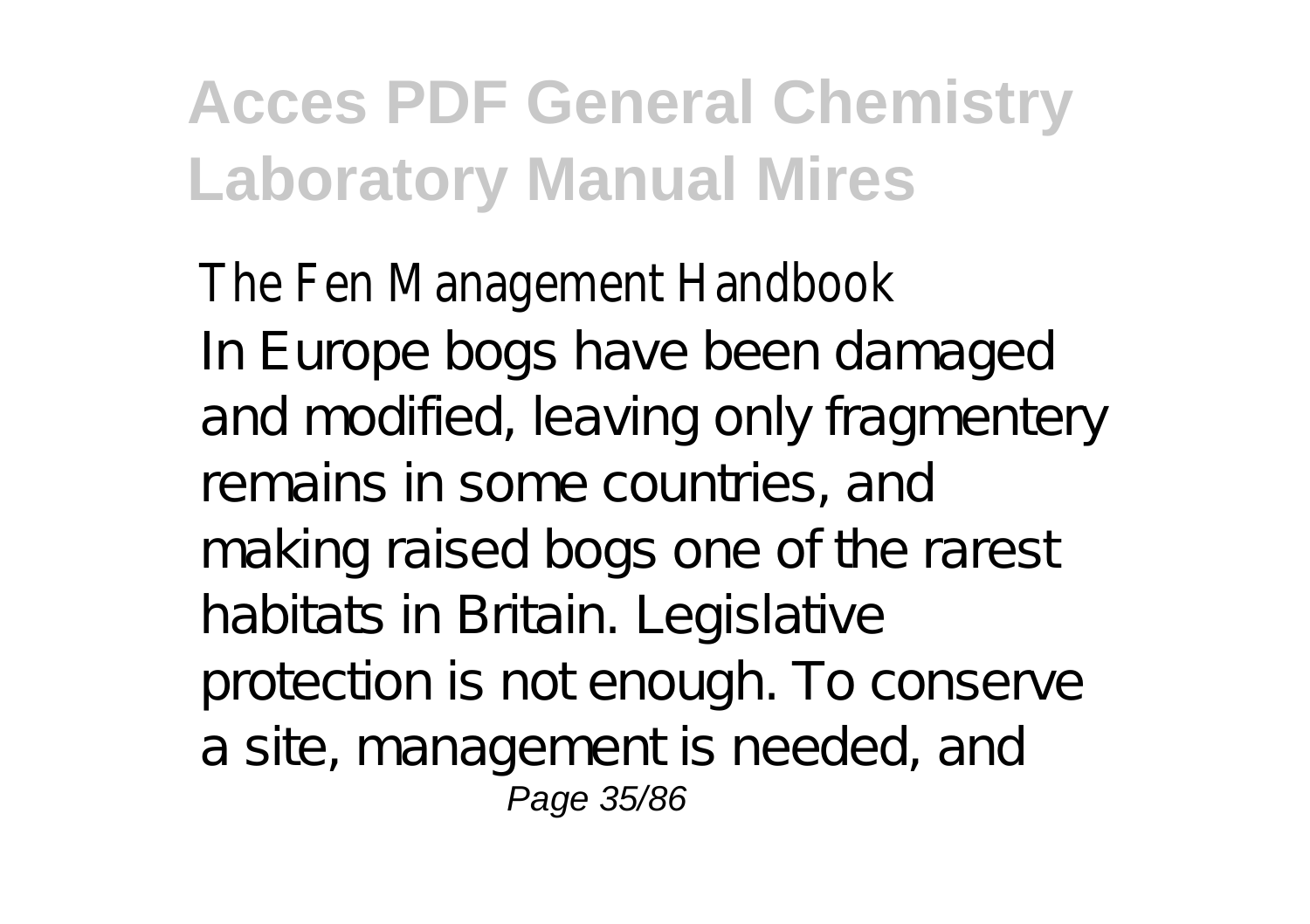The Fen Management Handbook In Europe bogs have been damaged and modified, leaving only fragmentery remains in some countries, and making raised bogs one of the rarest habitats in Britain. Legislative protection is not enough. To conserve a site, management is needed, and Page 35/86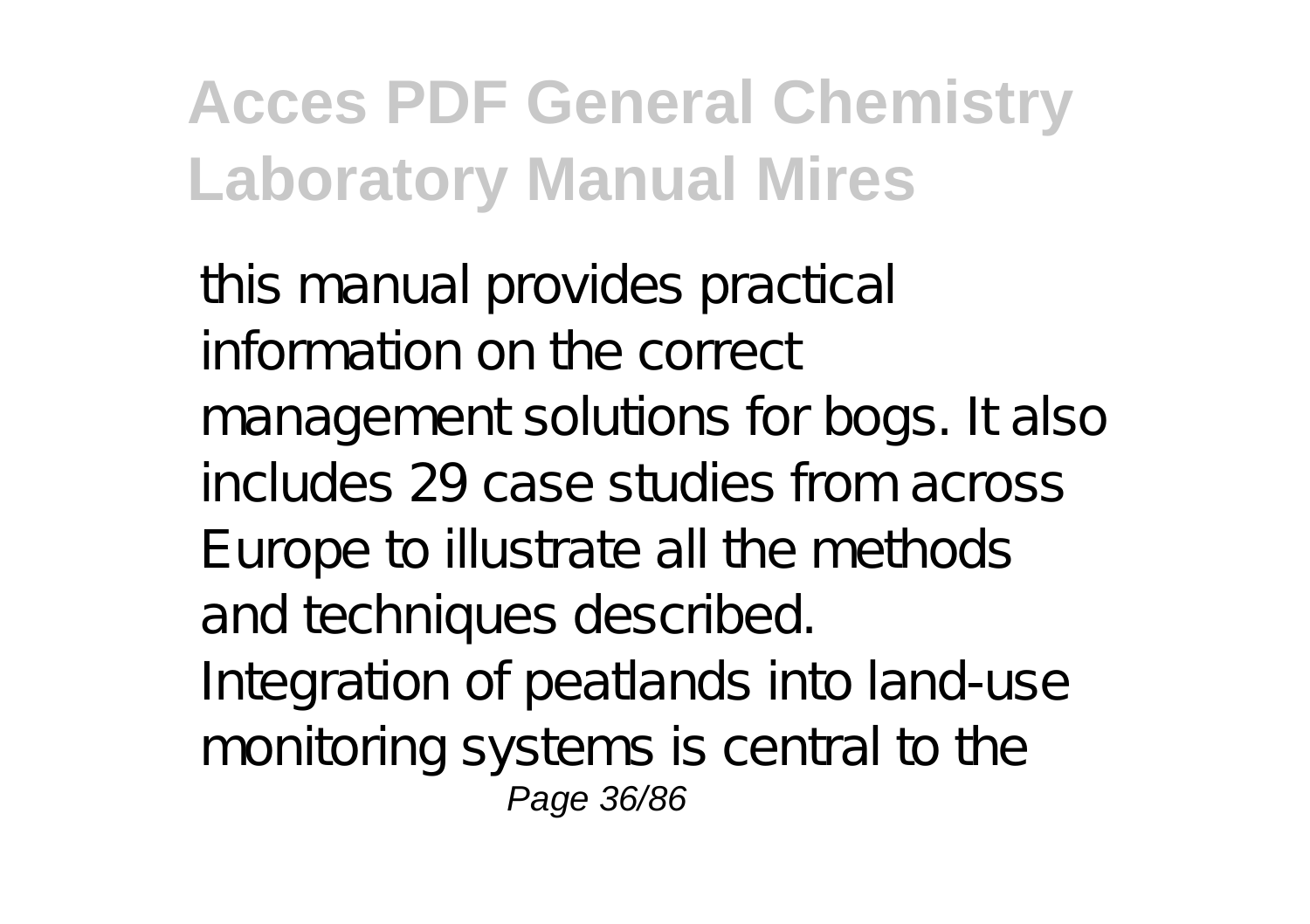this manual provides practical information on the correct management solutions for bogs. It also includes 29 case studies from across Europe to illustrate all the methods and techniques described. Integration of peatlands into land-use monitoring systems is central to the Page 36/86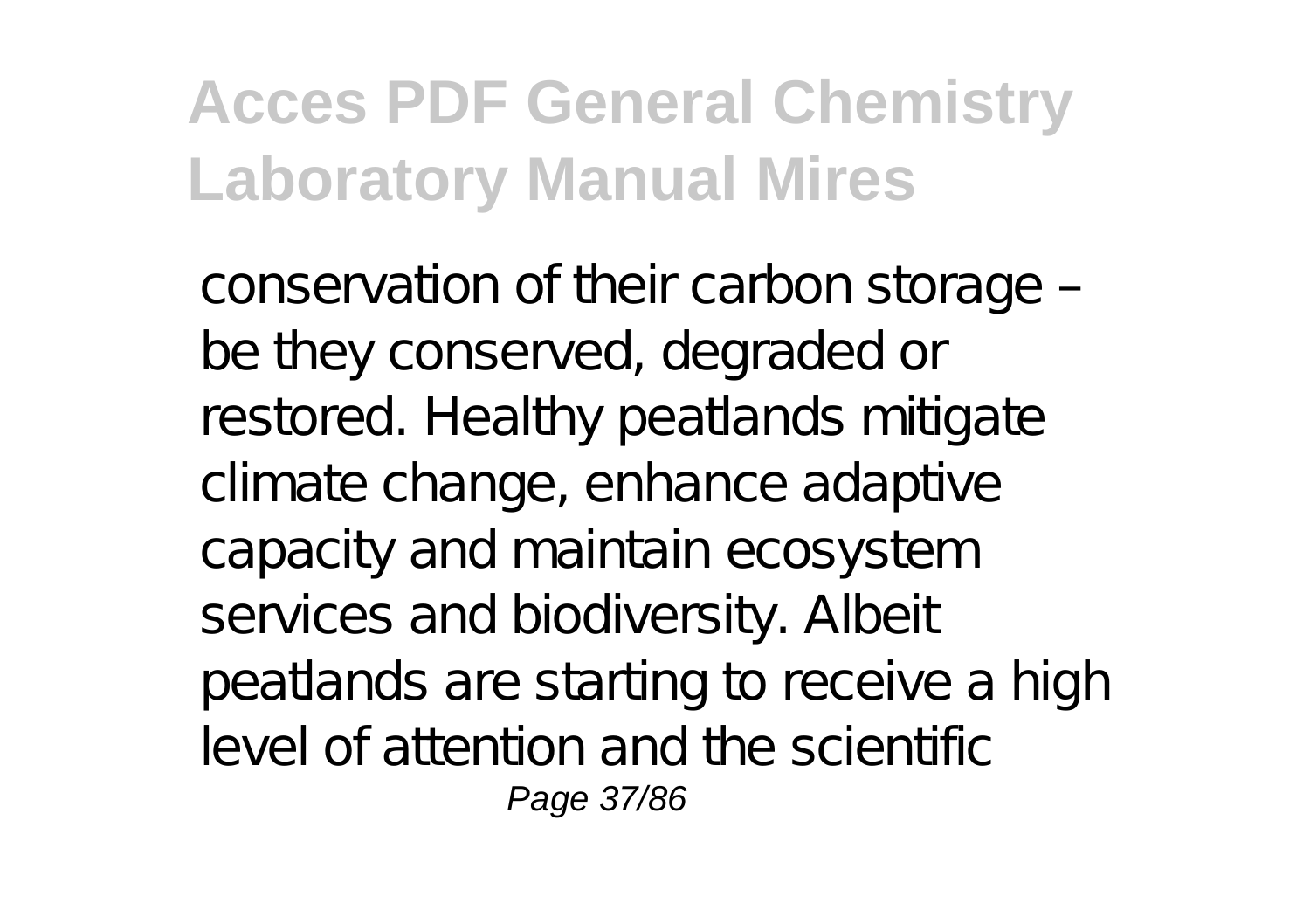conservation of their carbon storage – be they conserved, degraded or restored. Healthy peatlands mitigate climate change, enhance adaptive capacity and maintain ecosystem services and biodiversity. Albeit peatlands are starting to receive a high level of attention and the scientific Page 37/86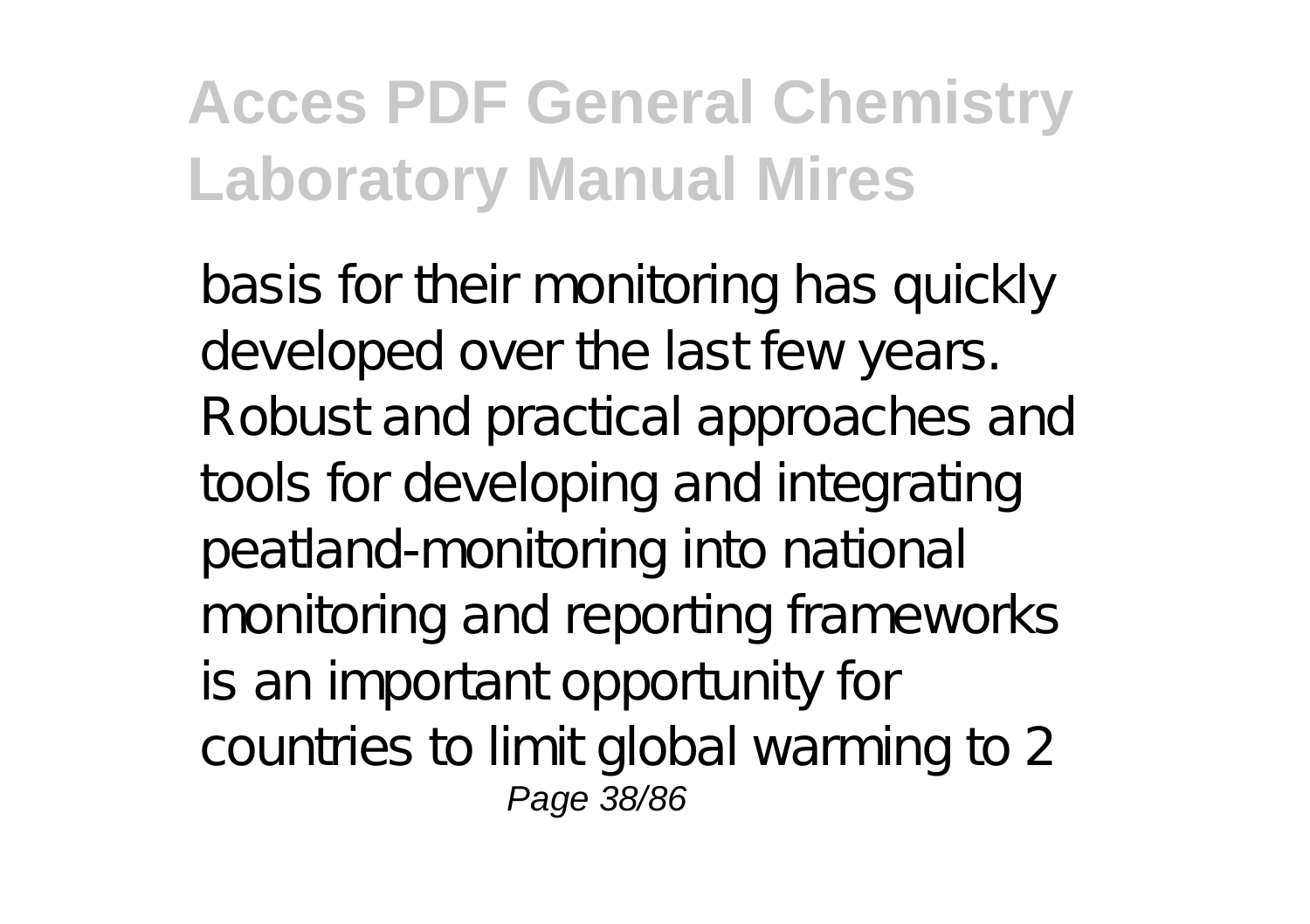basis for their monitoring has quickly developed over the last few years. Robust and practical approaches and tools for developing and integrating peatland-monitoring into national monitoring and reporting frameworks is an important opportunity for countries to limit global warming to 2 Page 38/86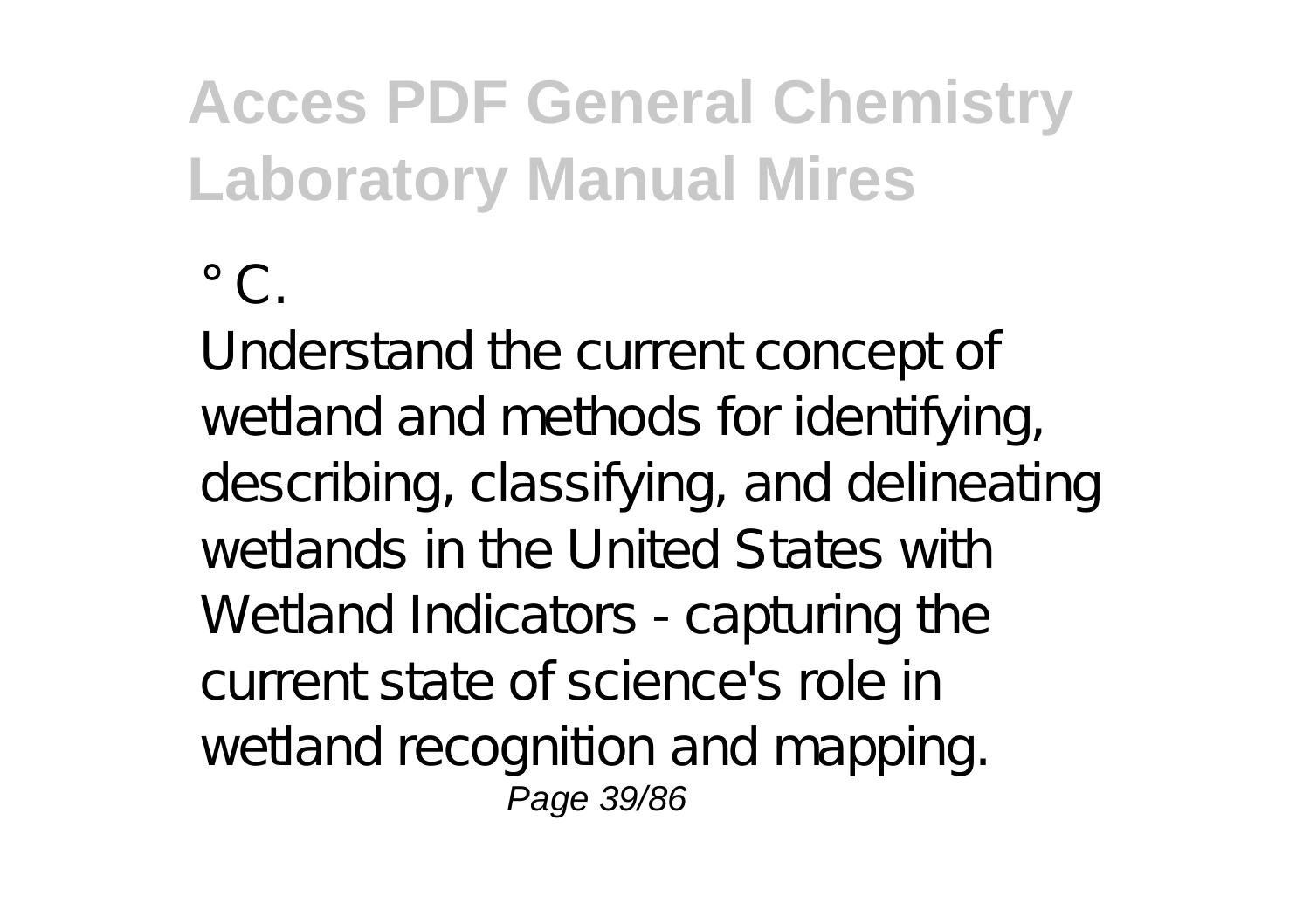$\degree$  C.

Understand the current concept of wetland and methods for identifying, describing, classifying, and delineating wetlands in the United States with Wetland Indicators - capturing the current state of science's role in wetland recognition and mapping. Page 39/86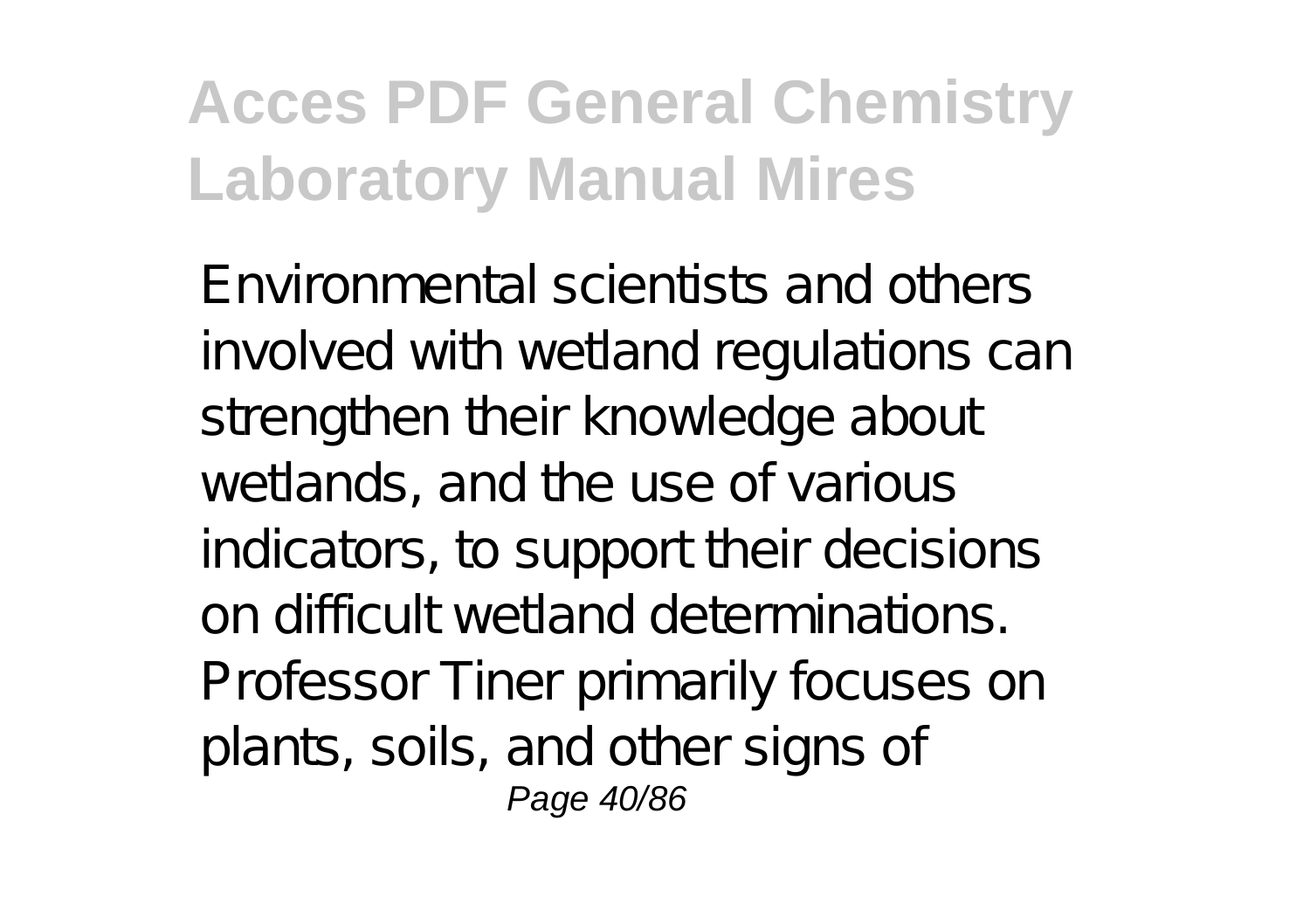Environmental scientists and others involved with wetland regulations can strengthen their knowledge about wetlands, and the use of various indicators, to support their decisions on difficult wetland determinations. Professor Tiner primarily focuses on plants, soils, and other signs of Page 40/86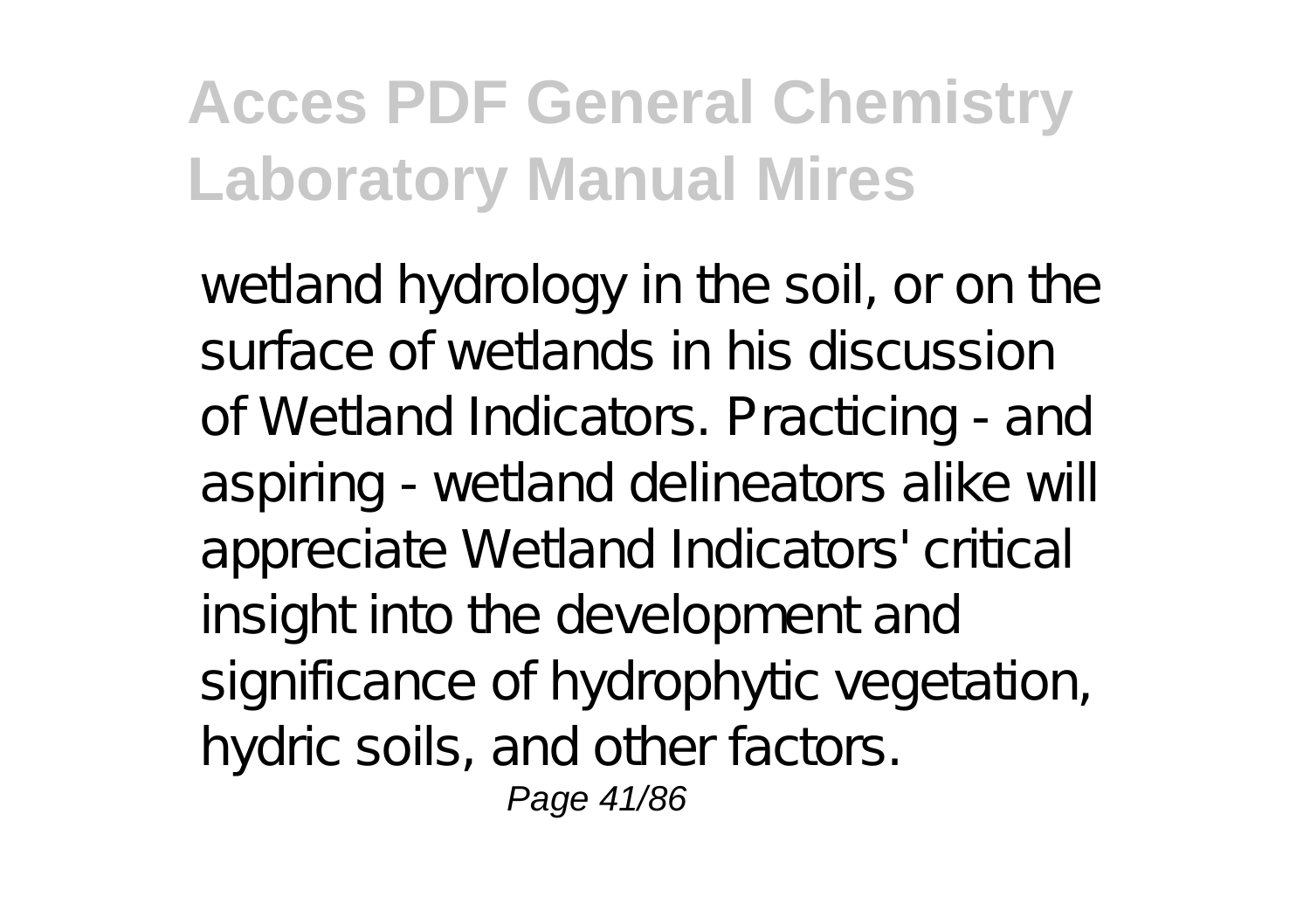wetland hydrology in the soil, or on the surface of wetlands in his discussion of Wetland Indicators. Practicing - and aspiring - wetland delineators alike will appreciate Wetland Indicators' critical insight into the development and significance of hydrophytic vegetation, hydric soils, and other factors. Page 41/86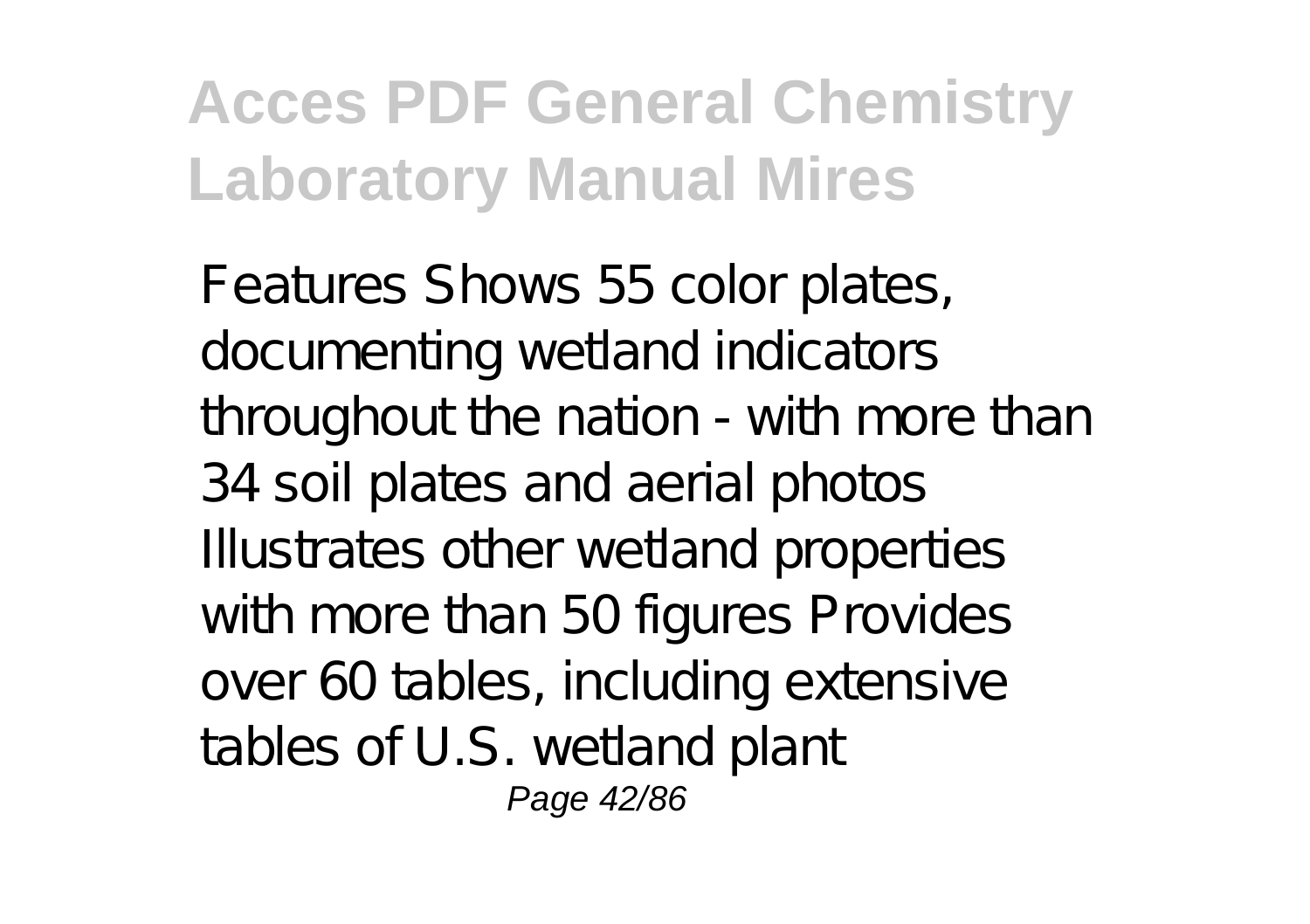Features Shows 55 color plates, documenting wetland indicators throughout the nation - with more than 34 soil plates and aerial photos Illustrates other wetland properties with more than 50 figures Provides over 60 tables, including extensive tables of U.S. wetland plant Page 42/86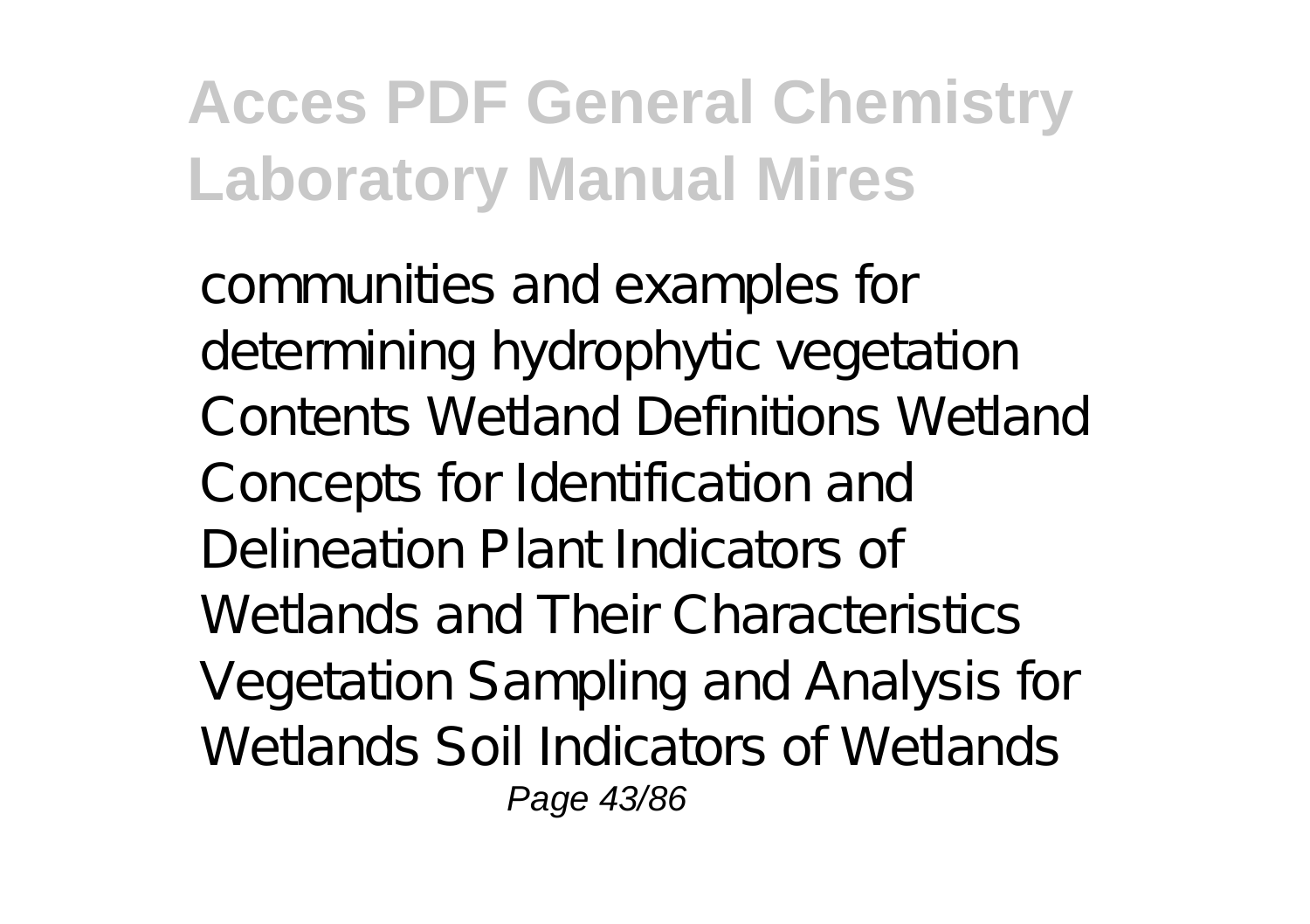communities and examples for determining hydrophytic vegetation Contents Wetland Definitions Wetland Concepts for Identification and Delineation Plant Indicators of Wetlands and Their Characteristics Vegetation Sampling and Analysis for Wetlands Soil Indicators of Wetlands Page 43/86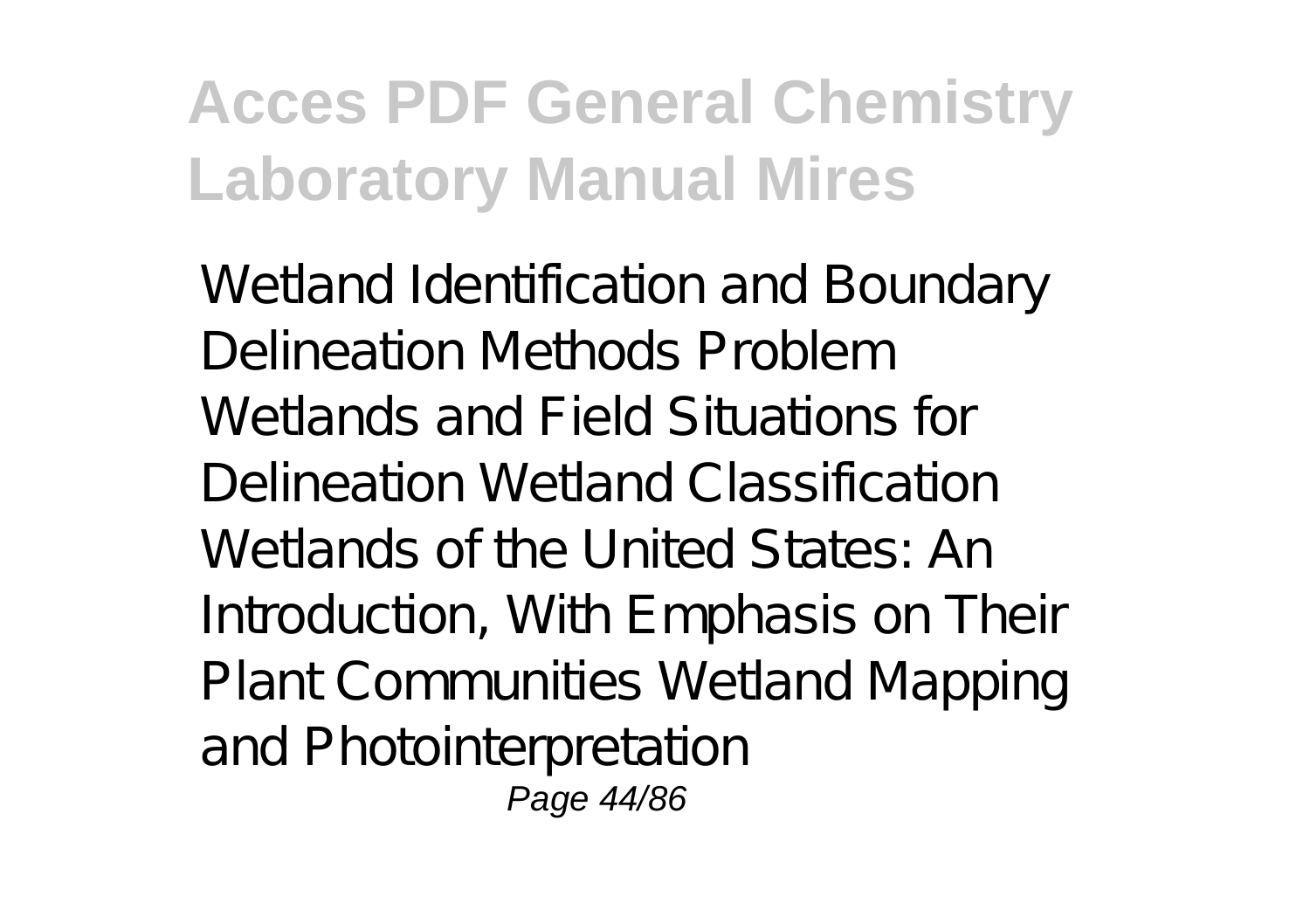Wetland Identification and Boundary Delineation Methods Problem Wetlands and Field Situations for Delineation Wetland Classification Wetlands of the United States: An Introduction, With Emphasis on Their Plant Communities Wetland Mapping and Photointerpretation Page 44/86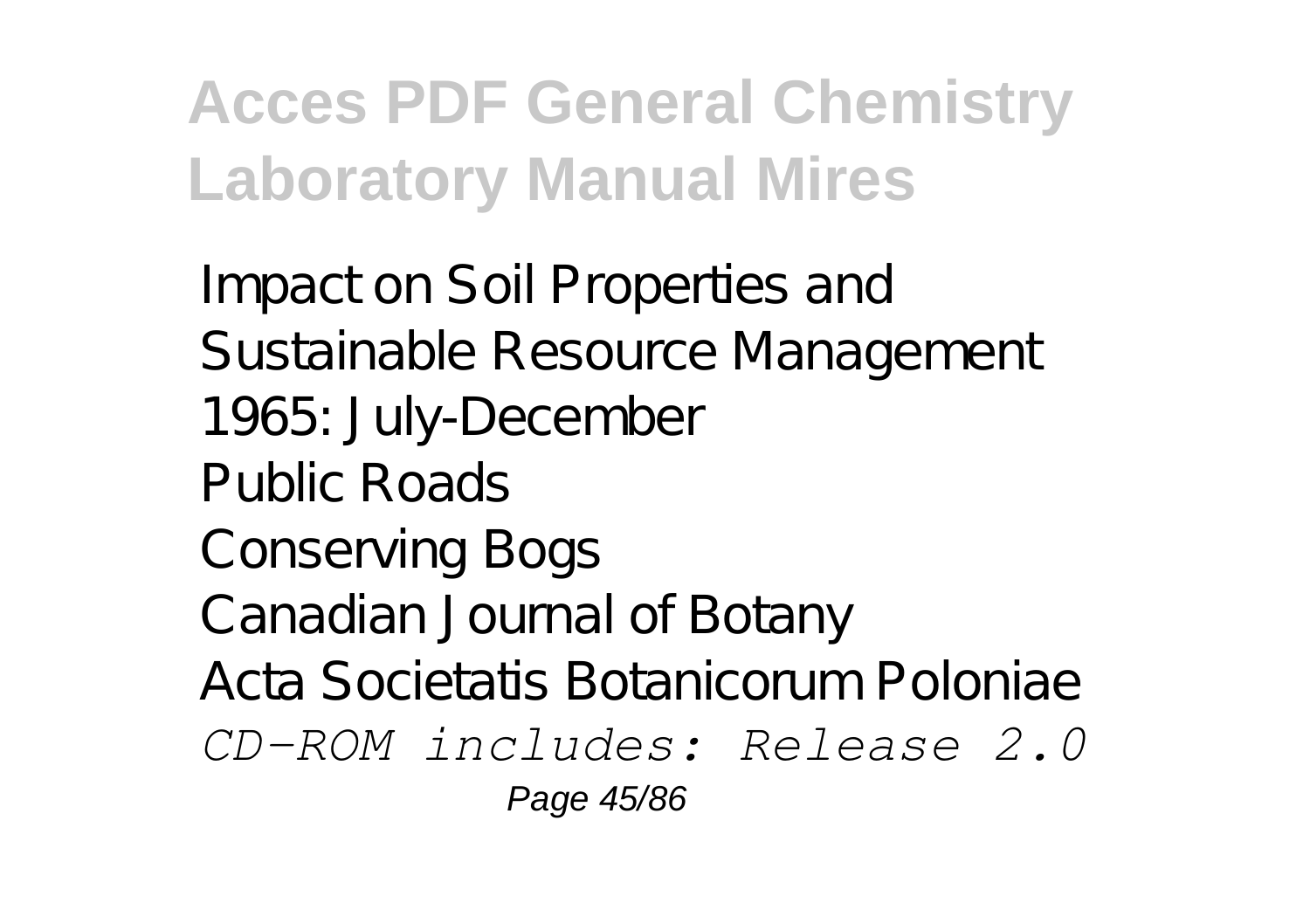Impact on Soil Properties and Sustainable Resource Management 1965: July-December Public Roads Conserving Bogs Canadian Journal of Botany Acta Societatis Botanicorum Poloniae *CD-ROM includes: Release 2.0* Page 45/86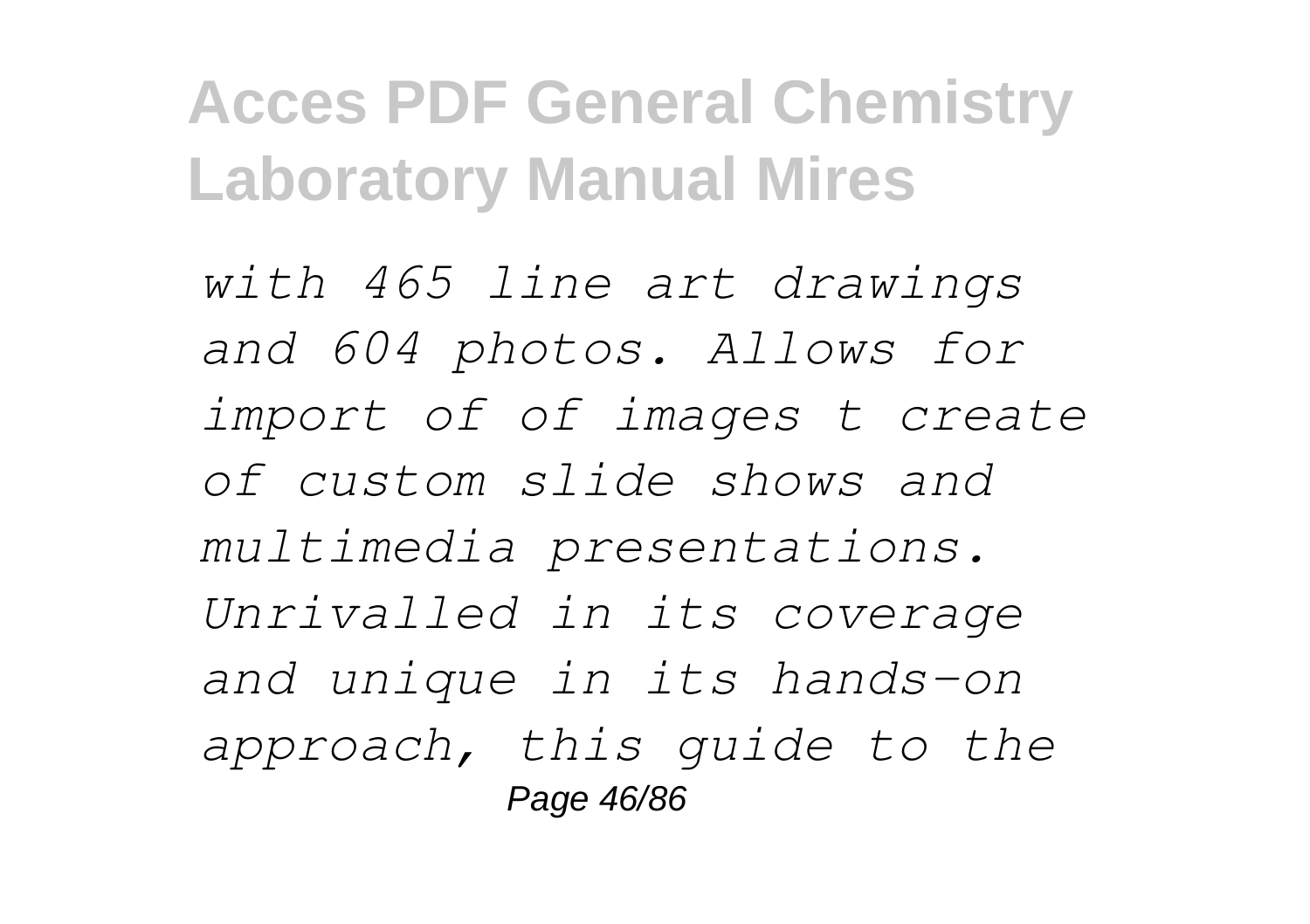*with 465 line art drawings and 604 photos. Allows for import of of images t create of custom slide shows and multimedia presentations. Unrivalled in its coverage and unique in its hands-on approach, this guide to the* Page 46/86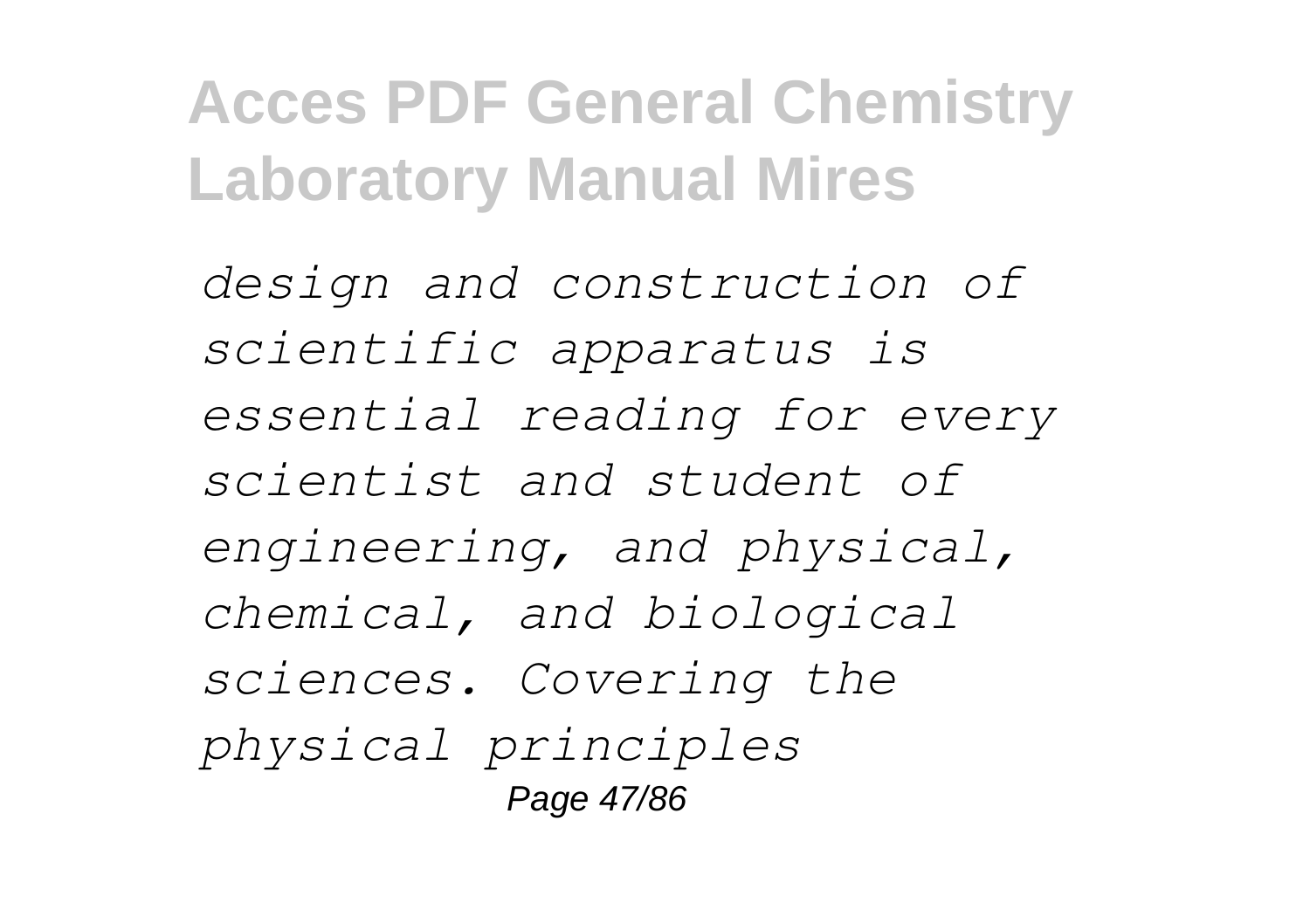*design and construction of scientific apparatus is essential reading for every scientist and student of engineering, and physical, chemical, and biological sciences. Covering the physical principles* Page 47/86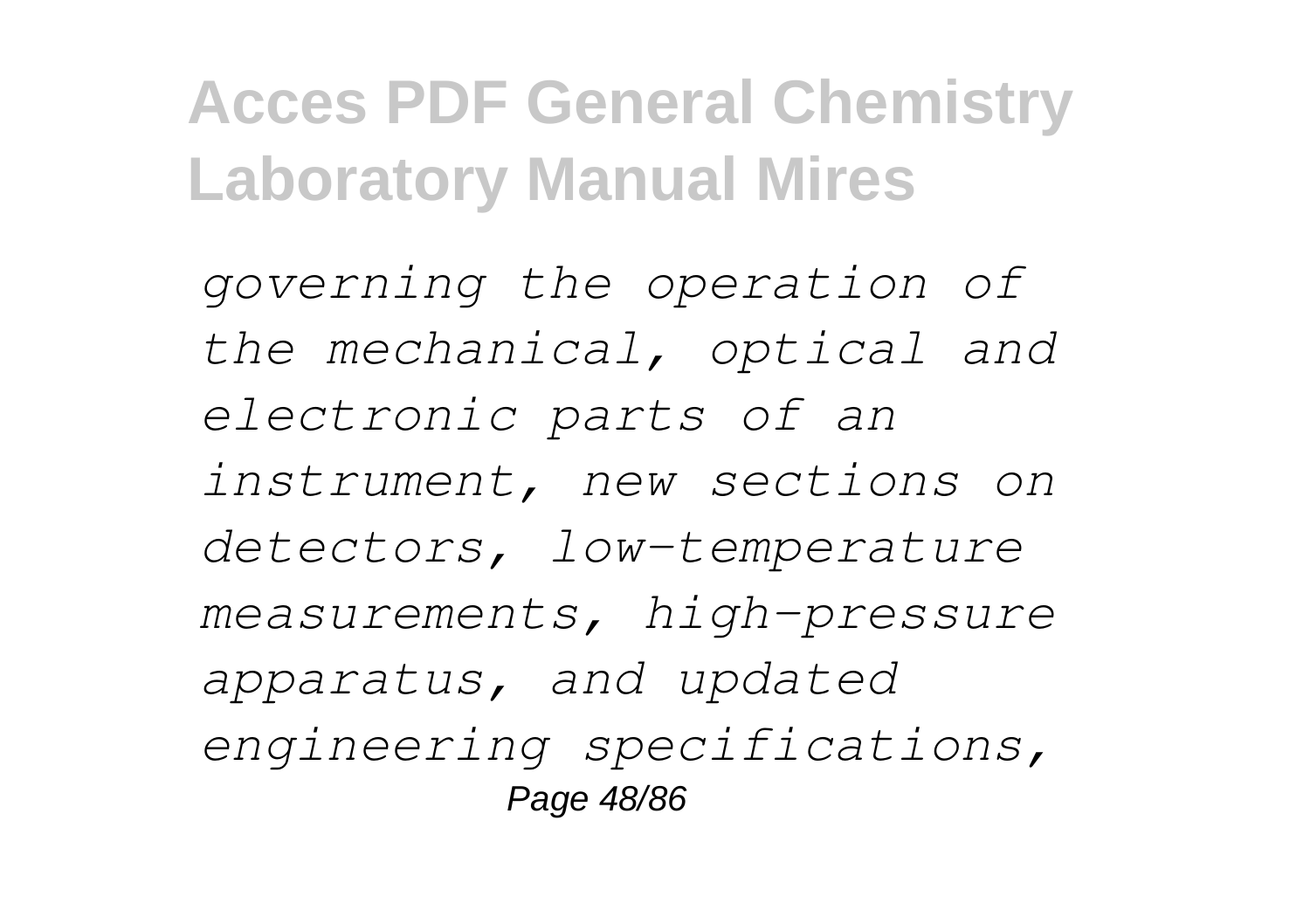*governing the operation of the mechanical, optical and electronic parts of an instrument, new sections on detectors, low-temperature measurements, high-pressure apparatus, and updated engineering specifications,* Page 48/86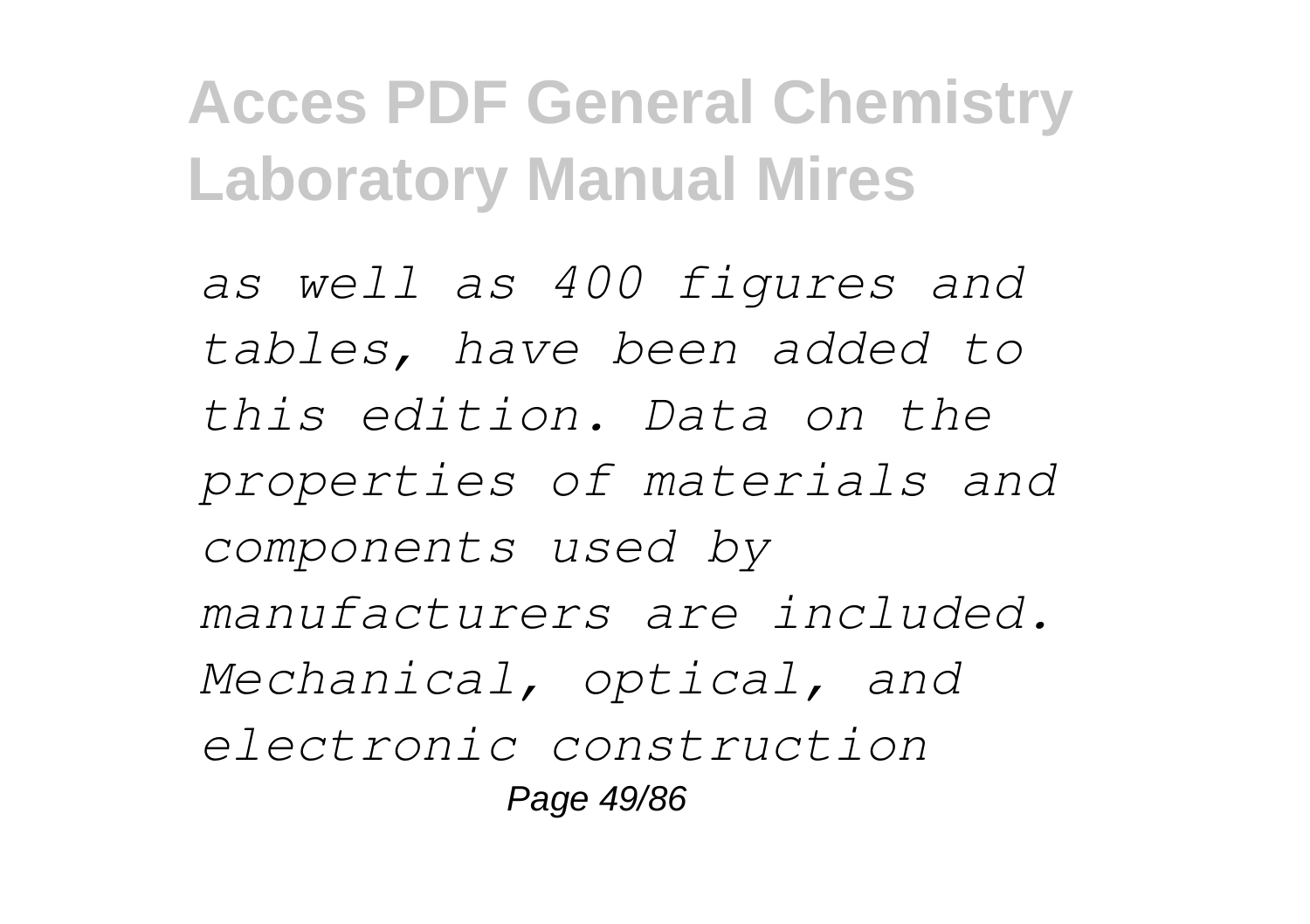*as well as 400 figures and tables, have been added to this edition. Data on the properties of materials and components used by manufacturers are included. Mechanical, optical, and electronic construction* Page 49/86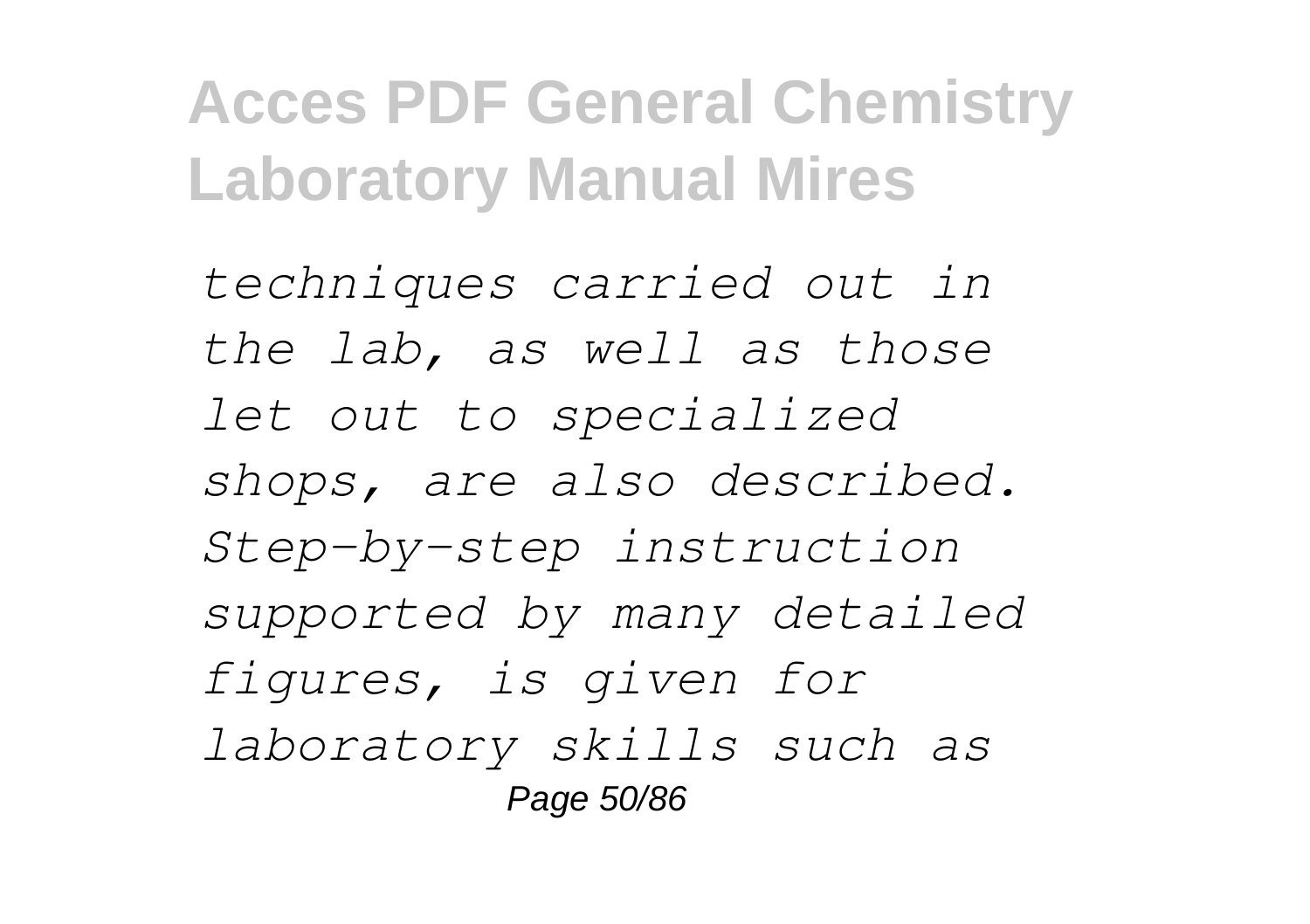*techniques carried out in the lab, as well as those let out to specialized shops, are also described. Step-by-step instruction supported by many detailed figures, is given for laboratory skills such as* Page 50/86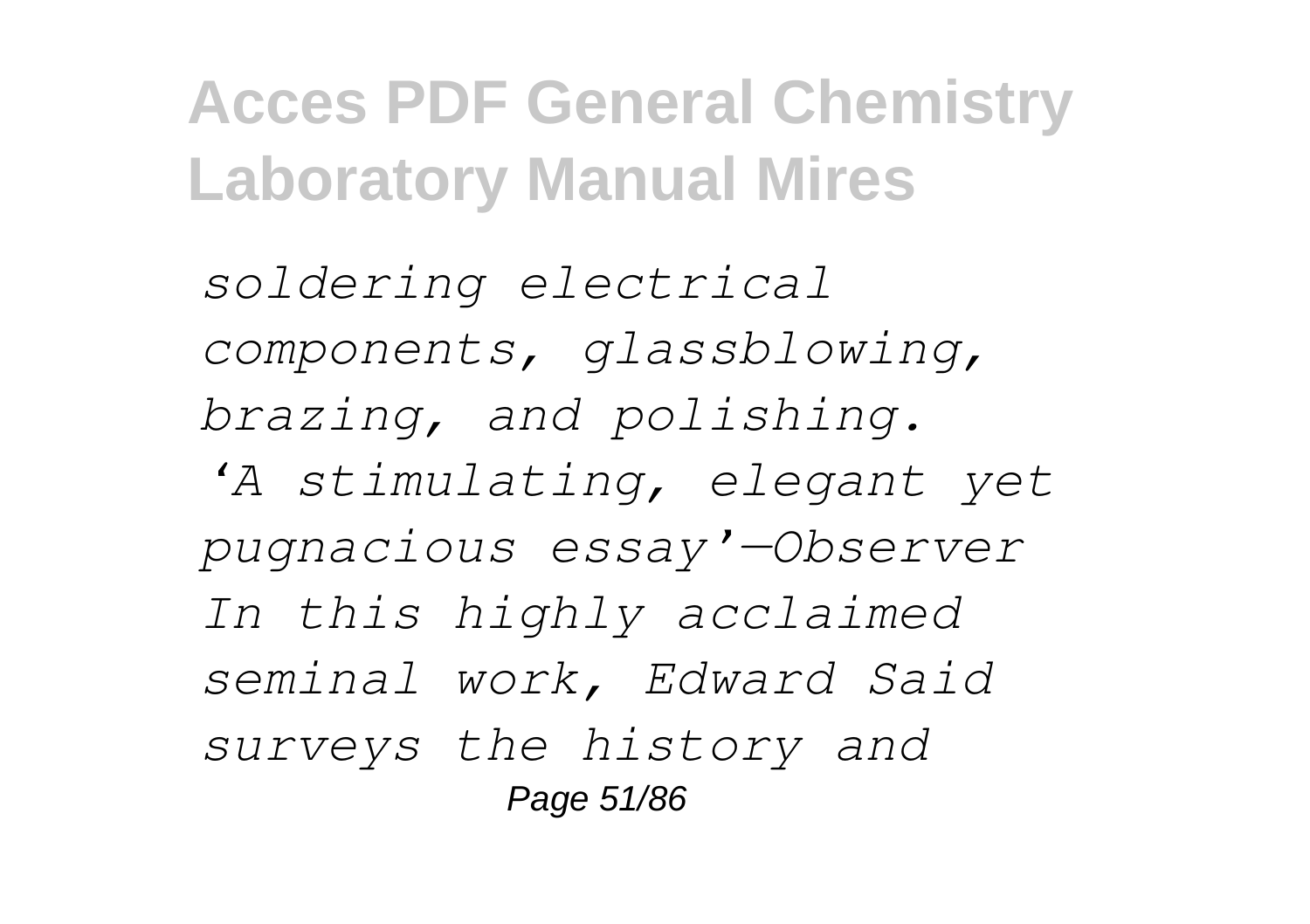*soldering electrical components, glassblowing, brazing, and polishing.*

*'A stimulating, elegant yet pugnacious essay'—Observer In this highly acclaimed seminal work, Edward Said surveys the history and* Page 51/86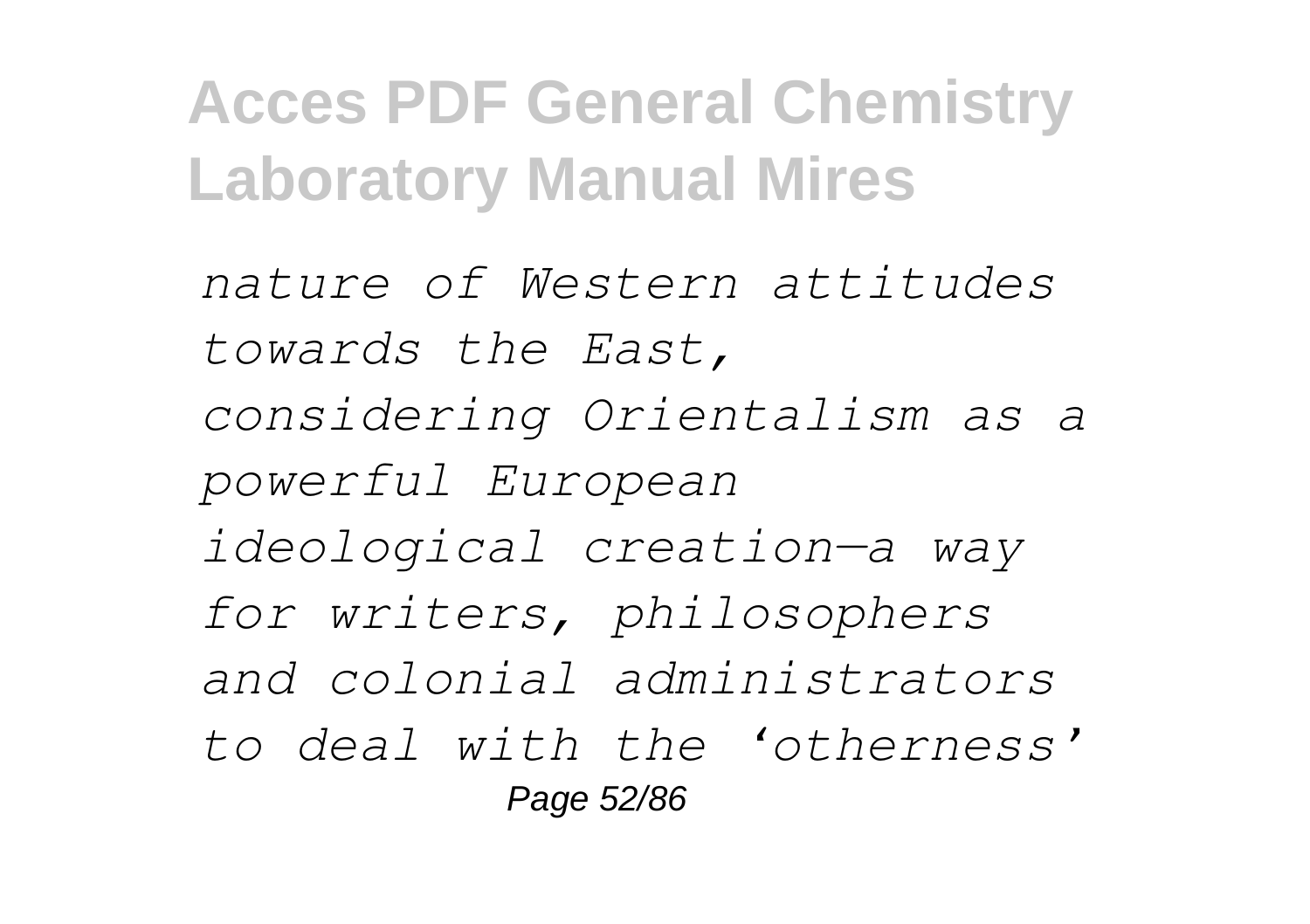*nature of Western attitudes towards the East, considering Orientalism as a powerful European ideological creation—a way for writers, philosophers and colonial administrators to deal with the 'otherness'* Page 52/86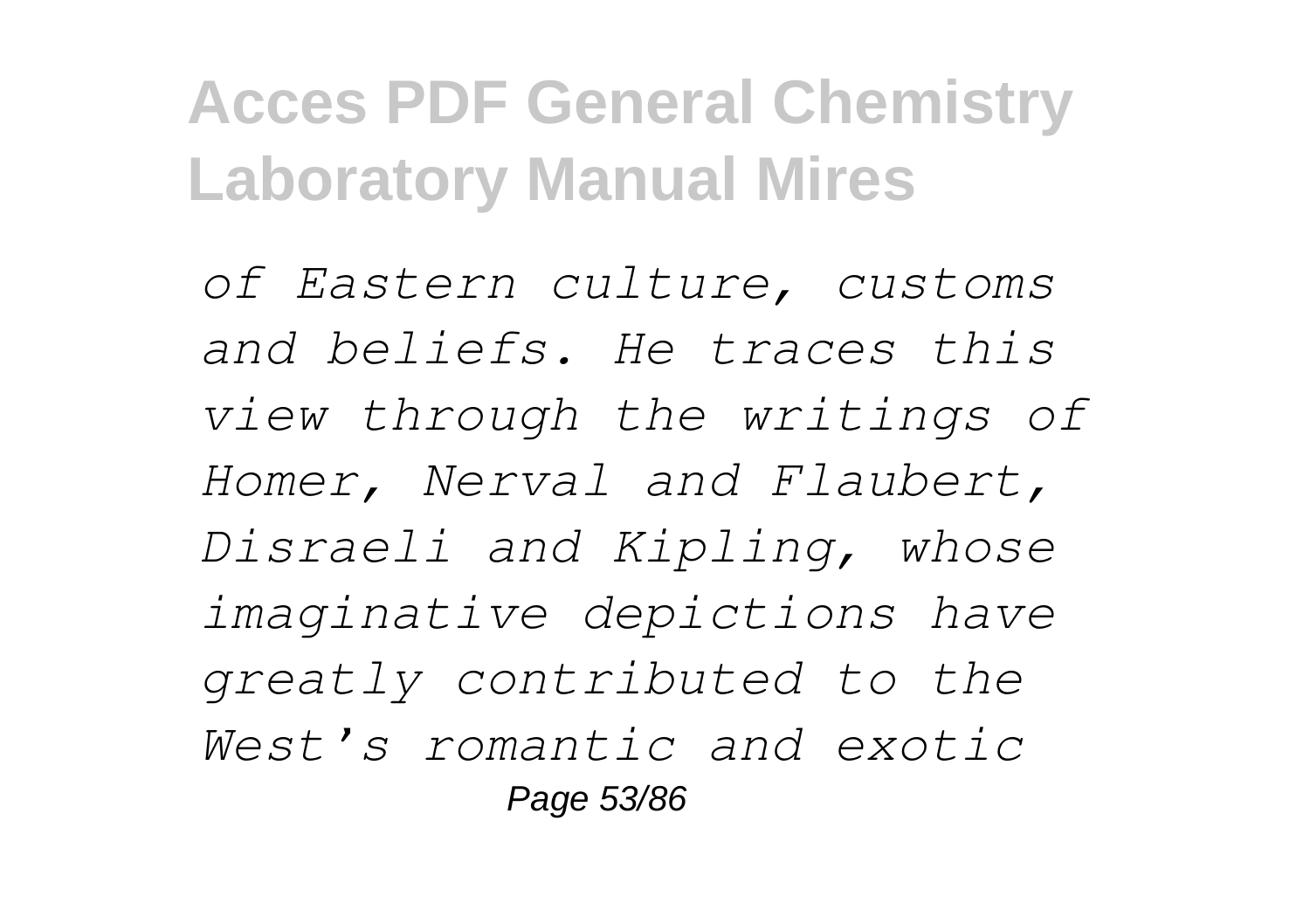*of Eastern culture, customs and beliefs. He traces this view through the writings of Homer, Nerval and Flaubert, Disraeli and Kipling, whose imaginative depictions have greatly contributed to the West's romantic and exotic* Page 53/86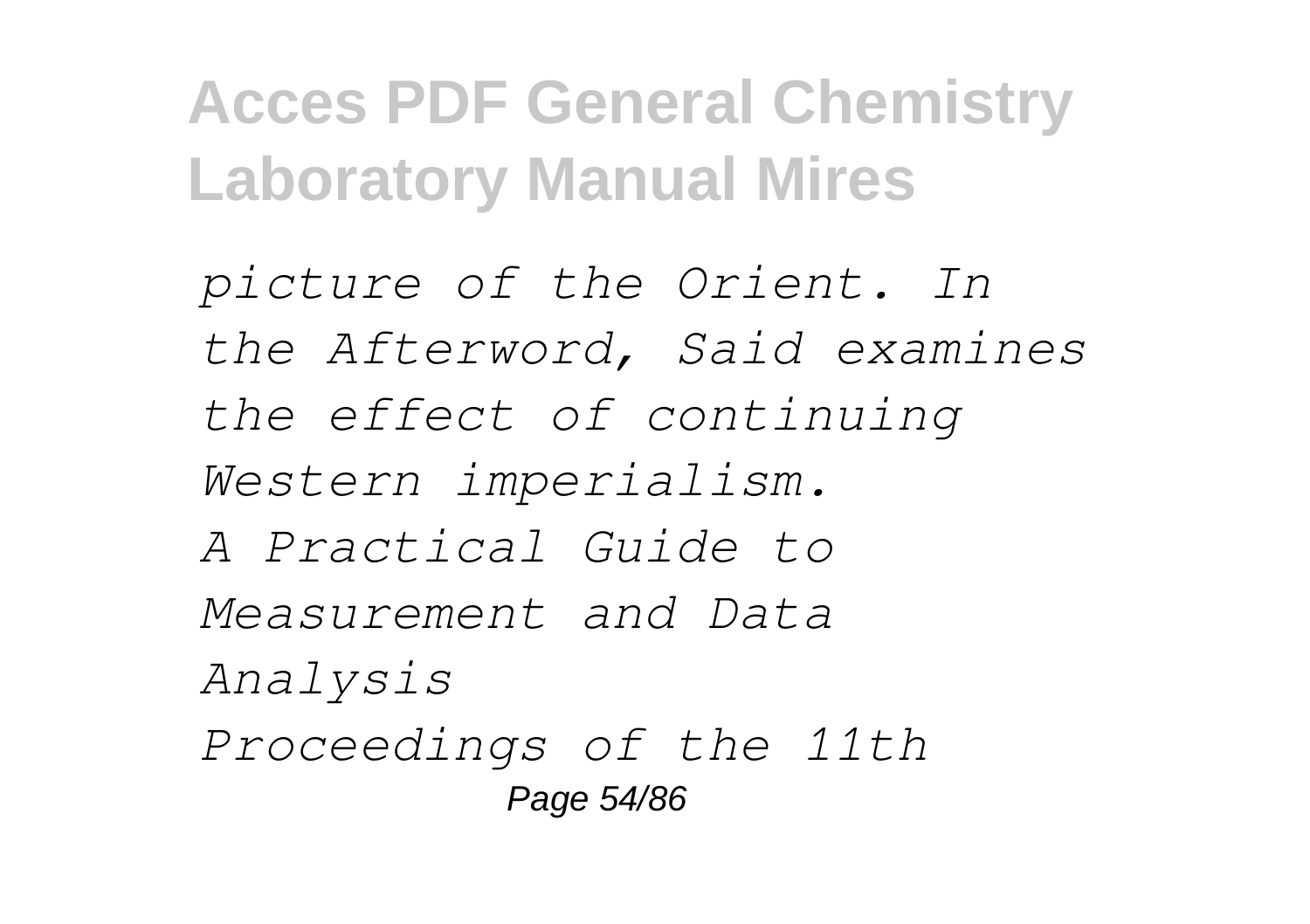*picture of the Orient. In the Afterword, Said examines the effect of continuing Western imperialism. A Practical Guide to Measurement and Data Analysis Proceedings of the 11th* Page 54/86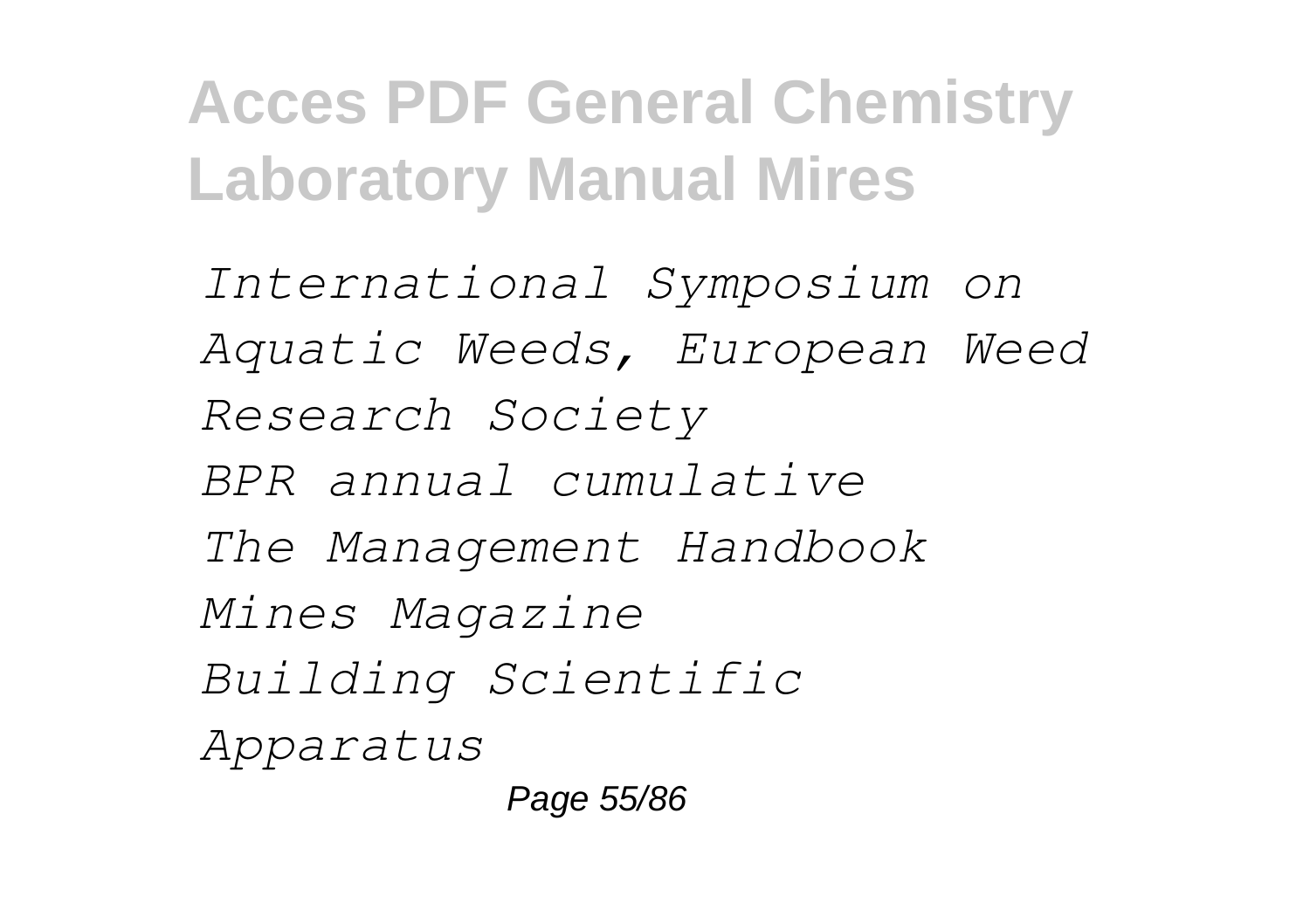*International Symposium on Aquatic Weeds, European Weed Research Society BPR annual cumulative The Management Handbook Mines Magazine Building Scientific Apparatus*

Page 55/86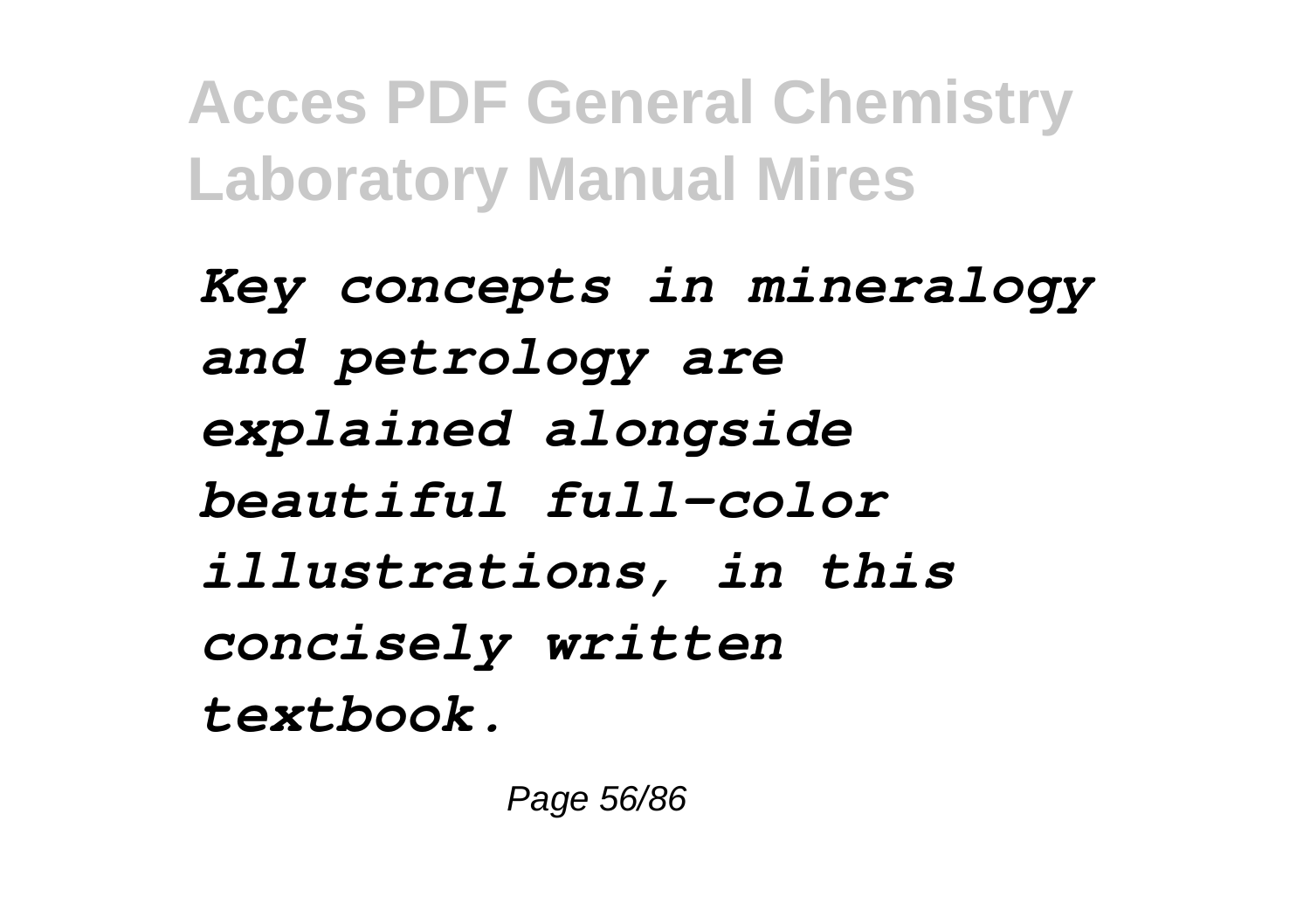*Key concepts in mineralogy and petrology are explained alongside beautiful full-color illustrations, in this concisely written textbook.*

Page 56/86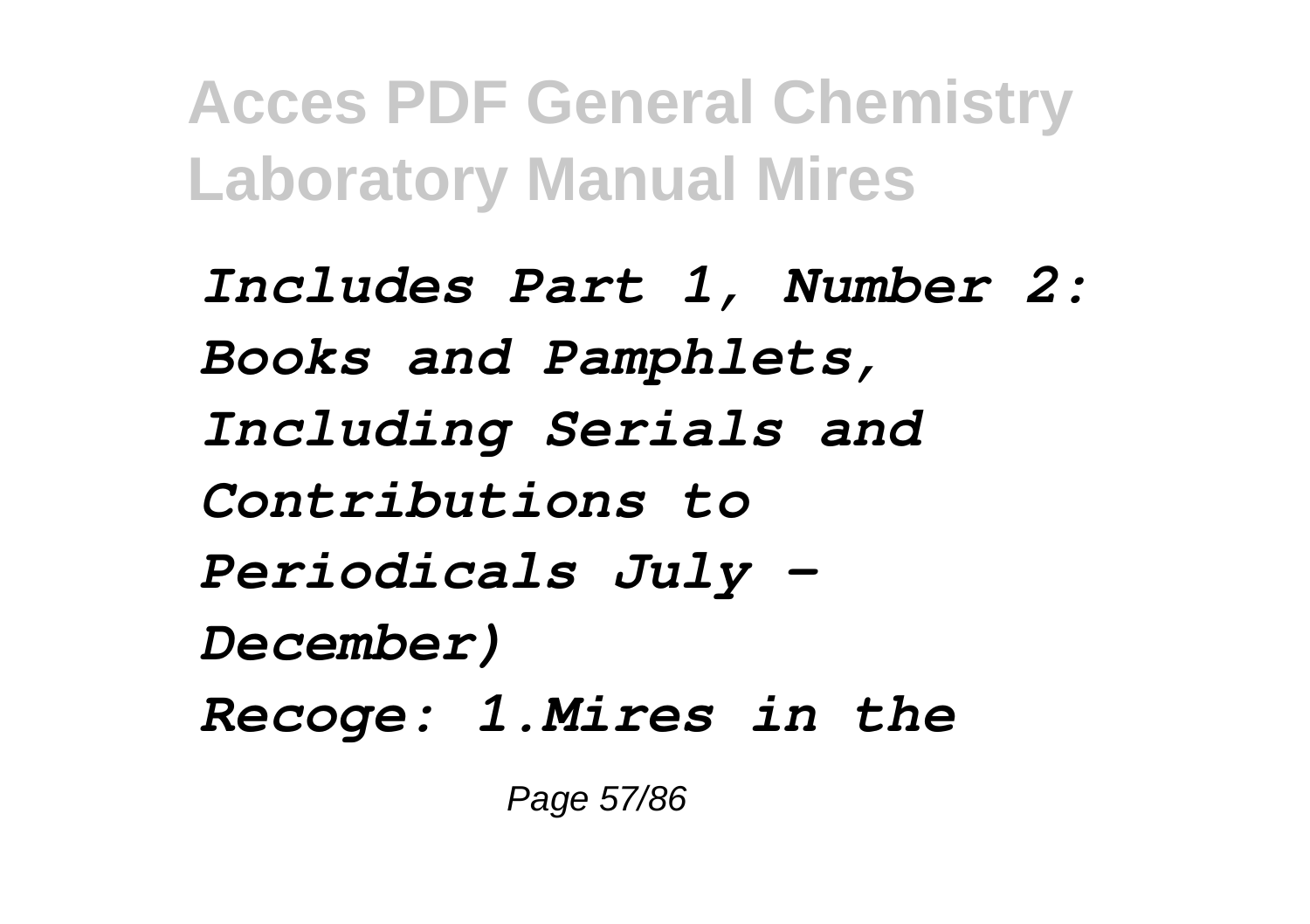*Includes Part 1, Number 2: Books and Pamphlets, Including Serials and Contributions to Periodicals July - December) Recoge: 1.Mires in the*

Page 57/86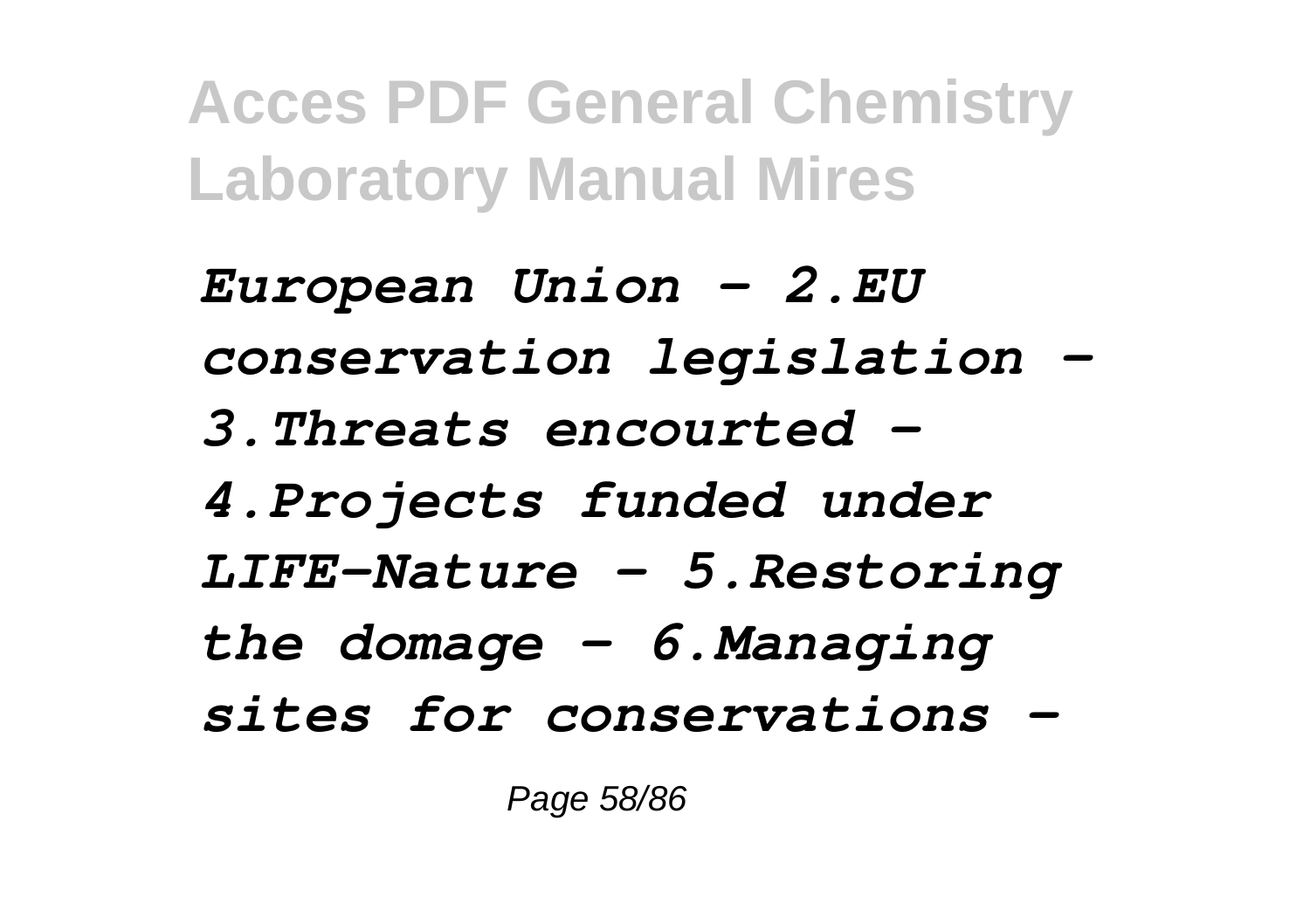*European Union - 2.EU conservation legislation - 3.Threats encourted - 4.Projects funded under LIFE-Nature - 5.Restoring the domage - 6.Managing sites for conservations -*

Page 58/86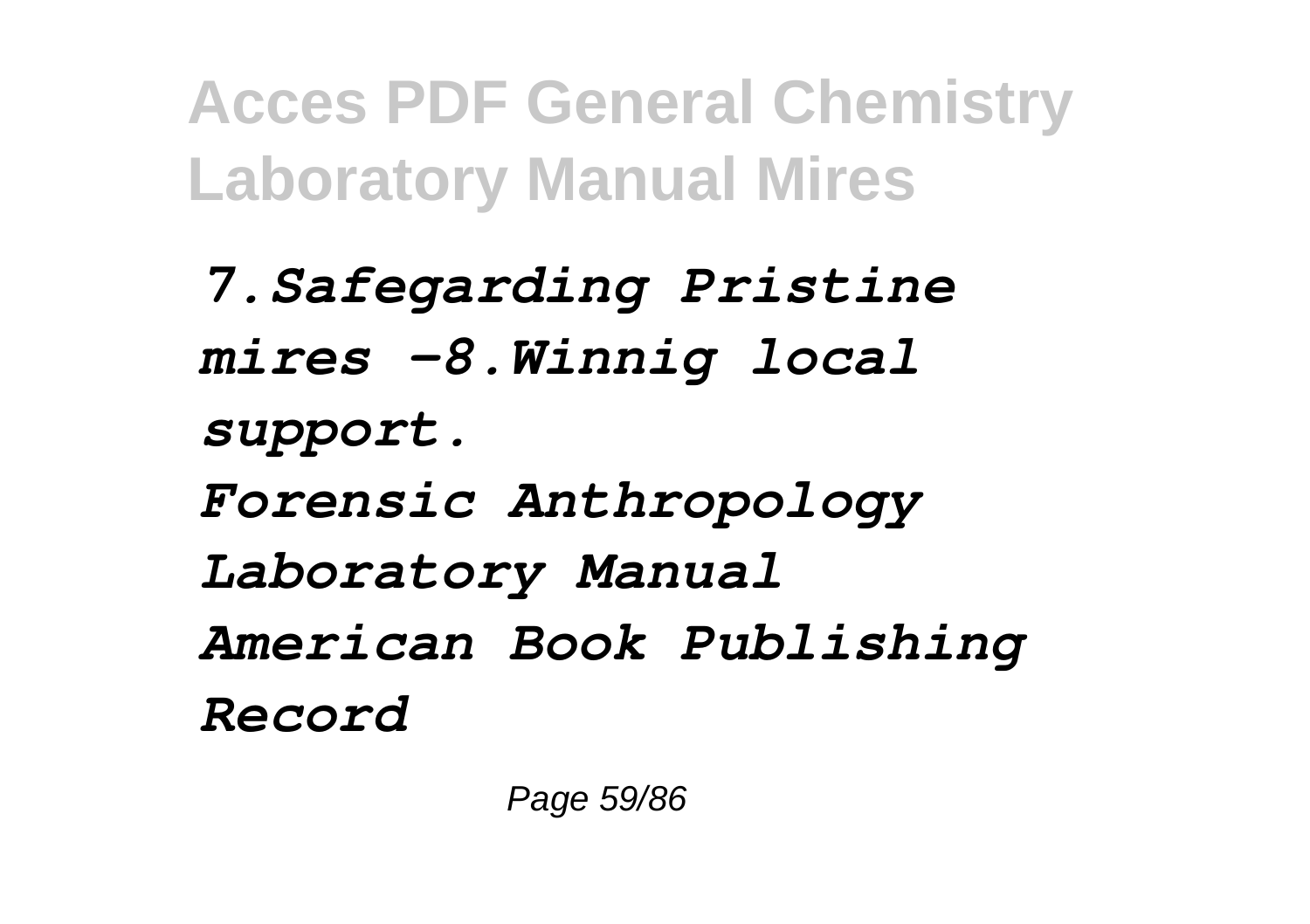*7.Safegarding Pristine mires -8.Winnig local support. Forensic Anthropology Laboratory Manual American Book Publishing Record*

Page 59/86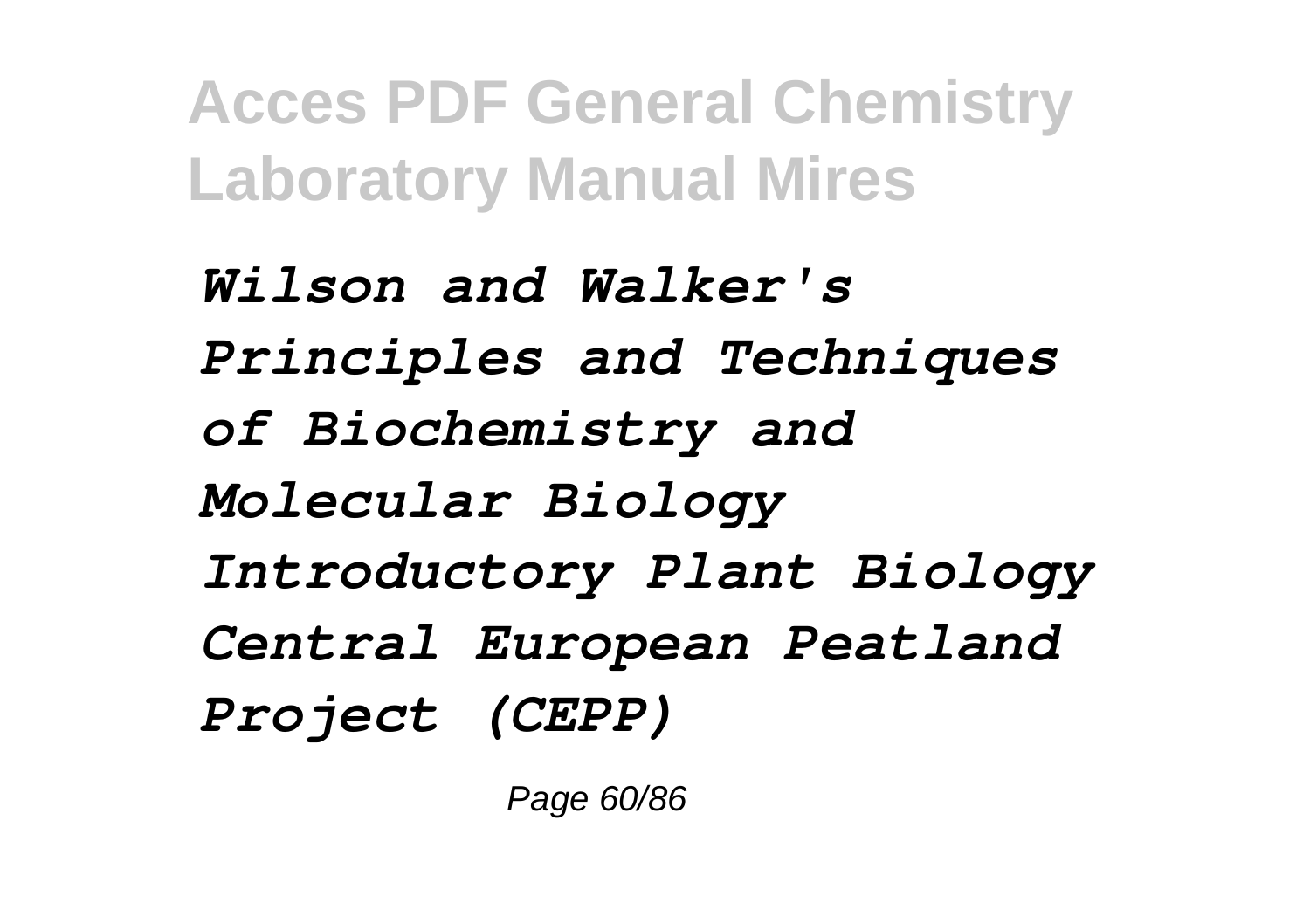*Wilson and Walker's Principles and Techniques of Biochemistry and Molecular Biology Introductory Plant Biology Central European Peatland Project (CEPP)*

Page 60/86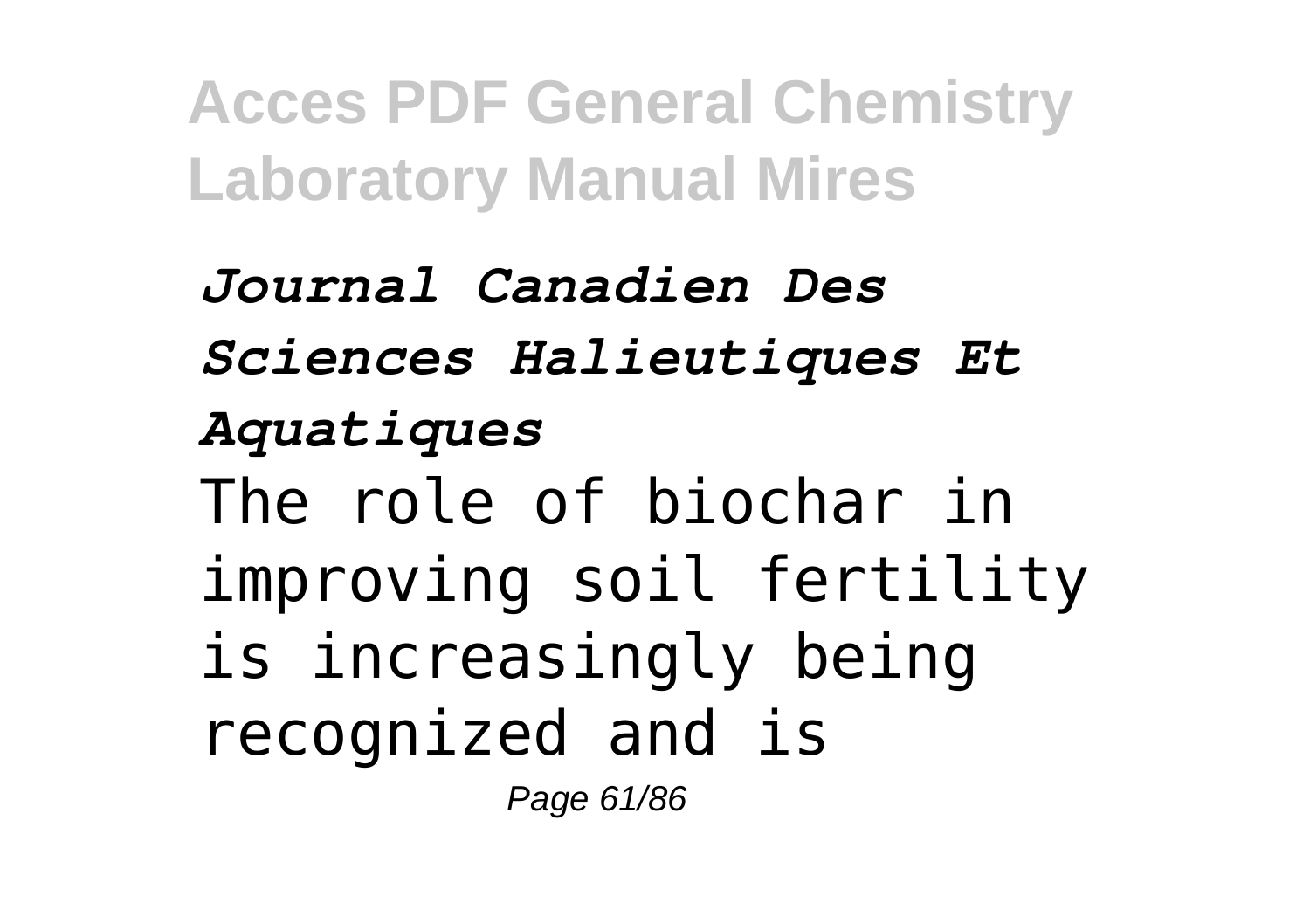*Journal Canadien Des Sciences Halieutiques Et Aquatiques* The role of biochar in improving soil fertility is increasingly being recognized and is Page 61/86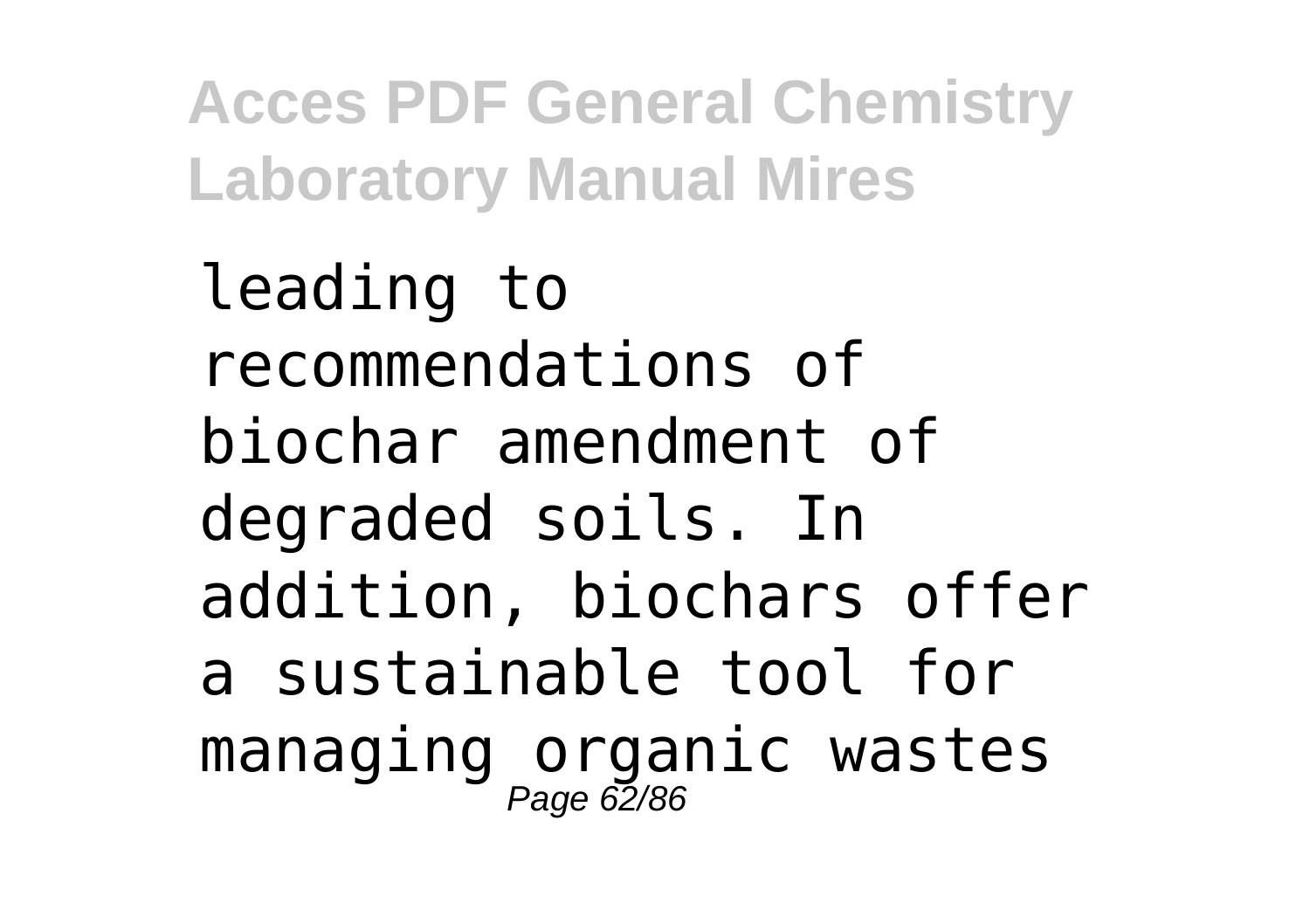leading to recommendations of biochar amendment of degraded soils. In addition, biochars offer a sustainable tool for managing organic wastes<br><sub>Page 62/86</sub>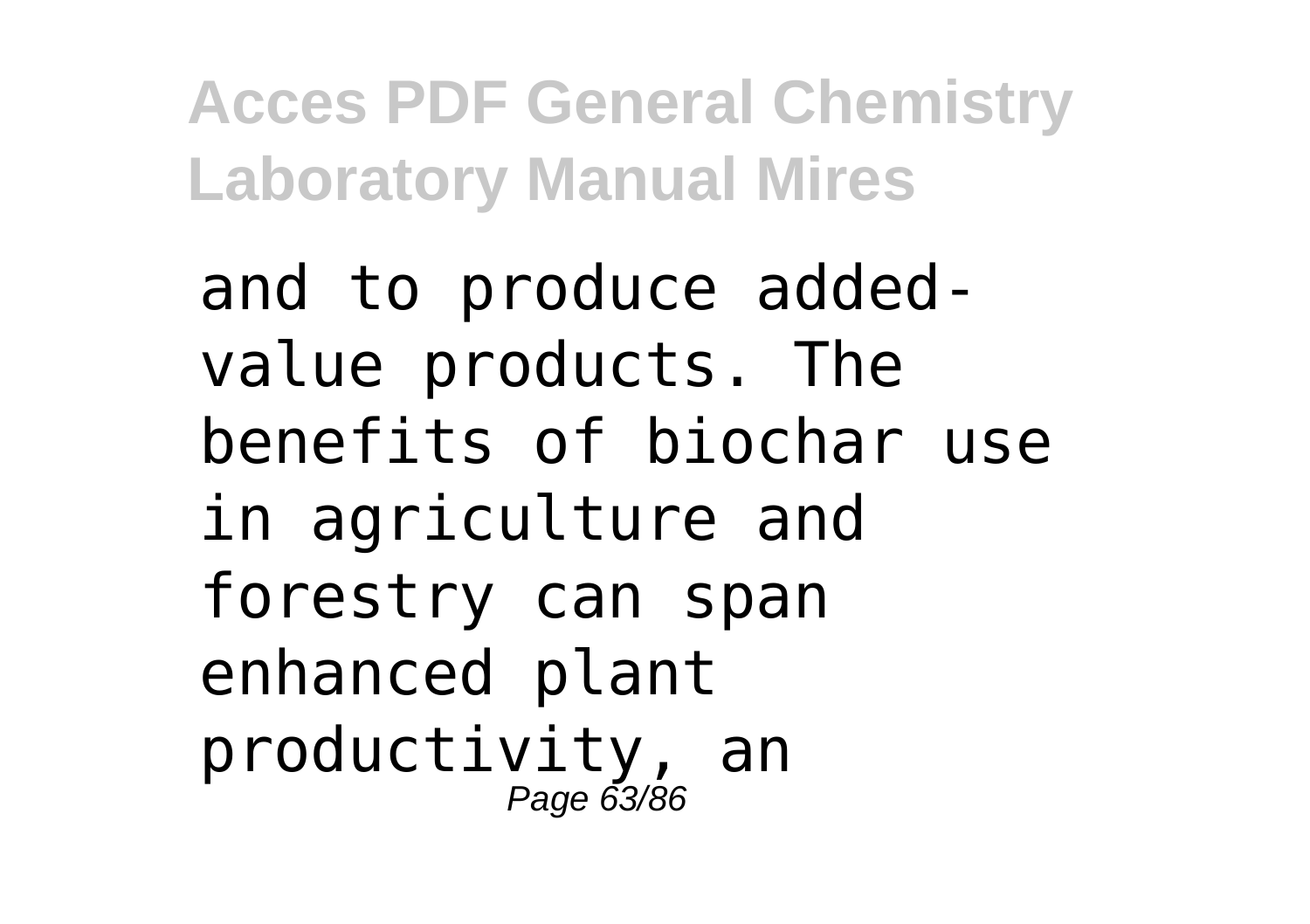and to produce addedvalue products. The benefits of biochar use in agriculture and forestry can span enhanced plant productivity, an Page 63/86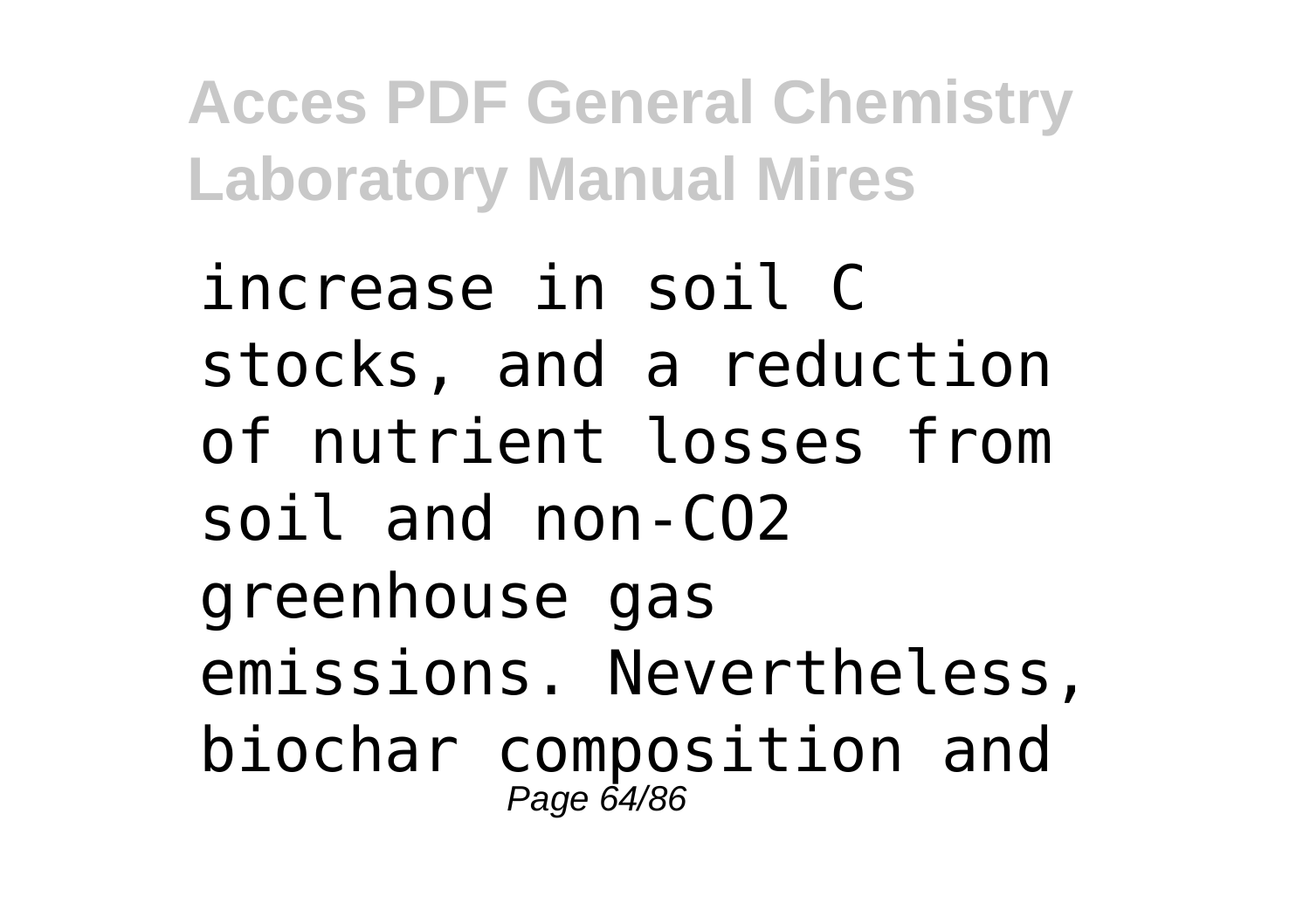increase in soil C stocks, and a reduction of nutrient losses from soil and non-CO2 greenhouse gas emissions. Nevertheless, biochar composition and Page 64/86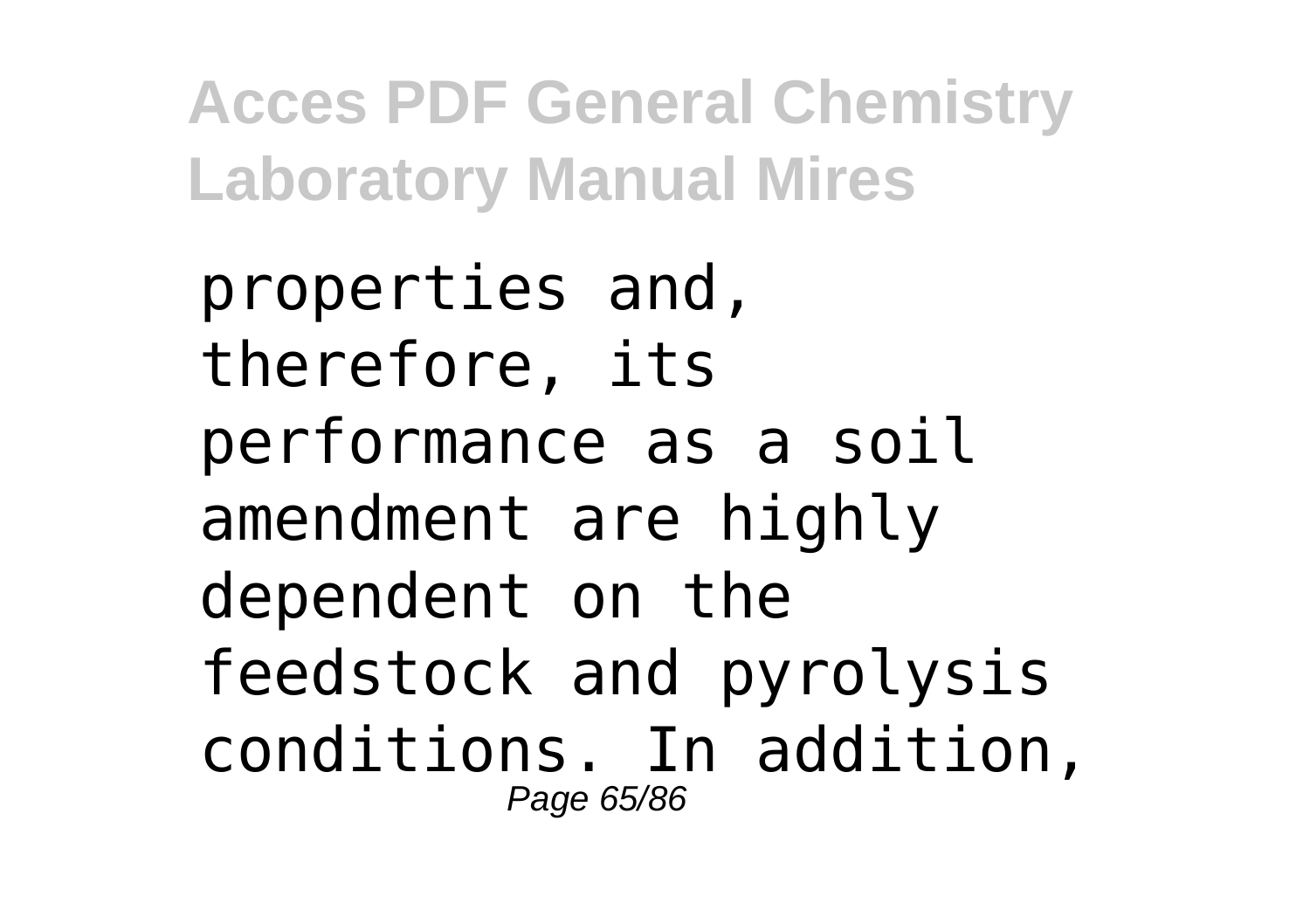properties and, therefore, its performance as a soil amendment are highly dependent on the feedstock and pyrolysis conditions. In addition, Page 65/86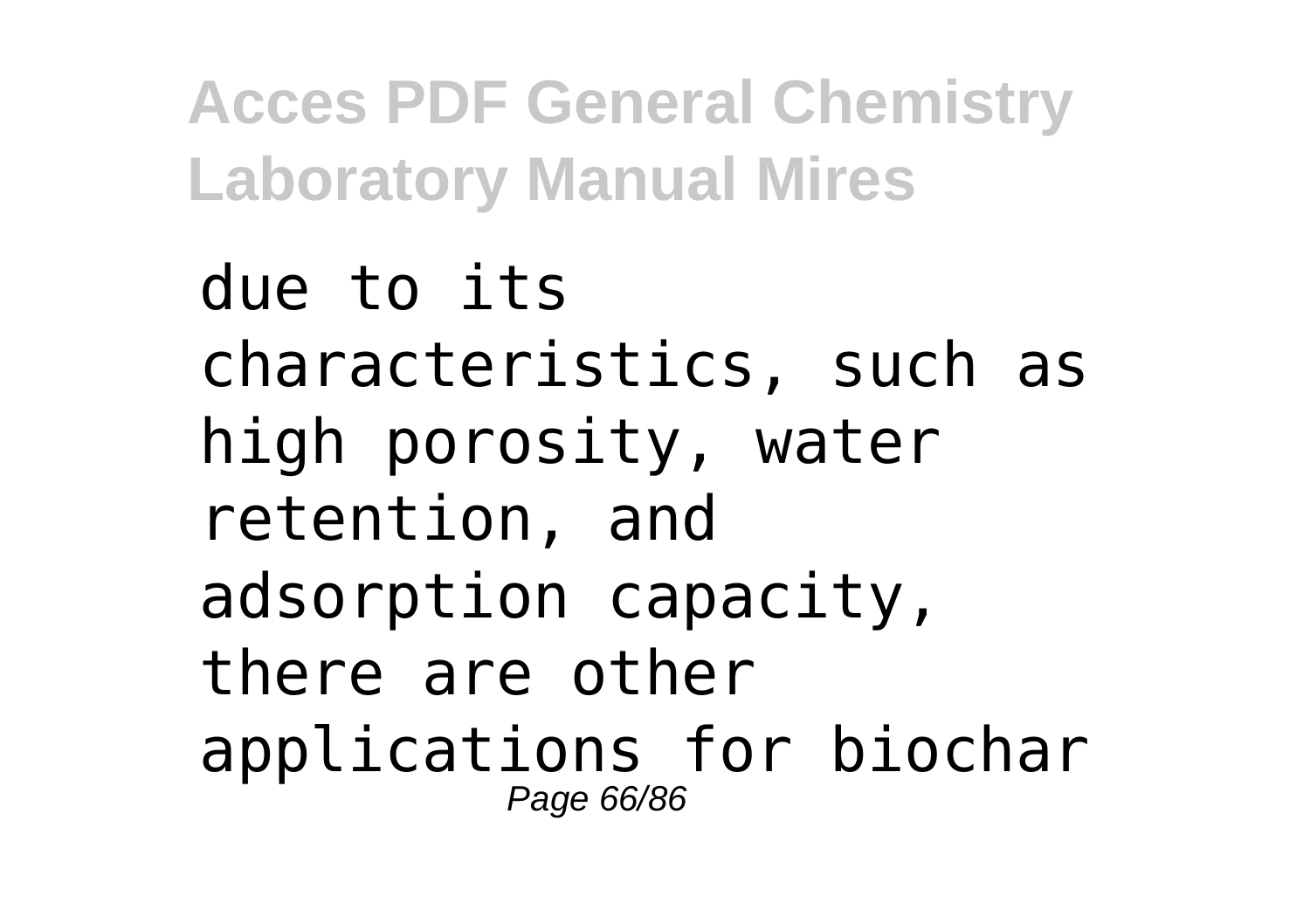due to its characteristics, such as high porosity, water retention, and adsorption capacity, there are other applications for biochar Page 66/86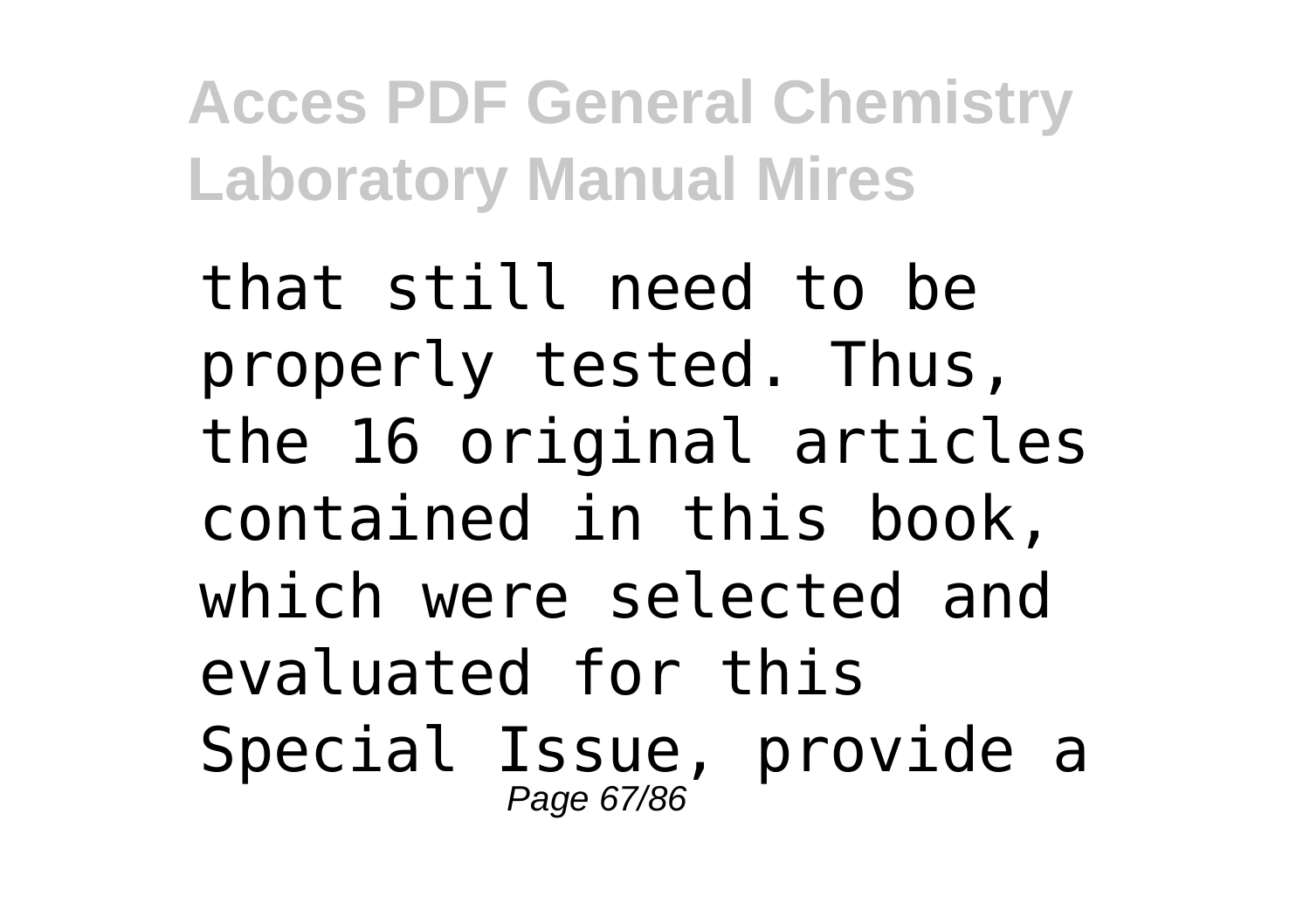that still need to be properly tested. Thus, the 16 original articles contained in this book, which were selected and evaluated for this Special Issue, provide a Page 67/86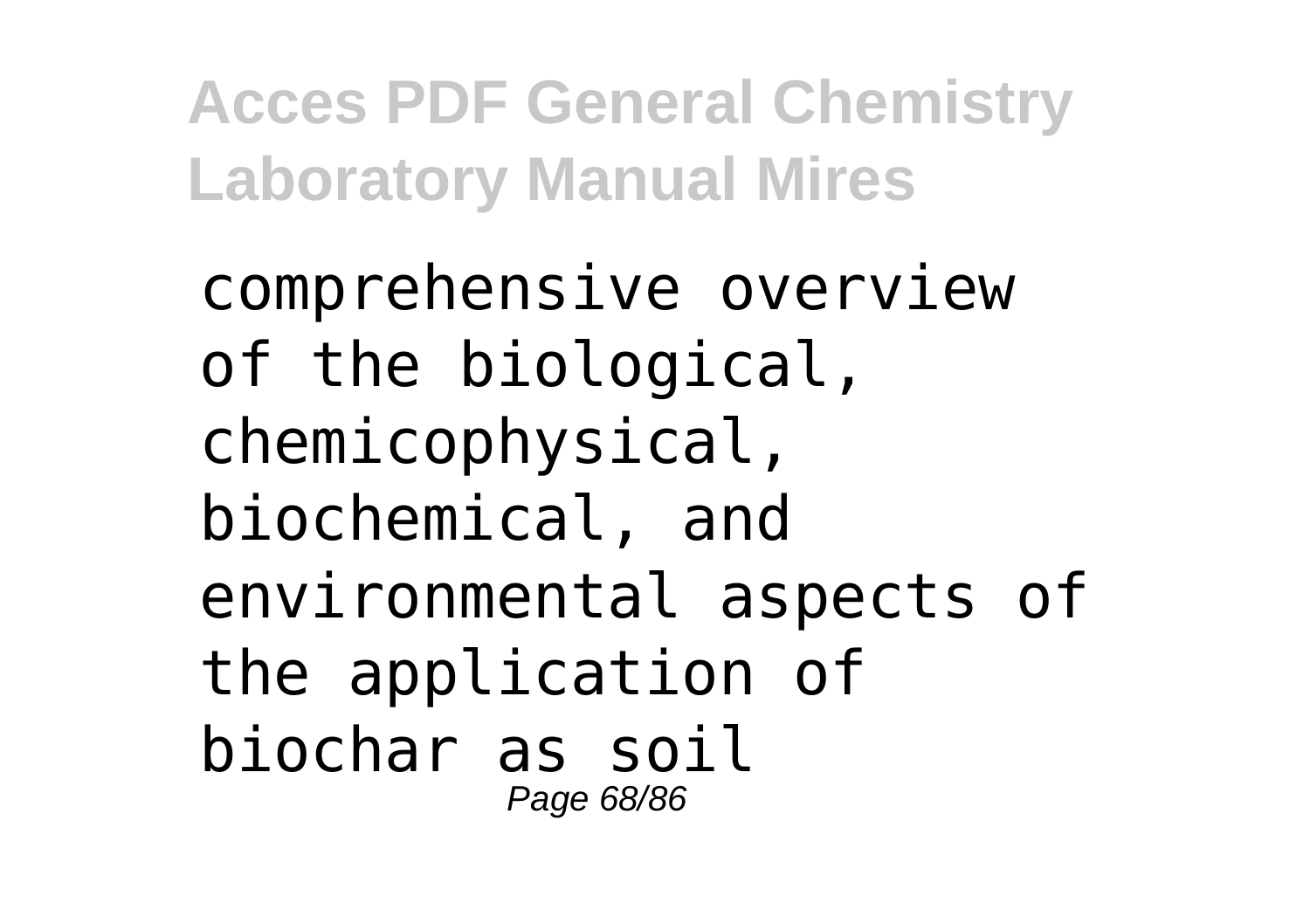comprehensive overview of the biological, chemicophysical, biochemical, and environmental aspects of the application of biochar as soil Page 68/86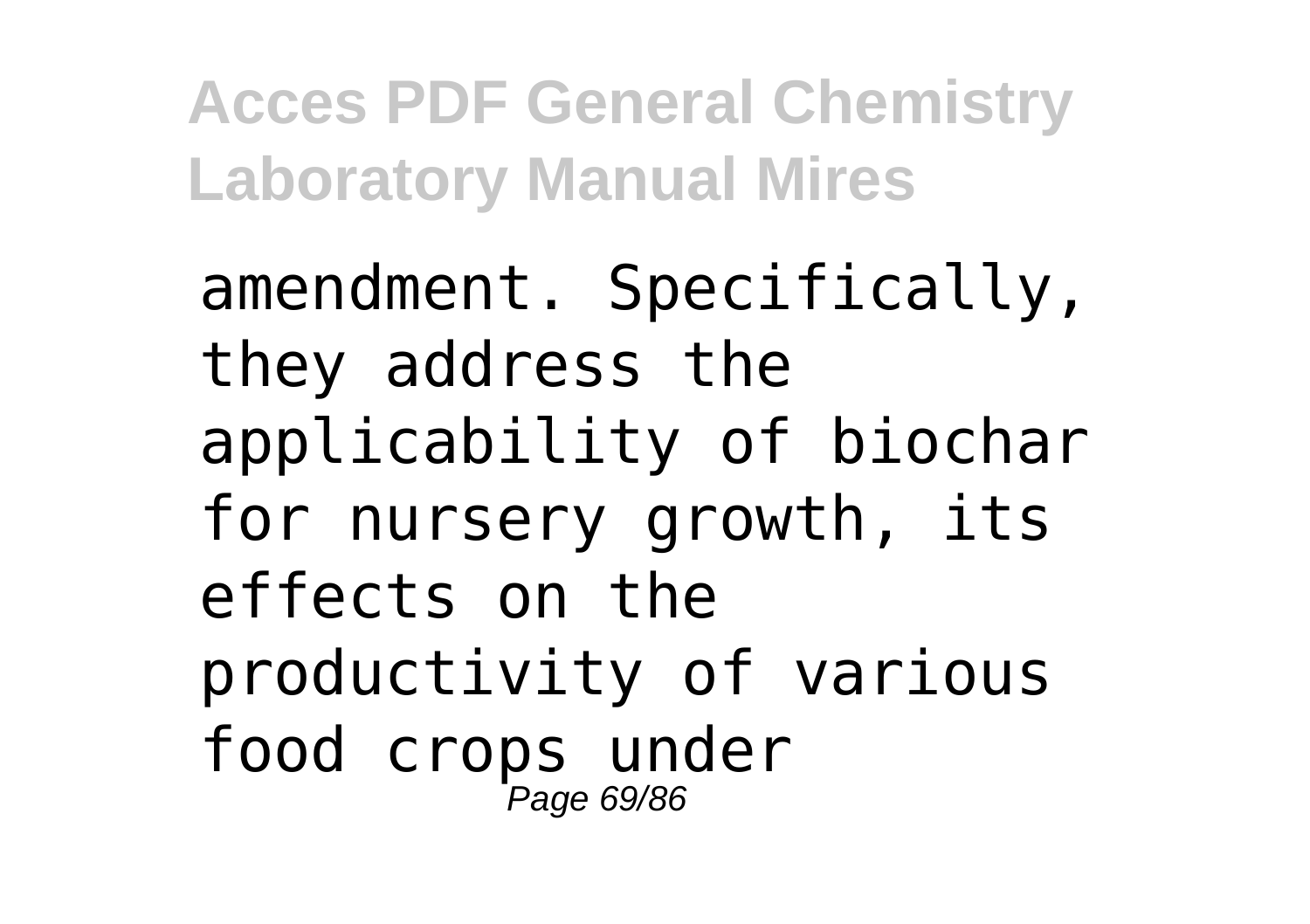amendment. Specifically, they address the applicability of biochar for nursery growth, its effects on the productivity of various food crops under Page 69/86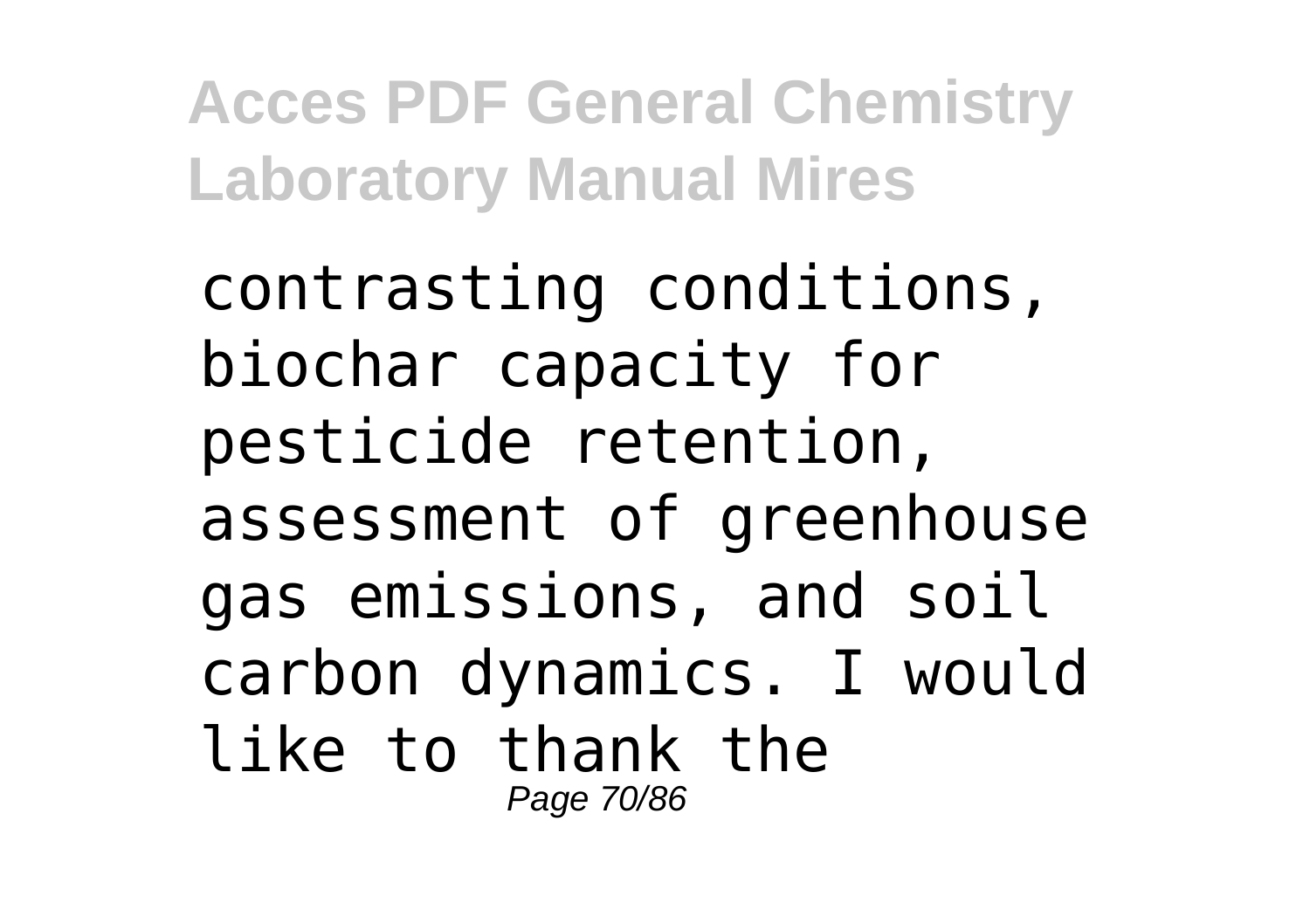contrasting conditions, biochar capacity for pesticide retention, assessment of greenhouse gas emissions, and soil carbon dynamics. I would like to thank the Page 70/86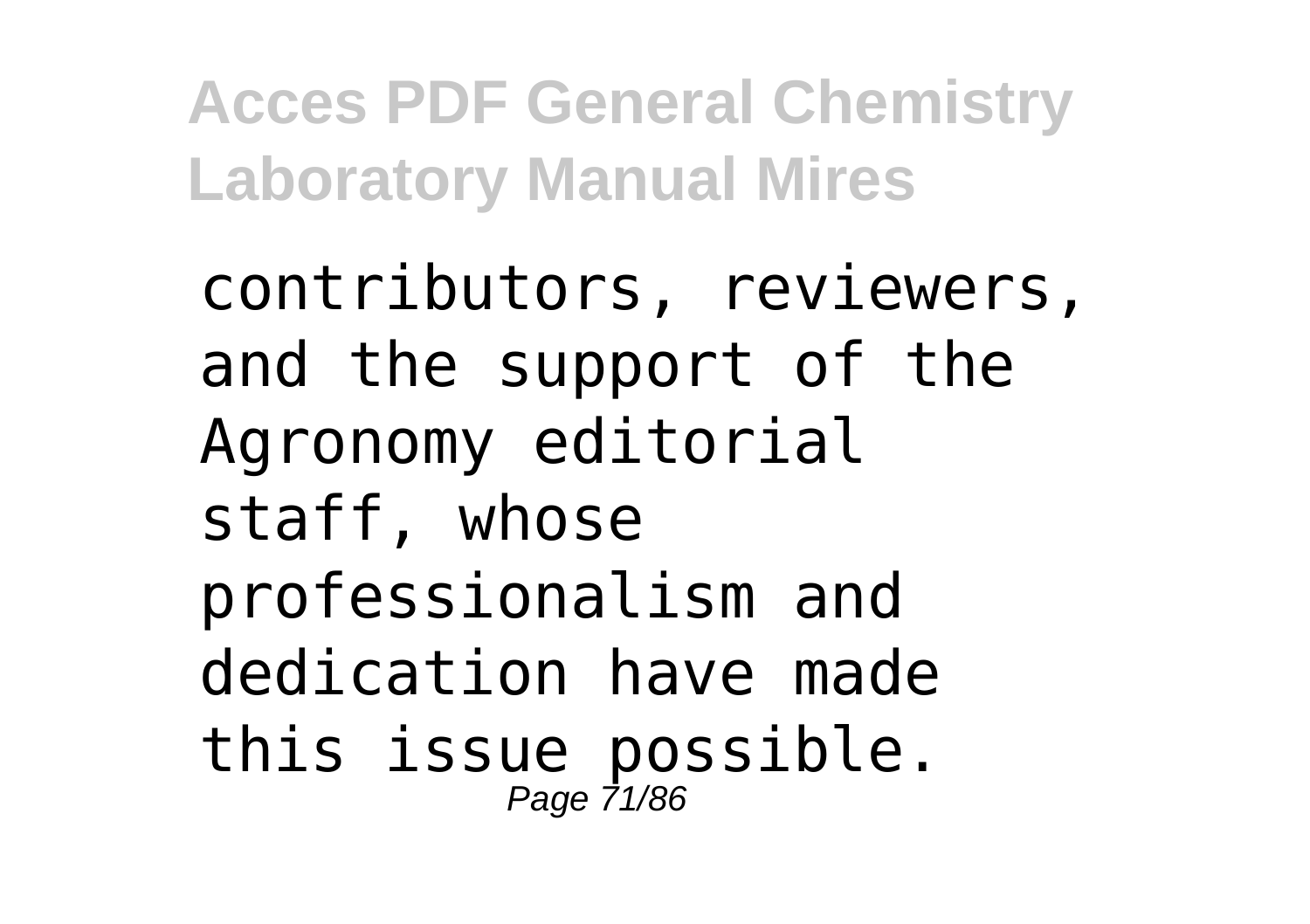contributors, reviewers, and the support of the Agronomy editorial staff, whose professionalism and dedication have made this issue possible. Page 71/86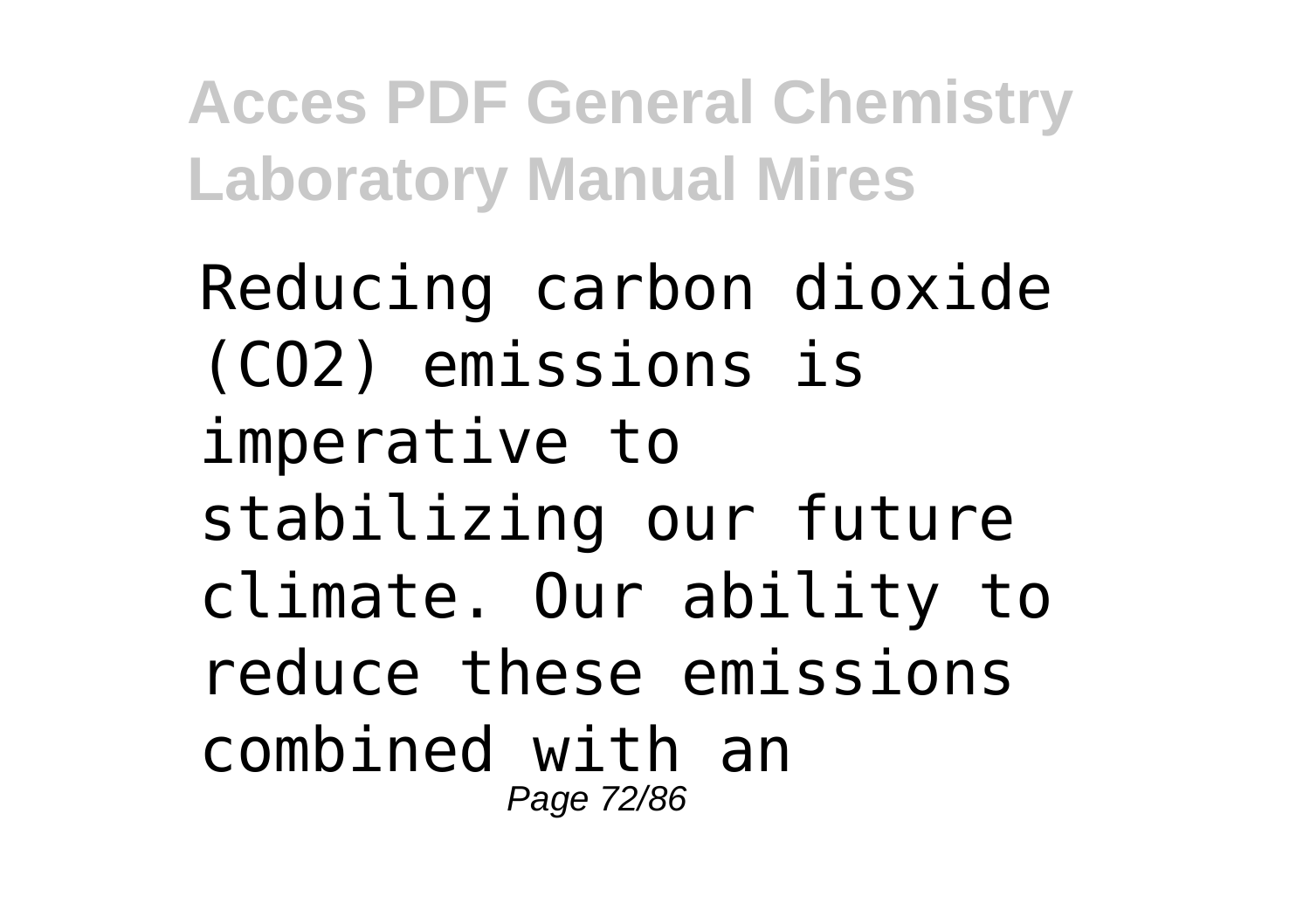Reducing carbon dioxide (CO2) emissions is imperative to stabilizing our future climate. Our ability to reduce these emissions combined with an Page 72/86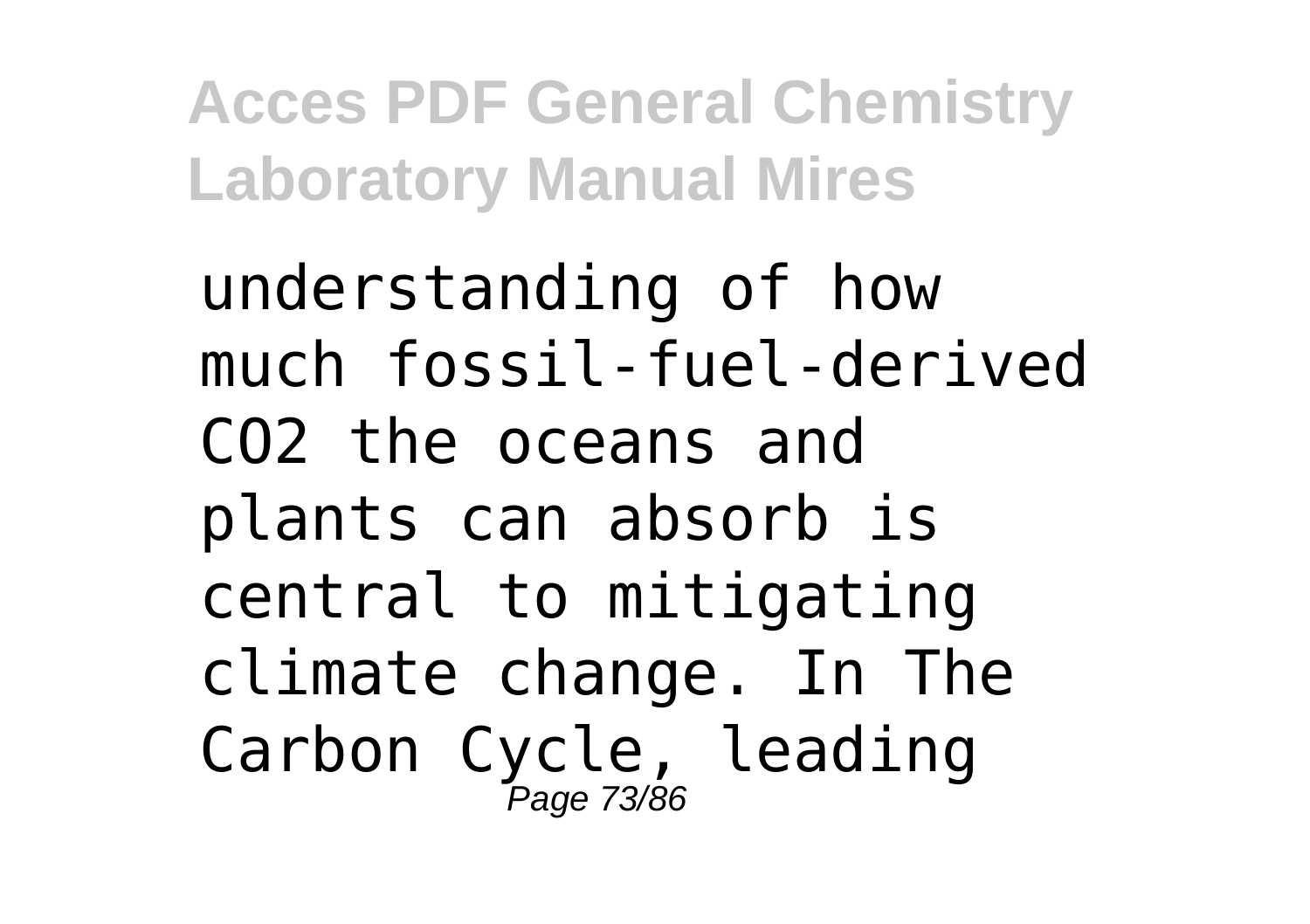understanding of how much fossil-fuel-derived CO2 the oceans and plants can absorb is central to mitigating climate change. In The Carbon Cycle, leading Page 73/86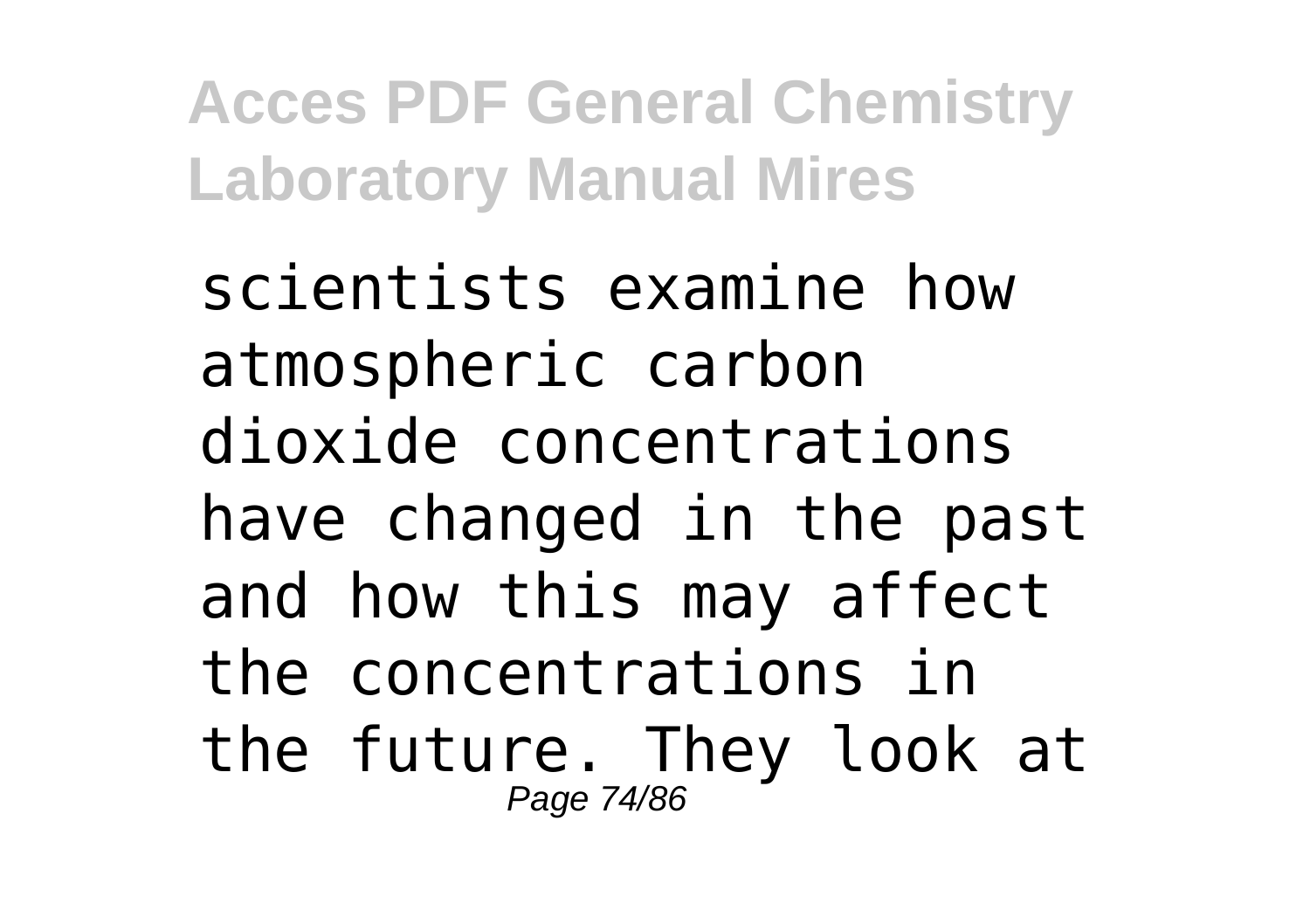scientists examine how atmospheric carbon dioxide concentrations have changed in the past and how this may affect the concentrations in the future. They look at Page 74/86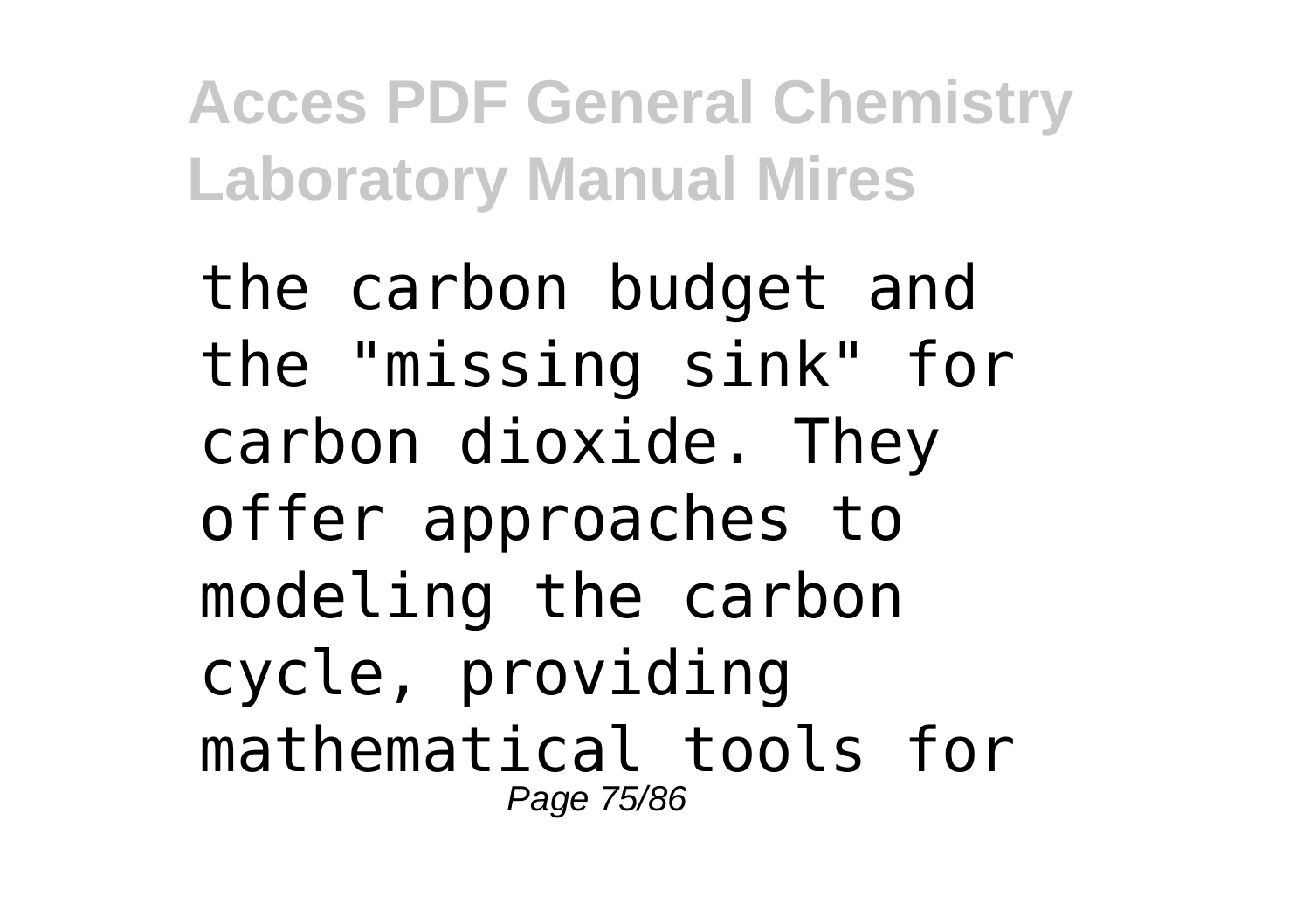the carbon budget and the "missing sink" for carbon dioxide. They offer approaches to modeling the carbon cycle, providing mathematical tools for Page 75/86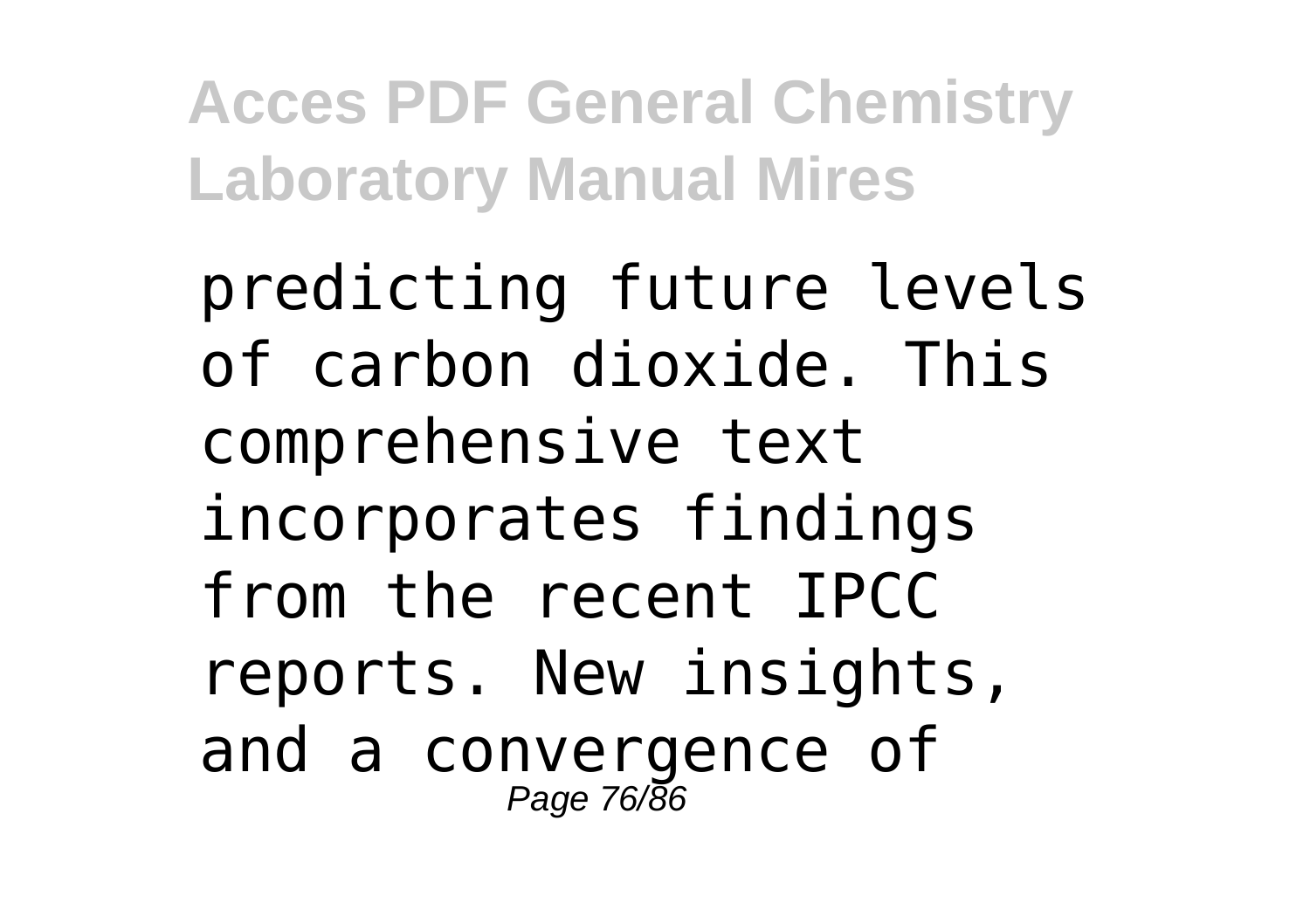predicting future levels of carbon dioxide. This comprehensive text incorporates findings from the recent IPCC reports. New insights, and a convergence of Page 76/86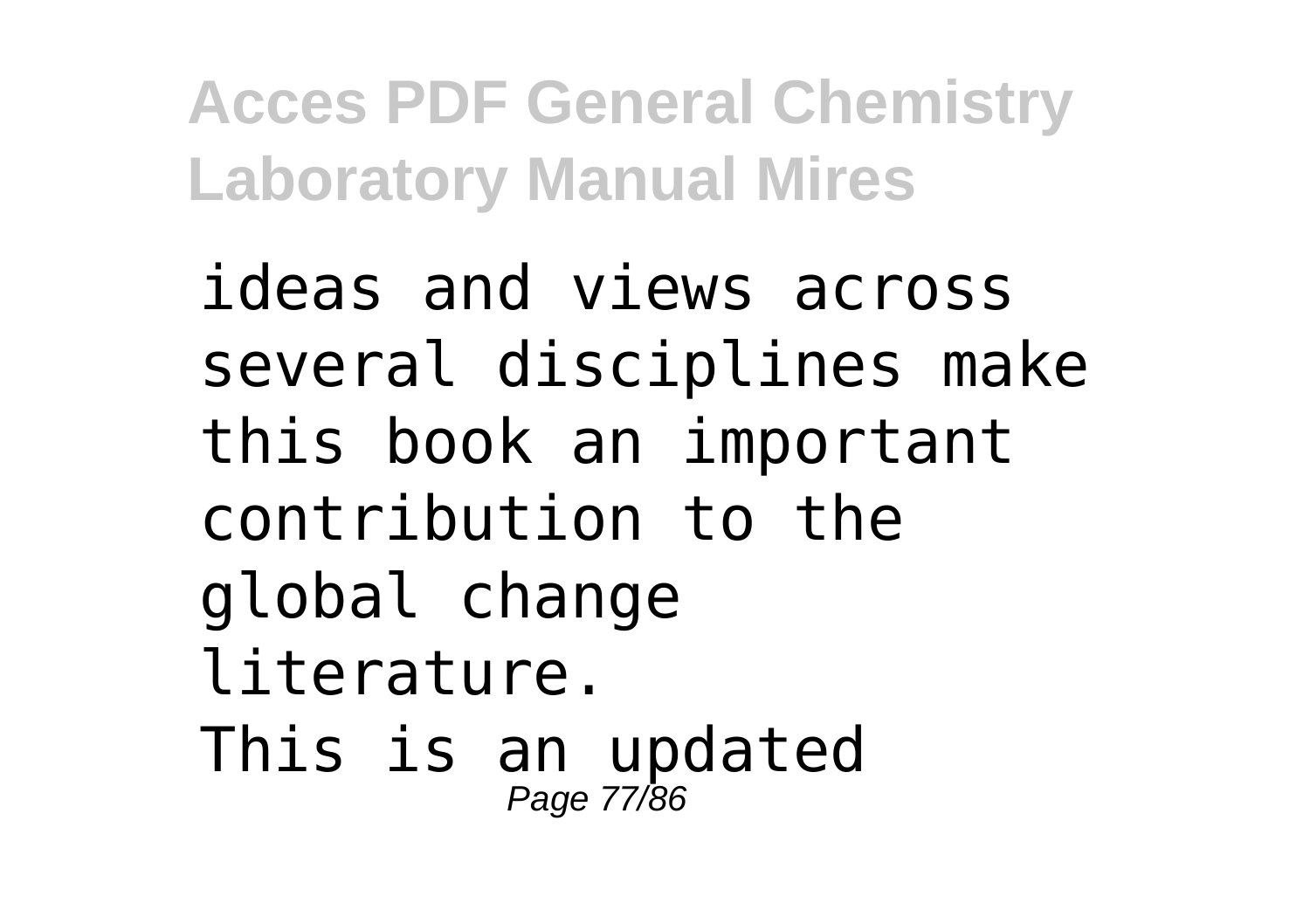ideas and views across several disciplines make this book an important contribution to the global change literature. This is an updated Page 77/86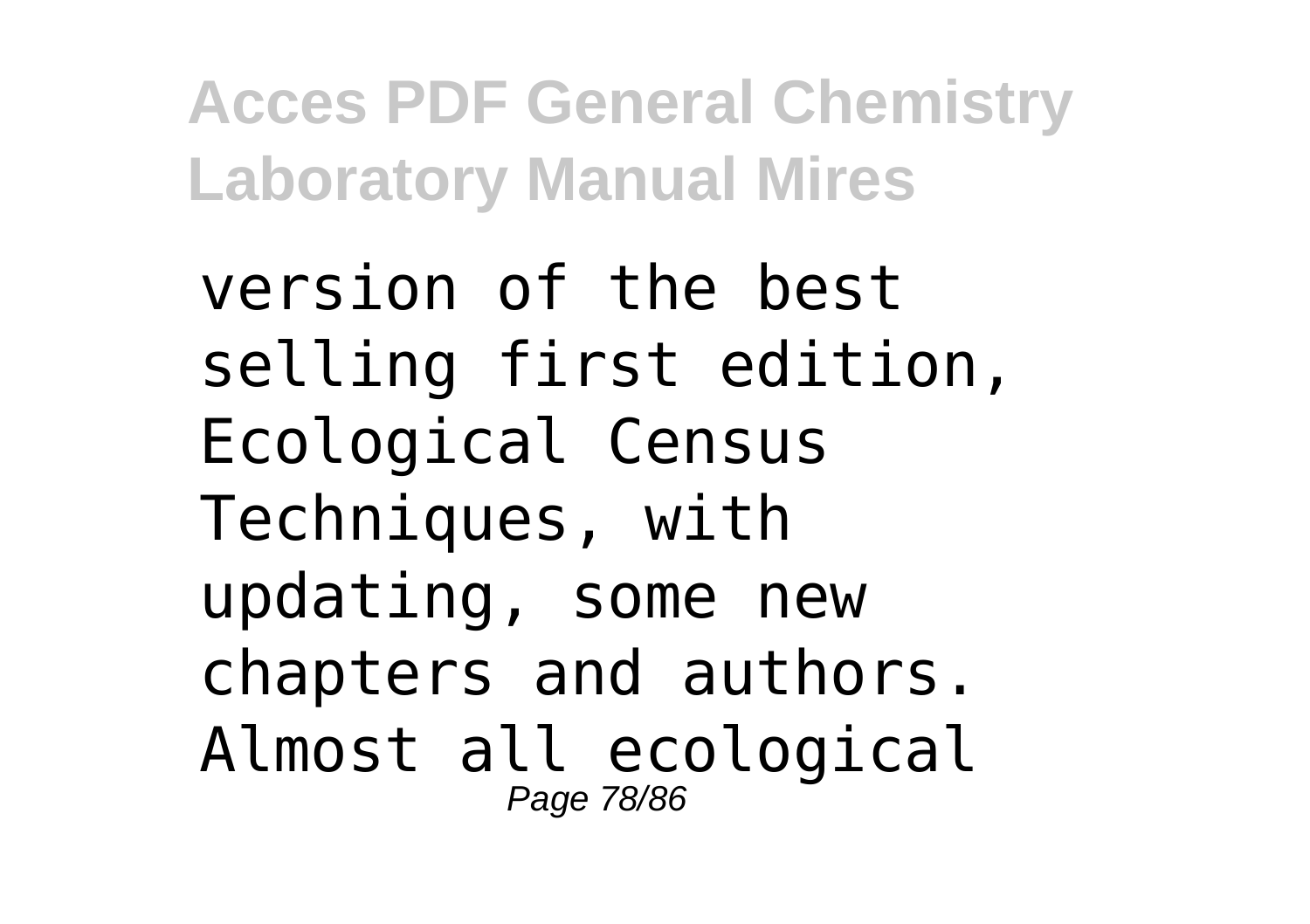version of the best selling first edition, Ecological Census Techniques, with updating, some new chapters and authors. Almost all ecological Page 78/86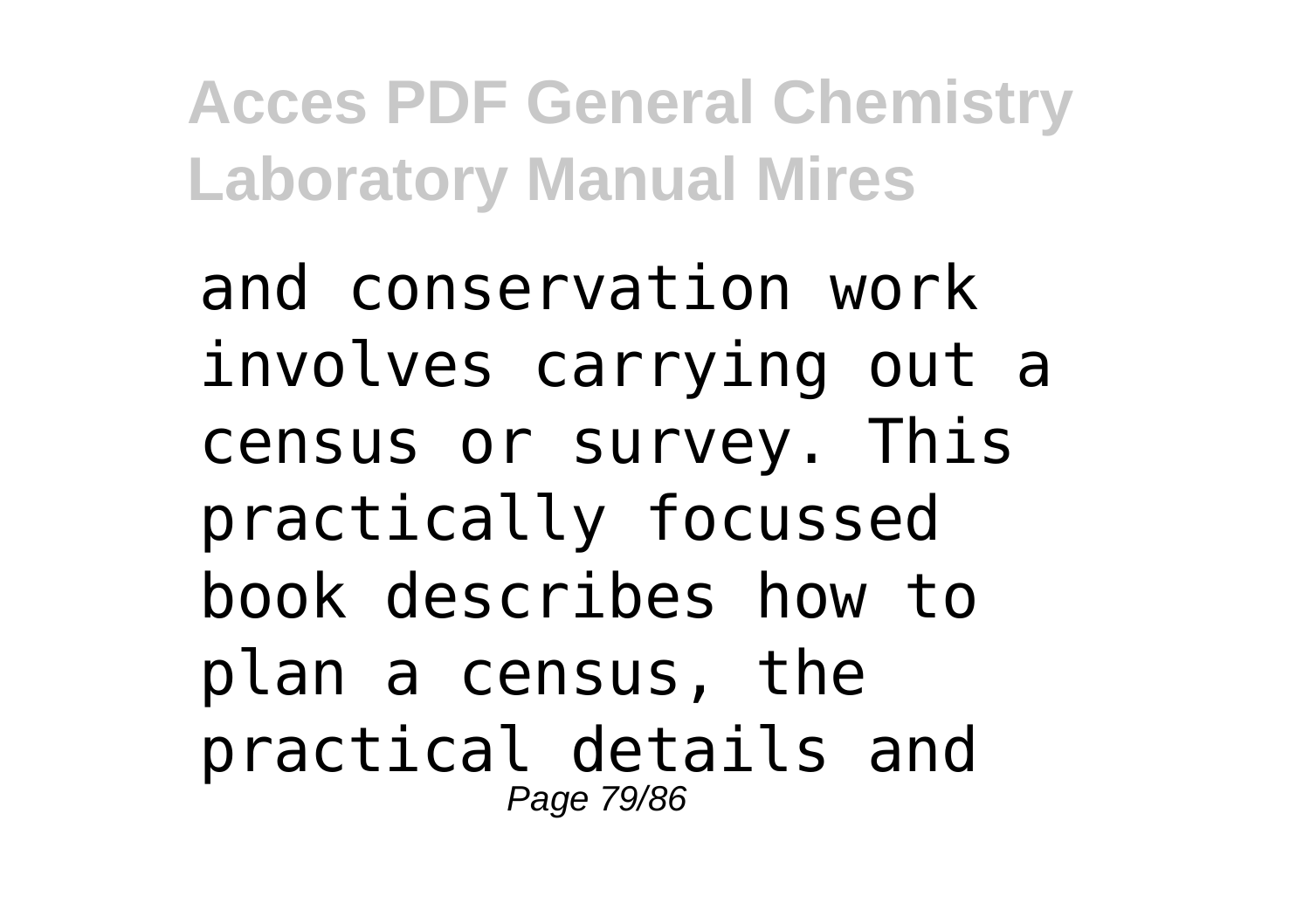and conservation work involves carrying out a census or survey. This practically focussed book describes how to plan a census, the practical details and Page 79/86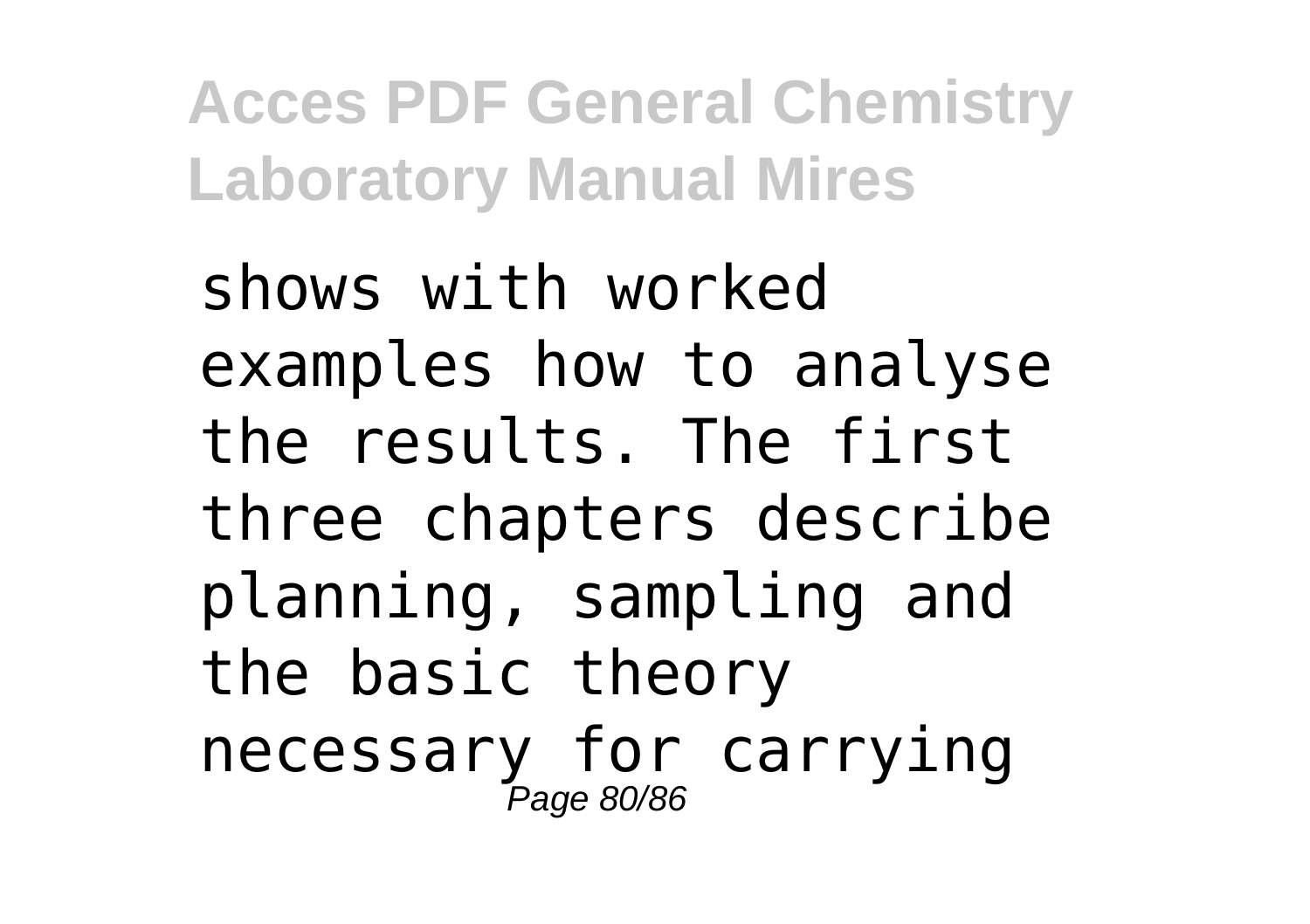shows with worked examples how to analyse the results. The first three chapters describe planning, sampling and the basic theory necessary for carrying Page 80/86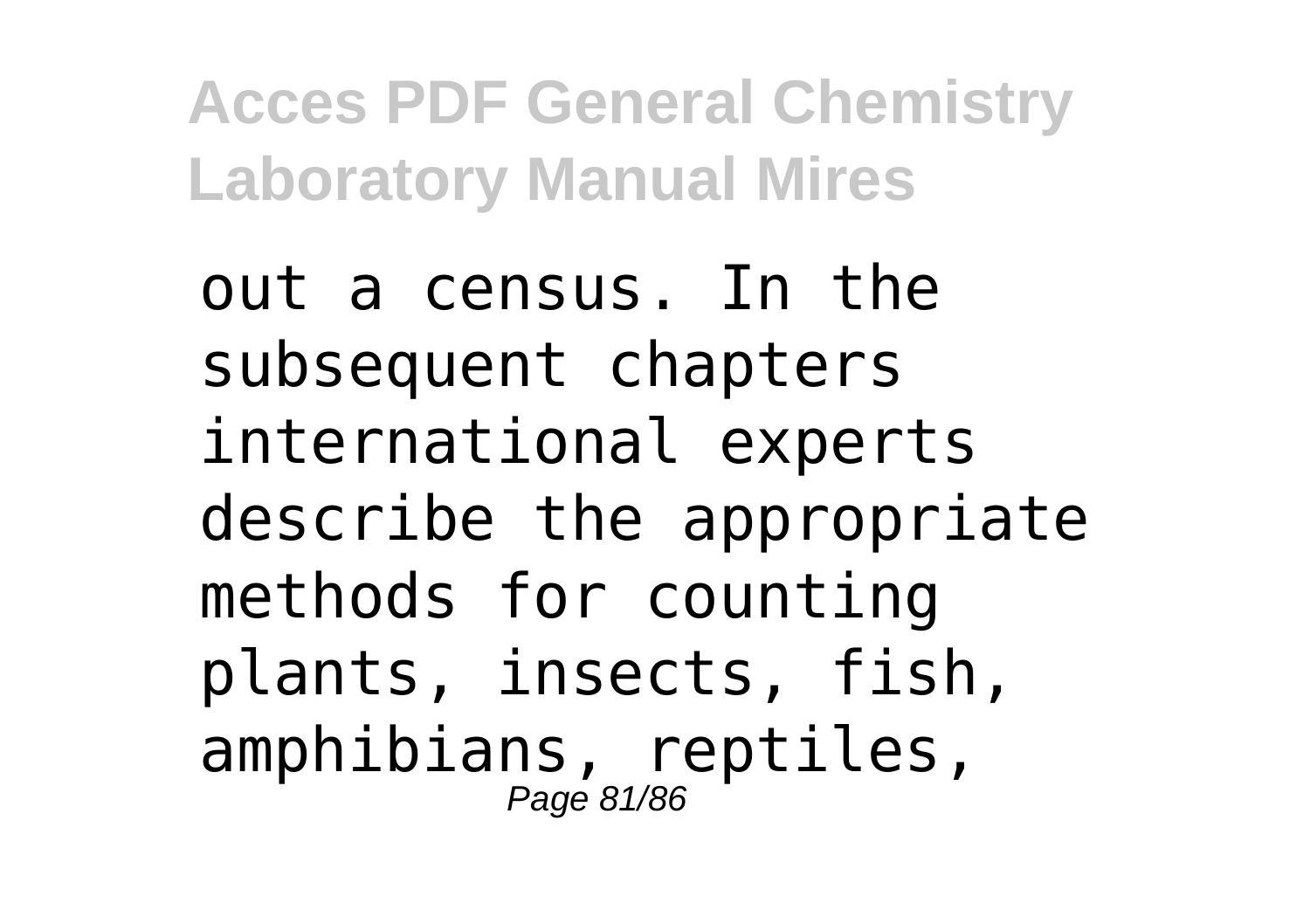out a census. In the subsequent chapters international experts describe the appropriate methods for counting plants, insects, fish, amphibians, reptiles, Page 81/86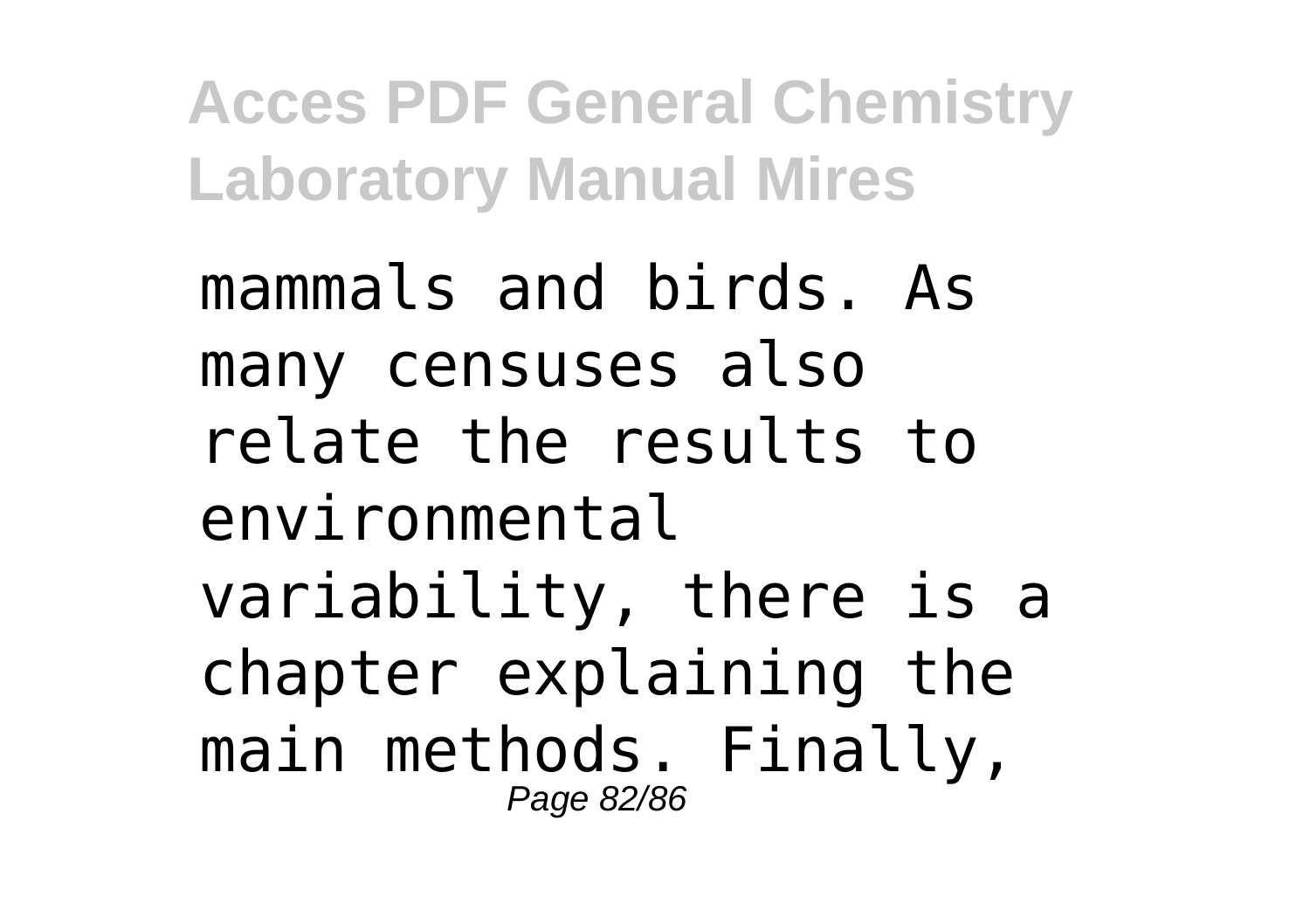mammals and birds. As many censuses also relate the results to environmental variability, there is a chapter explaining the main methods. Finally, Page 82/86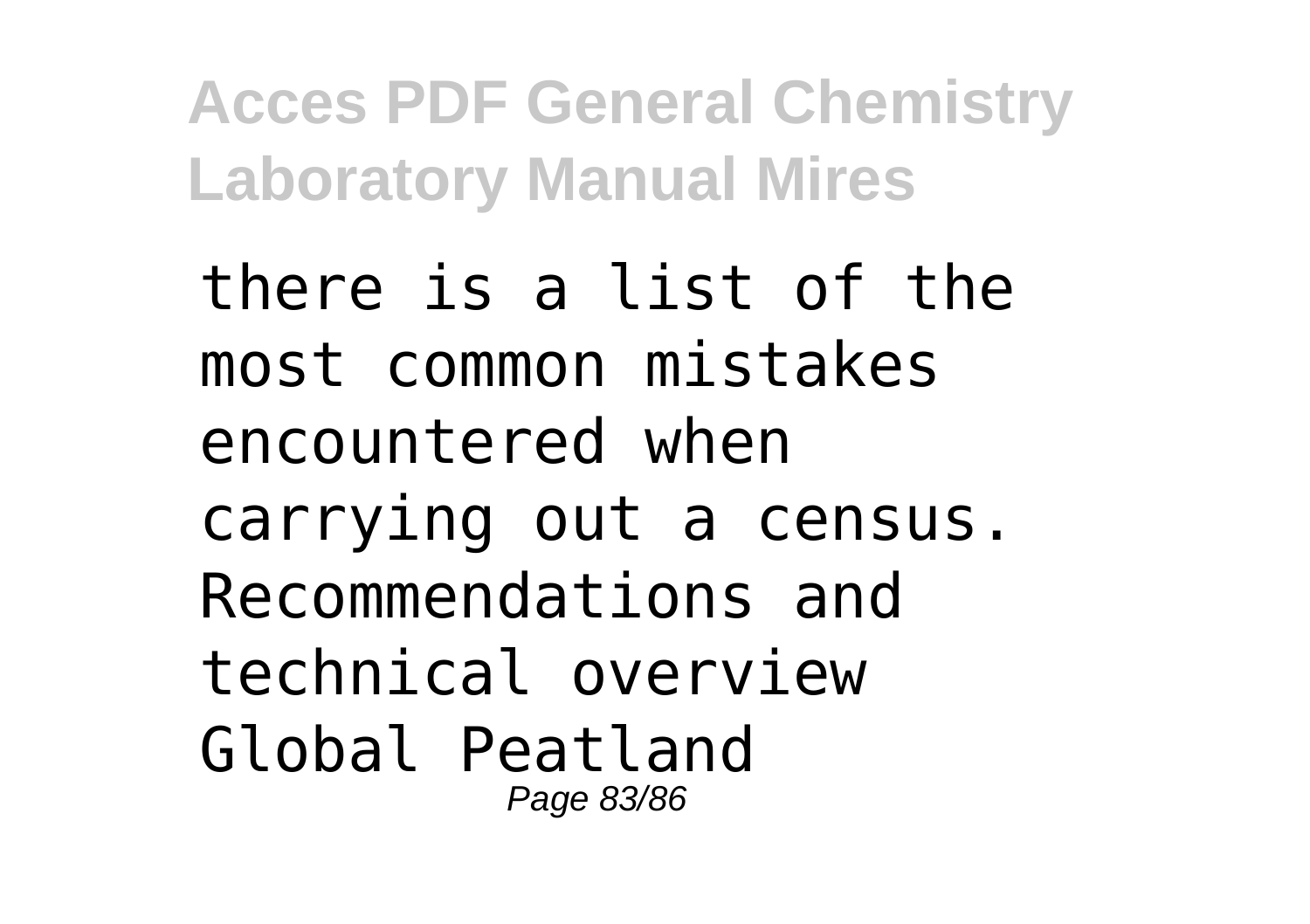there is a list of the most common mistakes encountered when carrying out a census. Recommendations and technical overview Global Peatland Page 83/86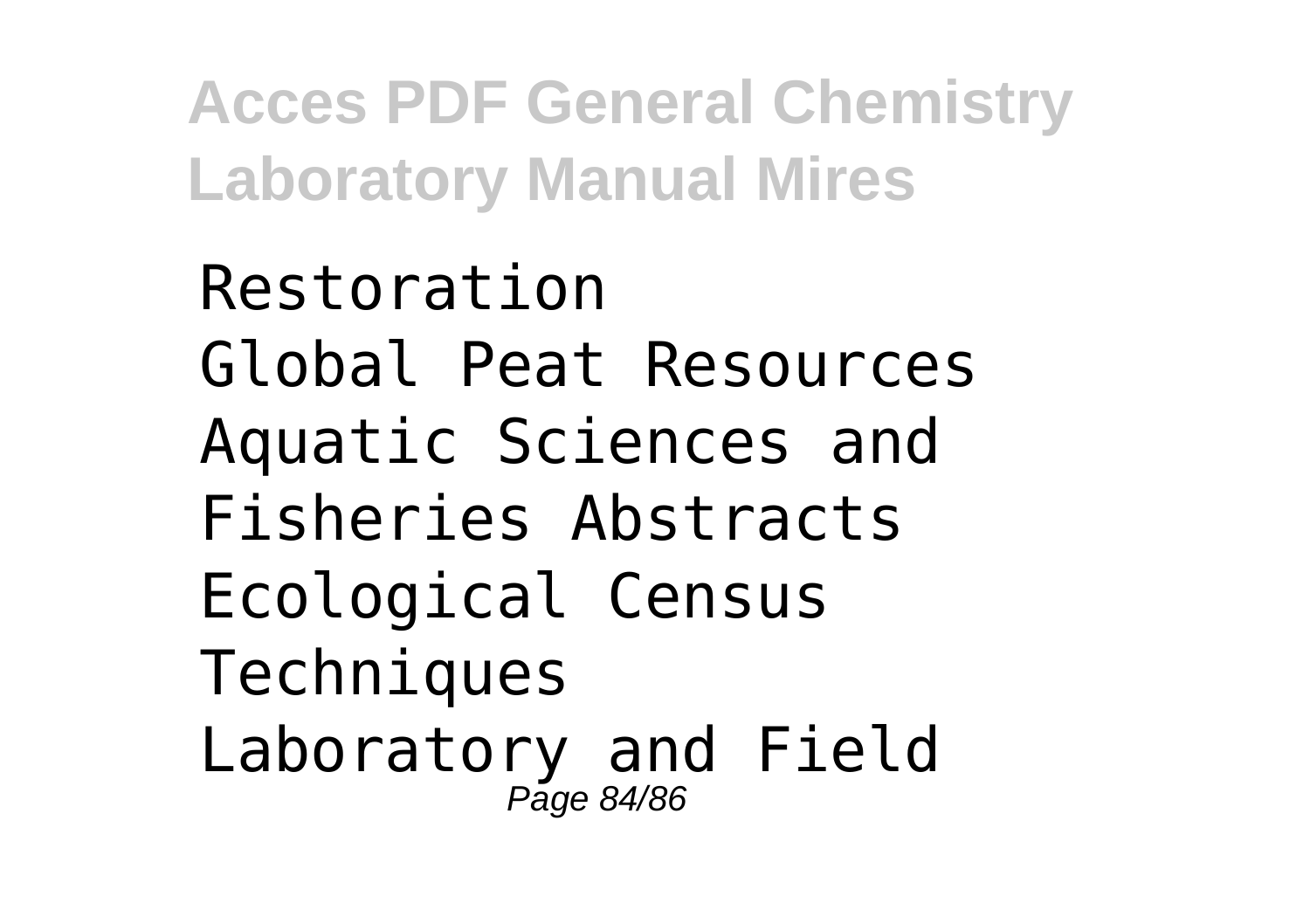Restoration Global Peat Resources Aquatic Sciences and Fisheries Abstracts Ecological Census Techniques Laboratory and Field Page 84/86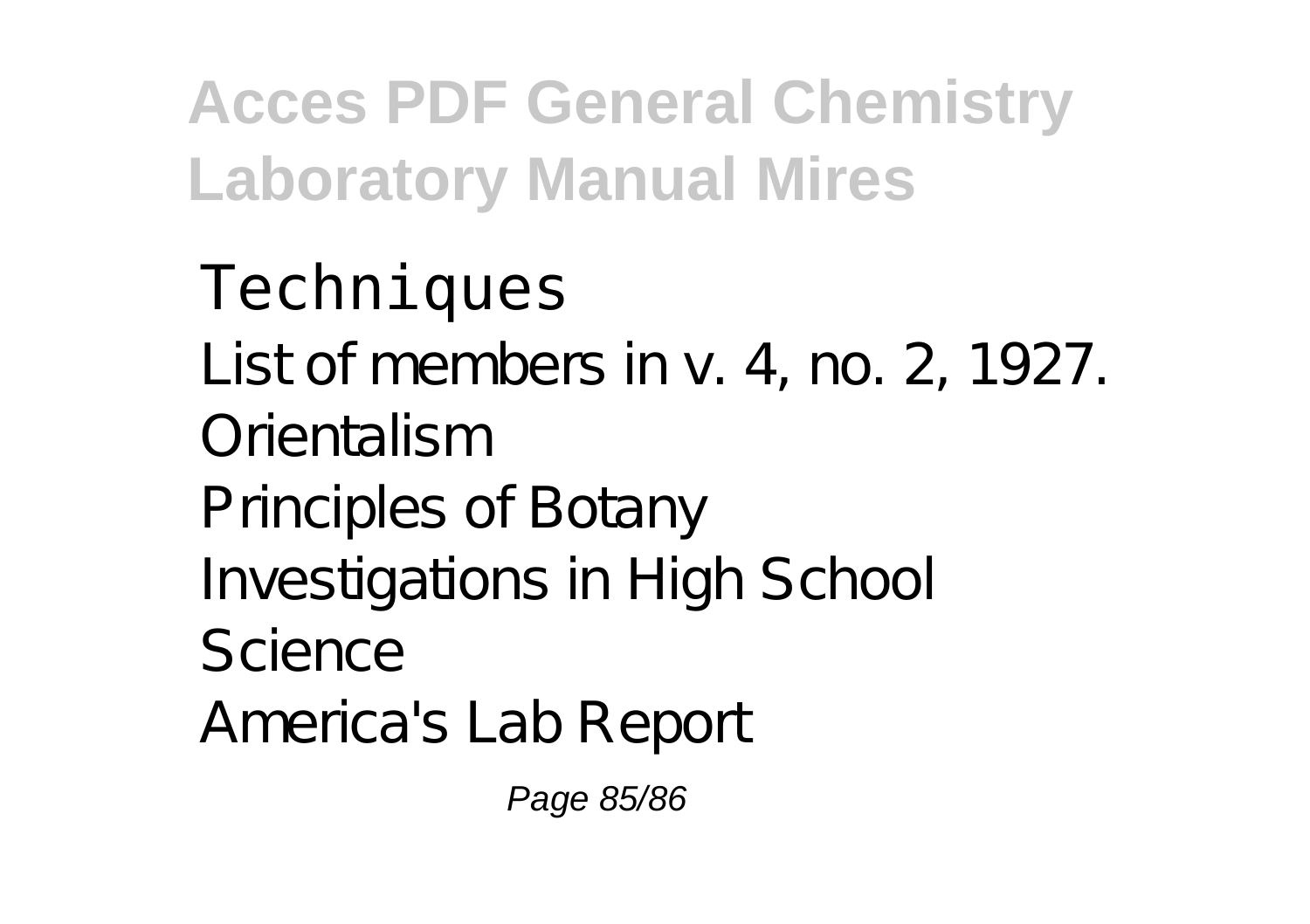## **Techniques**

List of members in v. 4, no. 2, 1927. Orientalism Principles of Botany Investigations in High School Science America's Lab Report

Page 85/86